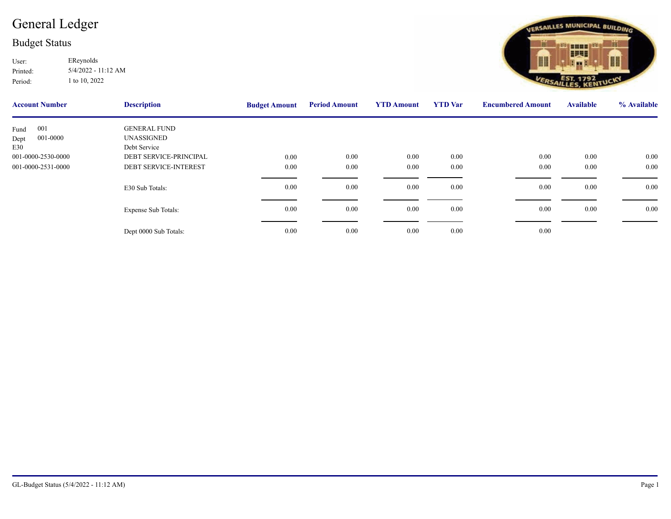## [General Ledger](http://ssi.NET?action=object&object=GLAccount&id=2022:001-0000-2531-0000)

## Budget Status

Printed: User: EReynolds 5/4/2022 - 11:12 AM Period: 1 to 10, 2022

| <b>Account Number</b> | <b>Description</b>           | <b>Budget Amount</b> | <b>Period Amount</b> | <b>YTD Amount</b> | <b>YTD</b> Var | <b>Encumbere</b> |
|-----------------------|------------------------------|----------------------|----------------------|-------------------|----------------|------------------|
| 001<br>Fund           | <b>GENERAL FUND</b>          |                      |                      |                   |                |                  |
| 001-0000<br>Dept      | UNASSIGNED                   |                      |                      |                   |                |                  |
| E30                   | Debt Service                 |                      |                      |                   |                |                  |
| 001-0000-2530-0000    | DEBT SERVICE-PRINCIPAL       | 0.00                 | 0.00                 | 0.00              | 0.00           |                  |
| 001-0000-2531-0000    | <b>DEBT SERVICE-INTEREST</b> | 0.00                 | $0.00\,$             | $0.00\,$          | 0.00           |                  |
|                       |                              |                      |                      |                   |                |                  |
|                       | E30 Sub Totals:              | 0.00                 | $0.00\,$             | $0.00\,$          | 0.00           |                  |
|                       |                              |                      |                      |                   |                |                  |
|                       | <b>Expense Sub Totals:</b>   | 0.00                 | $0.00\,$             | $0.00\,$          | 0.00           |                  |
|                       |                              |                      |                      |                   |                |                  |
|                       |                              |                      |                      |                   |                |                  |
|                       | Dept 0000 Sub Totals:        | 0.00                 | 0.00                 | $0.00\,$          | 0.00           |                  |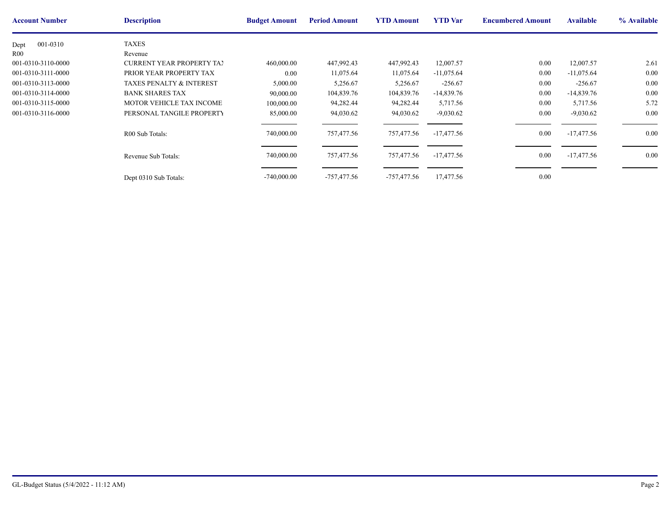| <b>Account Number</b> | <b>Description</b>                  | <b>Budget Amount</b> | <b>Period Amount</b> | <b>YTD Amount</b> | <b>YTD</b> Var | <b>Encumbere</b> |
|-----------------------|-------------------------------------|----------------------|----------------------|-------------------|----------------|------------------|
| 001-0310<br>Dept      | <b>TAXES</b>                        |                      |                      |                   |                |                  |
| R <sub>00</sub>       | Revenue                             |                      |                      |                   |                |                  |
| 001-0310-3110-0000    | <b>CURRENT YEAR PROPERTY TAY</b>    | 460,000.00           | 447,992.43           | 447,992.43        | 12,007.57      |                  |
| 001-0310-3111-0000    | PRIOR YEAR PROPERTY TAX             | 0.00                 | 11,075.64            | 11,075.64         | $-11,075.64$   |                  |
| 001-0310-3113-0000    | <b>TAXES PENALTY &amp; INTEREST</b> | 5,000.00             | 5,256.67             | 5,256.67          | $-256.67$      |                  |
| 001-0310-3114-0000    | <b>BANK SHARES TAX</b>              | 90,000.00            | 104,839.76           | 104,839.76        | $-14,839.76$   |                  |
| 001-0310-3115-0000    | <b>MOTOR VEHICLE TAX INCOME</b>     | 100,000.00           | 94,282.44            | 94,282.44         | 5,717.56       |                  |
| 001-0310-3116-0000    | PERSONAL TANGILE PROPERTY           | 85,000.00            | 94,030.62            | 94,030.62         | $-9,030.62$    |                  |
|                       | R00 Sub Totals:                     | 740,000.00           | 757,477.56           | 757,477.56        | $-17,477.56$   |                  |
|                       | Revenue Sub Totals:                 | 740,000.00           | 757,477.56           | 757,477.56        | -17,477.56     |                  |
|                       | Dept 0310 Sub Totals:               | $-740,000.00$        | -757,477.56          | -757,477.56       | 17,477.56      |                  |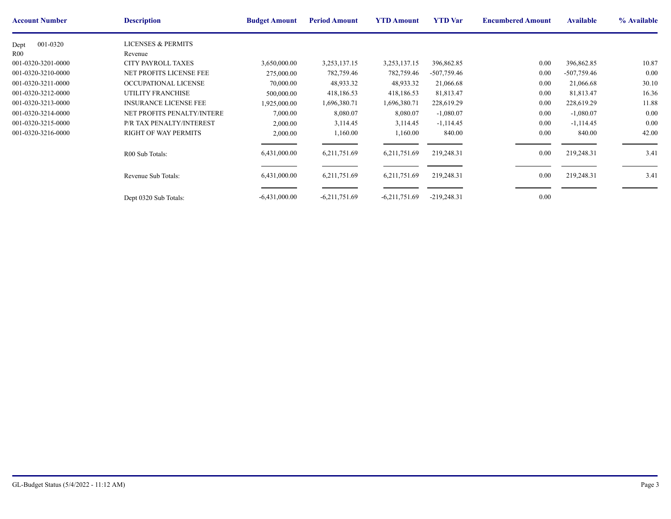| <b>Account Number</b> | <b>Description</b>            | <b>Budget Amount</b> | <b>Period Amount</b> | <b>YTD Amount</b> | <b>YTD</b> Var | <b>Encumbere</b> |
|-----------------------|-------------------------------|----------------------|----------------------|-------------------|----------------|------------------|
| 001-0320<br>Dept      | <b>LICENSES &amp; PERMITS</b> |                      |                      |                   |                |                  |
| R00                   | Revenue                       |                      |                      |                   |                |                  |
| 001-0320-3201-0000    | <b>CITY PAYROLL TAXES</b>     | 3,650,000.00         | 3,253,137.15         | 3,253,137.15      | 396,862.85     |                  |
| 001-0320-3210-0000    | NET PROFITS LICENSE FEE       | 275,000.00           | 782,759.46           | 782,759.46        | $-507,759.46$  |                  |
| 001-0320-3211-0000    | OCCUPATIONAL LICENSE          | 70,000.00            | 48,933.32            | 48,933.32         | 21,066.68      |                  |
| 001-0320-3212-0000    | <b>UTILITY FRANCHISE</b>      | 500,000.00           | 418,186.53           | 418,186.53        | 81,813.47      |                  |
| 001-0320-3213-0000    | <b>INSURANCE LICENSE FEE</b>  | 1,925,000.00         | 1,696,380.71         | 1,696,380.71      | 228,619.29     |                  |
| 001-0320-3214-0000    | NET PROFITS PENALTY/INTERE    | 7,000.00             | 8,080.07             | 8,080.07          | $-1,080.07$    |                  |
| 001-0320-3215-0000    | P/R TAX PENALTY/INTEREST      | 2,000.00             | 3,114.45             | 3,114.45          | $-1,114.45$    |                  |
| 001-0320-3216-0000    | <b>RIGHT OF WAY PERMITS</b>   | 2,000.00             | 1,160.00             | 1,160.00          | 840.00         |                  |
|                       | R00 Sub Totals:               | 6,431,000.00         | 6,211,751.69         | 6,211,751.69      | 219,248.31     |                  |
|                       | Revenue Sub Totals:           | 6,431,000.00         | 6,211,751.69         | 6,211,751.69      | 219,248.31     |                  |
|                       | Dept 0320 Sub Totals:         | $-6,431,000.00$      | $-6,211,751.69$      | $-6,211,751.69$   | $-219,248.31$  |                  |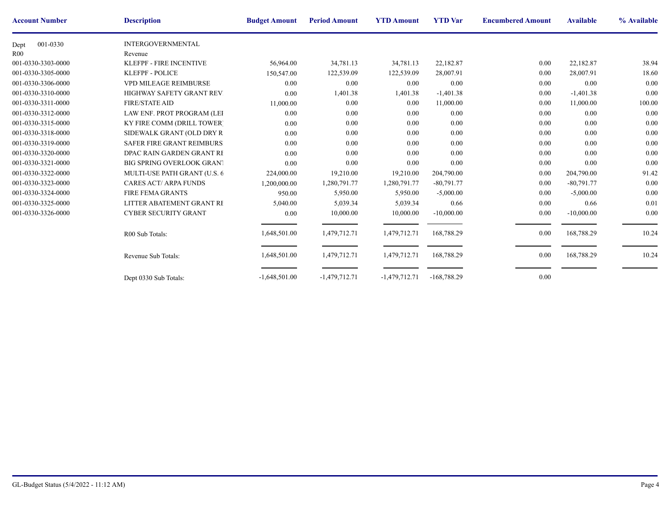| <b>Account Number</b> | <b>Description</b>               | <b>Budget Amount</b> | <b>Period Amount</b> | <b>YTD Amount</b> | <b>YTD</b> Var | <b>Encumbere</b> |
|-----------------------|----------------------------------|----------------------|----------------------|-------------------|----------------|------------------|
| 001-0330<br>Dept      | <b>INTERGOVERNMENTAL</b>         |                      |                      |                   |                |                  |
| R <sub>00</sub>       | Revenue                          |                      |                      |                   |                |                  |
| 001-0330-3303-0000    | <b>KLEFPF - FIRE INCENTIVE</b>   | 56,964.00            | 34,781.13            | 34,781.13         | 22,182.87      |                  |
| 001-0330-3305-0000    | <b>KLEFPF - POLICE</b>           | 150,547.00           | 122,539.09           | 122,539.09        | 28,007.91      |                  |
| 001-0330-3306-0000    | VPD MILEAGE REIMBURSE            | 0.00                 | 0.00                 | 0.00              | 0.00           |                  |
| 001-0330-3310-0000    | HIGHWAY SAFETY GRANT REV.        | 0.00                 | 1,401.38             | 1,401.38          | $-1,401.38$    |                  |
| 001-0330-3311-0000    | <b>FIRE/STATE AID</b>            | 11,000.00            | 0.00                 | 0.00              | 11,000.00      |                  |
| 001-0330-3312-0000    | LAW ENF. PROT PROGRAM (LEI       | 0.00                 | 0.00                 | 0.00              | 0.00           |                  |
| 001-0330-3315-0000    | KY FIRE COMM (DRILL TOWER)       | 0.00                 | 0.00                 | 0.00              | 0.00           |                  |
| 001-0330-3318-0000    | SIDEWALK GRANT (OLD DRY R)       | 0.00                 | 0.00                 | 0.00              | 0.00           |                  |
| 001-0330-3319-0000    | <b>SAFER FIRE GRANT REIMBURS</b> | 0.00                 | 0.00                 | 0.00              | 0.00           |                  |
| 001-0330-3320-0000    | DPAC RAIN GARDEN GRANT RE        | 0.00                 | 0.00                 | 0.00              | 0.00           |                  |
| 001-0330-3321-0000    | <b>BIG SPRING OVERLOOK GRANT</b> | 0.00                 | 0.00                 | 0.00              | 0.00           |                  |
| 001-0330-3322-0000    | MULTI-USE PATH GRANT (U.S. 6     | 224,000.00           | 19,210.00            | 19,210.00         | 204,790.00     |                  |
| 001-0330-3323-0000    | <b>CARES ACT/ ARPA FUNDS</b>     | 1,200,000.00         | 1,280,791.77         | 1,280,791.77      | $-80,791.77$   |                  |
| 001-0330-3324-0000    | <b>FIRE FEMA GRANTS</b>          | 950.00               | 5,950.00             | 5,950.00          | $-5,000.00$    |                  |
| 001-0330-3325-0000    | LITTER ABATEMENT GRANT RE        | 5,040.00             | 5,039.34             | 5,039.34          | 0.66           |                  |
| 001-0330-3326-0000    | <b>CYBER SECURITY GRANT</b>      | 0.00                 | 10,000.00            | 10,000.00         | $-10,000.00$   |                  |
|                       | R00 Sub Totals:                  | 1,648,501.00         | 1,479,712.71         | 1,479,712.71      | 168,788.29     |                  |
|                       | Revenue Sub Totals:              | 1,648,501.00         | 1,479,712.71         | 1,479,712.71      | 168,788.29     |                  |
|                       | Dept 0330 Sub Totals:            | $-1,648,501.00$      | $-1,479,712.71$      | $-1,479,712.71$   | $-168,788.29$  |                  |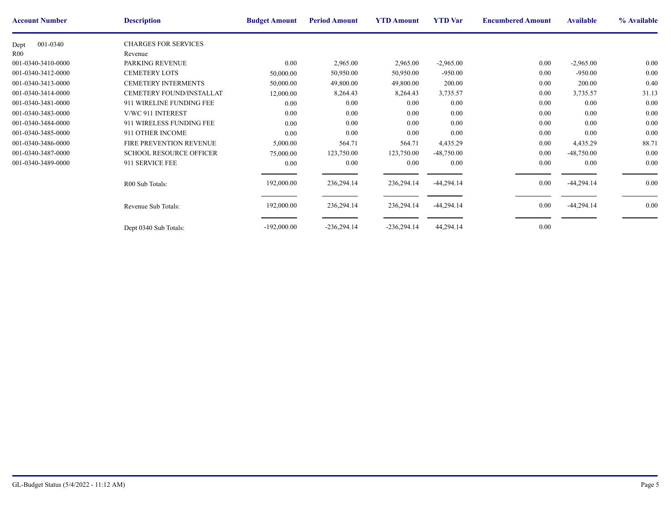| <b>Account Number</b> | <b>Description</b>             | <b>Budget Amount</b> | <b>Period Amount</b> | <b>YTD Amount</b> | <b>YTD</b> Var | <b>Encumbere</b> |
|-----------------------|--------------------------------|----------------------|----------------------|-------------------|----------------|------------------|
| 001-0340<br>Dept      | <b>CHARGES FOR SERVICES</b>    |                      |                      |                   |                |                  |
| R00                   | Revenue                        |                      |                      |                   |                |                  |
| 001-0340-3410-0000    | PARKING REVENUE                | 0.00                 | 2,965.00             | 2,965.00          | $-2,965.00$    |                  |
| 001-0340-3412-0000    | <b>CEMETERY LOTS</b>           | 50,000.00            | 50,950.00            | 50,950.00         | $-950.00$      |                  |
| 001-0340-3413-0000    | <b>CEMETERY INTERMENTS</b>     | 50,000.00            | 49,800.00            | 49,800.00         | 200.00         |                  |
| 001-0340-3414-0000    | CEMETERY FOUND/INSTALLAT       | 12,000.00            | 8,264.43             | 8,264.43          | 3,735.57       |                  |
| 001-0340-3481-0000    | 911 WIRELINE FUNDING FEE       | 0.00                 | $0.00\,$             | 0.00              | 0.00           |                  |
| 001-0340-3483-0000    | V/WC 911 INTEREST              | 0.00                 | $0.00\,$             | 0.00              | 0.00           |                  |
| 001-0340-3484-0000    | 911 WIRELESS FUNDING FEE       | 0.00                 | $0.00\,$             | 0.00              | 0.00           |                  |
| 001-0340-3485-0000    | 911 OTHER INCOME               | 0.00                 | $0.00\,$             | 0.00              | $0.00\,$       |                  |
| 001-0340-3486-0000    | FIRE PREVENTION REVENUE        | 5,000.00             | 564.71               | 564.71            | 4,435.29       |                  |
| 001-0340-3487-0000    | <b>SCHOOL RESOURCE OFFICER</b> | 75,000.00            | 123,750.00           | 123,750.00        | $-48,750.00$   |                  |
| 001-0340-3489-0000    | 911 SERVICE FEE                | 0.00                 | $0.00\,$             | 0.00              | 0.00           |                  |
|                       | R00 Sub Totals:                | 192,000.00           | 236,294.14           | 236,294.14        | $-44,294.14$   |                  |
|                       | Revenue Sub Totals:            | 192,000.00           | 236,294.14           | 236,294.14        | $-44,294.14$   |                  |
|                       | Dept 0340 Sub Totals:          | $-192,000.00$        | $-236,294.14$        | $-236,294.14$     | 44,294.14      |                  |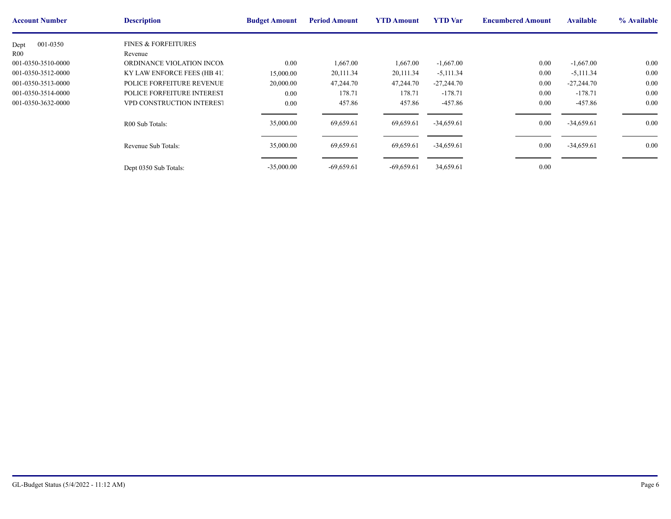| <b>Account Number</b> | <b>Description</b>             | <b>Budget Amount</b> | <b>Period Amount</b> | <b>YTD Amount</b> | <b>YTD</b> Var | <b>Encumbere</b> |
|-----------------------|--------------------------------|----------------------|----------------------|-------------------|----------------|------------------|
| 001-0350<br>Dept      | <b>FINES &amp; FORFEITURES</b> |                      |                      |                   |                |                  |
| R <sub>00</sub>       | Revenue                        |                      |                      |                   |                |                  |
| 001-0350-3510-0000    | ORDINANCE VIOLATION INCOM      | $0.00\,$             | 1,667.00             | 1,667.00          | $-1,667.00$    |                  |
| 001-0350-3512-0000    | KY LAW ENFORCE FEES (HB 41:    | 15,000.00            | 20,111.34            | 20,111.34         | $-5,111.34$    |                  |
| 001-0350-3513-0000    | POLICE FORFEITURE REVENUE      | 20,000.00            | 47,244.70            | 47,244.70         | $-27,244.70$   |                  |
| 001-0350-3514-0000    | POLICE FORFEITURE INTEREST     | $0.00\,$             | 178.71               | 178.71            | $-178.71$      |                  |
| 001-0350-3632-0000    | VPD CONSTRUCTION INTEREST      | $0.00\,$             | 457.86               | 457.86            | $-457.86$      |                  |
|                       | R00 Sub Totals:                | 35,000.00            | 69,659.61            | 69,659.61         | $-34,659.61$   |                  |
|                       | Revenue Sub Totals:            | 35,000.00            | 69,659.61            | 69,659.61         | $-34,659.61$   |                  |
|                       | Dept 0350 Sub Totals:          | $-35,000.00$         | $-69,659.61$         | $-69,659.61$      | 34,659.61      |                  |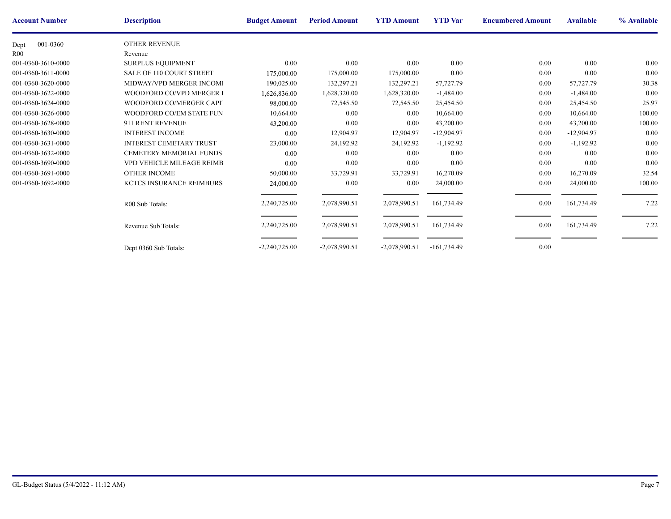| <b>Account Number</b> | <b>Description</b>              | <b>Budget Amount</b> | <b>Period Amount</b> | <b>YTD Amount</b> | <b>YTD</b> Var | <b>Encumbere</b> |
|-----------------------|---------------------------------|----------------------|----------------------|-------------------|----------------|------------------|
| 001-0360<br>Dept      | OTHER REVENUE                   |                      |                      |                   |                |                  |
| R <sub>00</sub>       | Revenue                         |                      |                      |                   |                |                  |
| 001-0360-3610-0000    | SURPLUS EQUIPMENT               | 0.00                 | 0.00                 | 0.00              | 0.00           |                  |
| 001-0360-3611-0000    | <b>SALE OF 110 COURT STREET</b> | 175,000.00           | 175,000.00           | 175,000.00        | 0.00           |                  |
| 001-0360-3620-0000    | MIDWAY/VPD MERGER INCOMI        | 190,025.00           | 132,297.21           | 132,297.21        | 57,727.79      |                  |
| 001-0360-3622-0000    | WOODFORD CO/VPD MERGER I        | 1,626,836.00         | 1,628,320.00         | 1,628,320.00      | $-1,484.00$    |                  |
| 001-0360-3624-0000    | WOODFORD CO/MERGER CAPIT        | 98,000.00            | 72,545.50            | 72,545.50         | 25,454.50      |                  |
| 001-0360-3626-0000    | WOODFORD CO/EM STATE FUN        | 10,664.00            | 0.00                 | 0.00              | 10,664.00      |                  |
| 001-0360-3628-0000    | 911 RENT REVENUE                | 43,200.00            | 0.00                 | 0.00              | 43,200.00      |                  |
| 001-0360-3630-0000    | <b>INTEREST INCOME</b>          | 0.00                 | 12,904.97            | 12,904.97         | $-12,904.97$   |                  |
| 001-0360-3631-0000    | <b>INTEREST CEMETARY TRUST</b>  | 23,000.00            | 24,192.92            | 24,192.92         | $-1,192.92$    |                  |
| 001-0360-3632-0000    | CEMETERY MEMORIAL FUNDS         | 0.00                 | 0.00                 | 0.00              | 0.00           |                  |
| 001-0360-3690-0000    | VPD VEHICLE MILEAGE REIMB       | 0.00                 | 0.00                 | 0.00              | 0.00           |                  |
| 001-0360-3691-0000    | <b>OTHER INCOME</b>             | 50,000.00            | 33,729.91            | 33,729.91         | 16,270.09      |                  |
| 001-0360-3692-0000    | <b>KCTCS INSURANCE REIMBURS</b> | 24,000.00            | $0.00\,$             | 0.00              | 24,000.00      |                  |
|                       | R00 Sub Totals:                 | 2,240,725.00         | 2,078,990.51         | 2,078,990.51      | 161,734.49     |                  |
|                       | Revenue Sub Totals:             | 2,240,725.00         | 2,078,990.51         | 2,078,990.51      | 161,734.49     |                  |
|                       | Dept 0360 Sub Totals:           | $-2,240,725.00$      | $-2,078,990.51$      | $-2,078,990.51$   | $-161,734.49$  |                  |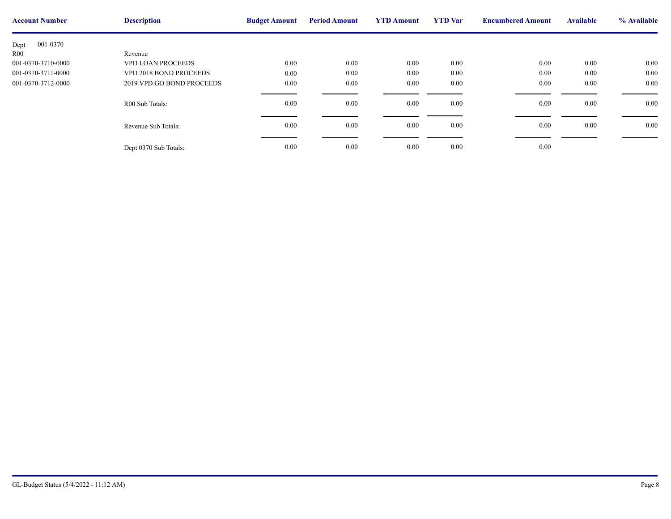| <b>Account Number</b> | <b>Description</b>        | <b>Budget Amount</b> | <b>Period Amount</b> | <b>YTD Amount</b> | <b>YTD</b> Var | <b>Encumbere</b> |
|-----------------------|---------------------------|----------------------|----------------------|-------------------|----------------|------------------|
| 001-0370<br>Dept      |                           |                      |                      |                   |                |                  |
| R00                   | Revenue                   |                      |                      |                   |                |                  |
| 001-0370-3710-0000    | <b>VPD LOAN PROCEEDS</b>  | 0.00                 | $0.00\,$             | 0.00              | 0.00           |                  |
| 001-0370-3711-0000    | VPD 2018 BOND PROCEEDS    | 0.00                 | $0.00\,$             | 0.00              | 0.00           |                  |
| 001-0370-3712-0000    | 2019 VPD GO BOND PROCEEDS | 0.00                 | $0.00\,$             | 0.00              | 0.00           |                  |
|                       | R00 Sub Totals:           | 0.00                 | $0.00\,$             | 0.00              | 0.00           |                  |
|                       | Revenue Sub Totals:       | 0.00                 | $0.00\,$             | 0.00              | 0.00           |                  |
|                       | Dept 0370 Sub Totals:     | 0.00                 | $0.00\,$             | 0.00              | 0.00           |                  |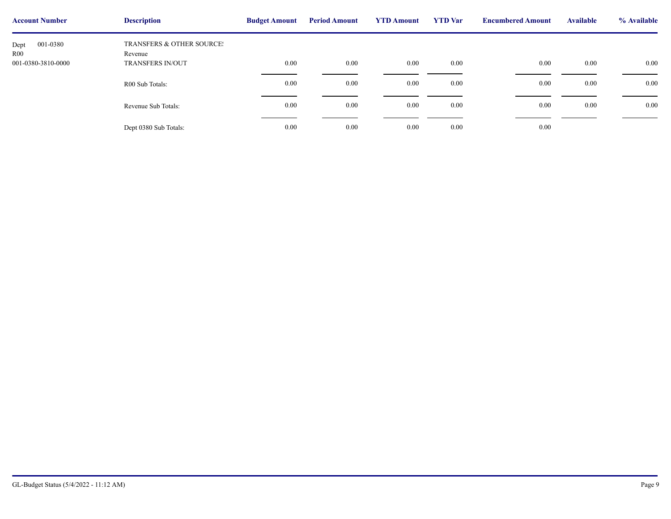| <b>Account Number</b>   | <b>Description</b>                              | <b>Budget Amount</b> | <b>Period Amount</b> | <b>YTD Amount</b> | <b>YTD</b> Var | <b>Encumbere</b> |
|-------------------------|-------------------------------------------------|----------------------|----------------------|-------------------|----------------|------------------|
| 001-0380<br>Dept<br>R00 | <b>TRANSFERS &amp; OTHER SOURCE:</b><br>Revenue |                      |                      |                   |                |                  |
| 001-0380-3810-0000      | <b>TRANSFERS IN/OUT</b>                         | 0.00                 | 0.00                 | $0.00\,$          | 0.00           |                  |
|                         | R00 Sub Totals:                                 | 0.00                 | 0.00                 | 0.00              | $0.00\,$       |                  |
|                         | Revenue Sub Totals:                             | $0.00\,$             | 0.00                 | 0.00              | $0.00\,$       |                  |
|                         |                                                 |                      |                      |                   |                |                  |
|                         | Dept 0380 Sub Totals:                           | $0.00\,$             | 0.00                 | 0.00              | $0.00\,$       |                  |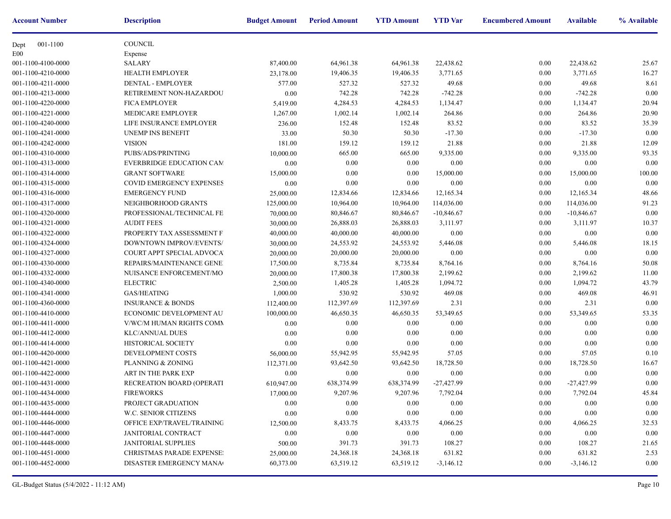| <b>Account Number</b> | <b>Description</b>               | <b>Budget Amount</b> | <b>Period Amount</b> | <b>YTD Amount</b> | <b>YTD</b> Var | <b>Encumbere</b> |
|-----------------------|----------------------------------|----------------------|----------------------|-------------------|----------------|------------------|
| 001-1100<br>Dept      | <b>COUNCIL</b>                   |                      |                      |                   |                |                  |
| E00                   | Expense                          |                      |                      |                   |                |                  |
| 001-1100-4100-0000    | <b>SALARY</b>                    | 87,400.00            | 64,961.38            | 64,961.38         | 22,438.62      |                  |
| 001-1100-4210-0000    | <b>HEALTH EMPLOYER</b>           | 23,178.00            | 19,406.35            | 19,406.35         | 3,771.65       |                  |
| 001-1100-4211-0000    | DENTAL - EMPLOYER                | 577.00               | 527.32               | 527.32            | 49.68          |                  |
| 001-1100-4213-0000    | RETIREMENT NON-HAZARDOU          | 0.00                 | 742.28               | 742.28            | $-742.28$      |                  |
| 001-1100-4220-0000    | <b>FICA EMPLOYER</b>             | 5,419.00             | 4,284.53             | 4,284.53          | 1,134.47       |                  |
| 001-1100-4221-0000    | MEDICARE EMPLOYER                | 1,267.00             | 1,002.14             | 1,002.14          | 264.86         |                  |
| 001-1100-4240-0000    | LIFE INSURANCE EMPLOYER          | 236.00               | 152.48               | 152.48            | 83.52          |                  |
| 001-1100-4241-0000    | <b>UNEMP INS BENEFIT</b>         | 33.00                | 50.30                | 50.30             | $-17.30$       |                  |
| 001-1100-4242-0000    | <b>VISION</b>                    | 181.00               | 159.12               | 159.12            | 21.88          |                  |
| 001-1100-4310-0000    | PUBS/ADS/PRINTING                | 10,000.00            | 665.00               | 665.00            | 9,335.00       |                  |
| 001-1100-4313-0000    | <b>EVERBRIDGE EDUCATION CAM</b>  | 0.00                 | 0.00                 | 0.00              | 0.00           |                  |
| 001-1100-4314-0000    | <b>GRANT SOFTWARE</b>            | 15,000.00            | 0.00                 | 0.00              | 15,000.00      |                  |
| 001-1100-4315-0000    | <b>COVID EMERGENCY EXPENSES</b>  | 0.00                 | 0.00                 | 0.00              | 0.00           |                  |
| 001-1100-4316-0000    | <b>EMERGENCY FUND</b>            | 25,000.00            | 12,834.66            | 12,834.66         | 12,165.34      |                  |
| 001-1100-4317-0000    | NEIGHBORHOOD GRANTS              | 125,000.00           | 10,964.00            | 10,964.00         | 114,036.00     |                  |
| 001-1100-4320-0000    | PROFESSIONAL/TECHNICAL FE        | 70,000.00            | 80,846.67            | 80,846.67         | $-10,846.67$   |                  |
| 001-1100-4321-0000    | <b>AUDIT FEES</b>                | 30,000.00            | 26,888.03            | 26,888.03         | 3,111.97       |                  |
| 001-1100-4322-0000    | PROPERTY TAX ASSESSMENT F.       | 40,000.00            | 40,000.00            | 40,000.00         | 0.00           |                  |
| 001-1100-4324-0000    | DOWNTOWN IMPROV/EVENTS/          | 30,000.00            | 24,553.92            | 24,553.92         | 5,446.08       |                  |
| 001-1100-4327-0000    | COURT APPT SPECIAL ADVOCA        | 20,000.00            | 20,000.00            | 20,000.00         | 0.00           |                  |
| 001-1100-4330-0000    | REPAIRS/MAINTENANCE GENE         | 17,500.00            | 8,735.84             | 8,735.84          | 8,764.16       |                  |
| 001-1100-4332-0000    | NUISANCE ENFORCEMENT/MO          | 20,000.00            | 17,800.38            | 17,800.38         | 2,199.62       |                  |
| 001-1100-4340-0000    | <b>ELECTRIC</b>                  | 2,500.00             | 1,405.28             | 1,405.28          | 1,094.72       |                  |
| 001-1100-4341-0000    | GAS/HEATING                      | 1,000.00             | 530.92               | 530.92            | 469.08         |                  |
| 001-1100-4360-0000    | <b>INSURANCE &amp; BONDS</b>     | 112,400.00           | 112,397.69           | 112,397.69        | 2.31           |                  |
| 001-1100-4410-0000    | ECONOMIC DEVELOPMENT AU          | 100,000.00           | 46,650.35            | 46,650.35         | 53,349.65      |                  |
| 001-1100-4411-0000    | V/WC/M HUMAN RIGHTS COMN         | 0.00                 | 0.00                 | 0.00              | 0.00           |                  |
| 001-1100-4412-0000    | <b>KLC/ANNUAL DUES</b>           | 0.00                 | 0.00                 | $0.00\,$          | 0.00           |                  |
| 001-1100-4414-0000    | HISTORICAL SOCIETY               | 0.00                 | 0.00                 | 0.00              | 0.00           |                  |
| 001-1100-4420-0000    | DEVELOPMENT COSTS                | 56,000.00            | 55,942.95            | 55,942.95         | 57.05          |                  |
| 001-1100-4421-0000    | PLANNING & ZONING                | 112,371.00           | 93,642.50            | 93,642.50         | 18,728.50      |                  |
| 001-1100-4422-0000    | ART IN THE PARK EXP              | 0.00                 | 0.00                 | $0.00\,$          | 0.00           |                  |
| 001-1100-4431-0000    | RECREATION BOARD (OPERATI        | 610,947.00           | 638, 374. 99         | 638, 374. 99      | $-27,427.99$   |                  |
| 001-1100-4434-0000    | FIREWORKS                        | 17,000.00            | 9,207.96             | 9,207.96          | 7,792.04       |                  |
| 001-1100-4435-0000    | PROJECT GRADUATION               | 0.00                 | $0.00\,$             | $0.00\,$          | 0.00           |                  |
| 001-1100-4444-0000    | W.C. SENIOR CITIZENS             | 0.00                 | $0.00\,$             | 0.00              | 0.00           |                  |
| 001-1100-4446-0000    | OFFICE EXP/TRAVEL/TRAINING       | 12,500.00            | 8,433.75             | 8,433.75          | 4,066.25       |                  |
| 001-1100-4447-0000    | JANITORIAL CONTRACT              | 0.00                 | $0.00\,$             | $0.00\,$          | 0.00           |                  |
| 001-1100-4448-0000    | <b>JANITORIAL SUPPLIES</b>       | 500.00               | 391.73               | 391.73            | 108.27         |                  |
| 001-1100-4451-0000    | <b>CHRISTMAS PARADE EXPENSE:</b> | 25,000.00            | 24,368.18            | 24,368.18         | 631.82         |                  |
| 001-1100-4452-0000    | DISASTER EMERGENCY MANA          | 60,373.00            | 63,519.12            | 63,519.12         | $-3,146.12$    |                  |
|                       |                                  |                      |                      |                   |                |                  |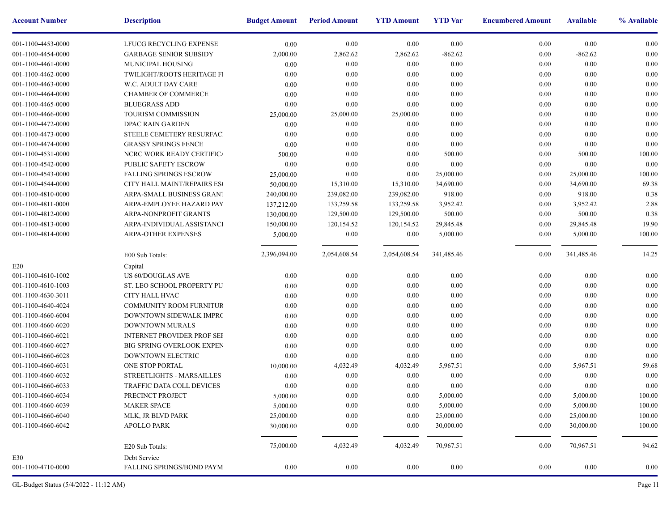| <b>Account Number</b> | <b>Description</b>                | <b>Budget Amount</b> | <b>Period Amount</b> | <b>YTD Amount</b> | <b>YTD</b> Var | <b>Encumbere</b> |
|-----------------------|-----------------------------------|----------------------|----------------------|-------------------|----------------|------------------|
| 001-1100-4453-0000    | LFUCG RECYCLING EXPENSE           | 0.00                 | 0.00                 | 0.00              | 0.00           |                  |
| 001-1100-4454-0000    | <b>GARBAGE SENIOR SUBSIDY</b>     | 2,000.00             | 2,862.62             | 2,862.62          | $-862.62$      |                  |
| 001-1100-4461-0000    | MUNICIPAL HOUSING                 | 0.00                 | $0.00\,$             | 0.00              | 0.00           |                  |
| 001-1100-4462-0000    | TWILIGHT/ROOTS HERITAGE FI        | 0.00                 | $0.00\,$             | 0.00              | 0.00           |                  |
| 001-1100-4463-0000    | W.C. ADULT DAY CARE               | 0.00                 | 0.00                 | 0.00              | 0.00           |                  |
| 001-1100-4464-0000    | <b>CHAMBER OF COMMERCE</b>        | 0.00                 | 0.00                 | 0.00              | 0.00           |                  |
| 001-1100-4465-0000    | <b>BLUEGRASS ADD</b>              | 0.00                 | 0.00                 | 0.00              | 0.00           |                  |
| 001-1100-4466-0000    | TOURISM COMMISSION                | 25,000.00            | 25,000.00            | 25,000.00         | 0.00           |                  |
| 001-1100-4472-0000    | DPAC RAIN GARDEN                  | 0.00                 | $0.00\,$             | 0.00              | 0.00           |                  |
| 001-1100-4473-0000    | STEELE CEMETERY RESURFACI         | 0.00                 | $0.00\,$             | 0.00              | 0.00           |                  |
| 001-1100-4474-0000    | <b>GRASSY SPRINGS FENCE</b>       | 0.00                 | 0.00                 | 0.00              | 0.00           |                  |
| 001-1100-4531-0000    | NCRC WORK READY CERTIFICA         | 500.00               | 0.00                 | 0.00              | 500.00         |                  |
| 001-1100-4542-0000    | <b>PUBLIC SAFETY ESCROW</b>       | 0.00                 | 0.00                 | 0.00              | 0.00           |                  |
| 001-1100-4543-0000    | <b>FALLING SPRINGS ESCROW</b>     | 25,000.00            | 0.00                 | 0.00              | 25,000.00      |                  |
| 001-1100-4544-0000    | CITY HALL MAINT/REPAIRS ESC       | 50,000.00            | 15,310.00            | 15,310.00         | 34,690.00      |                  |
| 001-1100-4810-0000    | ARPA-SMALL BUSINESS GRANT         | 240,000.00           | 239,082.00           | 239,082.00        | 918.00         |                  |
| 001-1100-4811-0000    | ARPA-EMPLOYEE HAZARD PAY          | 137,212.00           | 133,259.58           | 133,259.58        | 3,952.42       |                  |
| 001-1100-4812-0000    | ARPA-NONPROFIT GRANTS             | 130,000.00           | 129,500.00           | 129,500.00        | 500.00         |                  |
| 001-1100-4813-0000    | ARPA-INDIVIDUAL ASSISTANCI        | 150,000.00           | 120, 154.52          | 120, 154.52       | 29,845.48      |                  |
| 001-1100-4814-0000    | <b>ARPA-OTHER EXPENSES</b>        | 5,000.00             | $0.00\,$             | 0.00              | 5,000.00       |                  |
|                       |                                   |                      |                      |                   |                |                  |
|                       | E00 Sub Totals:                   | 2,396,094.00         | 2,054,608.54         | 2,054,608.54      | 341,485.46     |                  |
| E20                   | Capital                           |                      |                      |                   |                |                  |
| 001-1100-4610-1002    | US 60/DOUGLAS AVE                 | 0.00                 | 0.00                 | 0.00              | 0.00           |                  |
| 001-1100-4610-1003    | ST. LEO SCHOOL PROPERTY PU        | 0.00                 | 0.00                 | 0.00              | 0.00           |                  |
| 001-1100-4630-3011    | CITY HALL HVAC                    | 0.00                 | 0.00                 | 0.00              | 0.00           |                  |
| 001-1100-4640-4024    | COMMUNITY ROOM FURNITUR           | 0.00                 | $0.00\,$             | 0.00              | 0.00           |                  |
| 001-1100-4660-6004    | DOWNTOWN SIDEWALK IMPRC           | 0.00                 | $0.00\,$             | 0.00              | 0.00           |                  |
| 001-1100-4660-6020    | DOWNTOWN MURALS                   | 0.00                 | $0.00\,$             | 0.00              | 0.00           |                  |
| 001-1100-4660-6021    | <b>INTERNET PROVIDER PROF SEF</b> | 0.00                 | 0.00                 | 0.00              | 0.00           |                  |
| 001-1100-4660-6027    | <b>BIG SPRING OVERLOOK EXPEN</b>  | 0.00                 | 0.00                 | 0.00              | 0.00           |                  |
| 001-1100-4660-6028    | DOWNTOWN ELECTRIC                 | 0.00                 | 0.00                 | 0.00              | 0.00           |                  |
| 001-1100-4660-6031    | ONE STOP PORTAL                   | 10,000.00            | 4,032.49             | 4,032.49          | 5,967.51       |                  |
| 001-1100-4660-6032    | STREETLIGHTS - MARSAILLES         | 0.00                 | $0.00\,$             | 0.00              | 0.00           |                  |
| 001-1100-4660-6033    | TRAFFIC DATA COLL DEVICES         | 0.00                 | $0.00\,$             | 0.00              | 0.00           |                  |
| 001-1100-4660-6034    | PRECINCT PROJECT                  | 5,000.00             | $0.00\,$             | $0.00\,$          | 5,000.00       |                  |
| 001-1100-4660-6039    | <b>MAKER SPACE</b>                | 5,000.00             | 0.00                 | 0.00              | 5,000.00       |                  |
| 001-1100-4660-6040    | MLK, JR BLVD PARK                 | 25,000.00            | 0.00                 | 0.00              | 25,000.00      |                  |
| 001-1100-4660-6042    | <b>APOLLO PARK</b>                | 30,000.00            | 0.00                 | 0.00              | 30,000.00      |                  |
|                       |                                   |                      |                      |                   |                |                  |
|                       | E20 Sub Totals:                   | 75,000.00            | 4,032.49             | 4,032.49          | 70,967.51      |                  |
| E30                   | Debt Service                      |                      |                      |                   |                |                  |
| 001-1100-4710-0000    | <b>FALLING SPRINGS/BOND PAYM</b>  | $0.00\,$             | 0.00                 | 0.00              | $0.00\,$       |                  |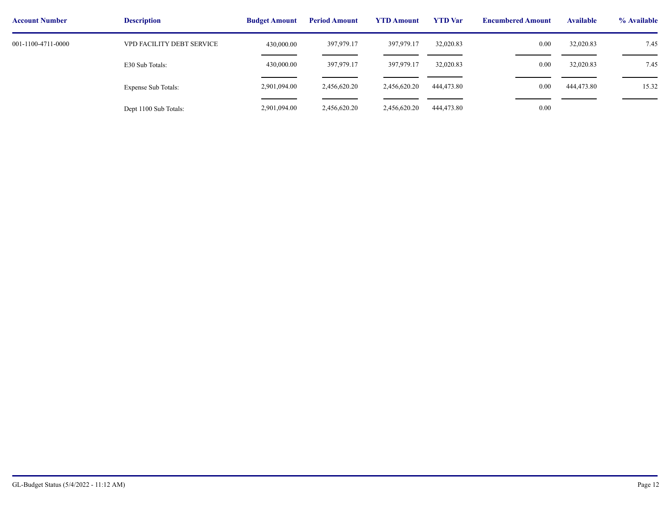| <b>Account Number</b> | <b>Description</b>        | <b>Budget Amount</b> | <b>Period Amount</b> | <b>YTD Amount</b> | <b>YTD</b> Var | <b>Encumbere</b> |
|-----------------------|---------------------------|----------------------|----------------------|-------------------|----------------|------------------|
| 001-1100-4711-0000    | VPD FACILITY DEBT SERVICE | 430,000.00           | 397,979.17           | 397,979.17        | 32,020.83      |                  |
|                       | E30 Sub Totals:           | 430,000.00           | 397,979.17           | 397,979.17        | 32,020.83      |                  |
|                       | Expense Sub Totals:       | 2,901,094.00         | 2,456,620.20         | 2,456,620.20      | 444,473.80     |                  |
|                       | Dept 1100 Sub Totals:     | 2,901,094.00         | 2,456,620.20         | 2,456,620.20      | 444,473.80     |                  |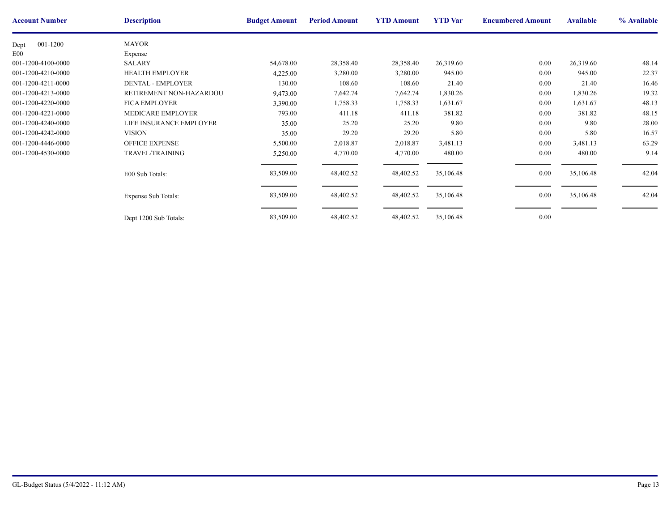| <b>Account Number</b> | <b>Description</b>         | <b>Budget Amount</b> | <b>Period Amount</b> | <b>YTD Amount</b> | <b>YTD</b> Var | <b>Encumbere</b> |
|-----------------------|----------------------------|----------------------|----------------------|-------------------|----------------|------------------|
| 001-1200<br>Dept      | <b>MAYOR</b>               |                      |                      |                   |                |                  |
| E00                   | Expense                    |                      |                      |                   |                |                  |
| 001-1200-4100-0000    | SALARY                     | 54,678.00            | 28,358.40            | 28,358.40         | 26,319.60      |                  |
| 001-1200-4210-0000    | <b>HEALTH EMPLOYER</b>     | 4,225.00             | 3,280.00             | 3,280.00          | 945.00         |                  |
| 001-1200-4211-0000    | <b>DENTAL - EMPLOYER</b>   | 130.00               | 108.60               | 108.60            | 21.40          |                  |
| 001-1200-4213-0000    | RETIREMENT NON-HAZARDOU    | 9,473.00             | 7,642.74             | 7,642.74          | 1,830.26       |                  |
| 001-1200-4220-0000    | <b>FICA EMPLOYER</b>       | 3,390.00             | 1,758.33             | 1,758.33          | 1,631.67       |                  |
| 001-1200-4221-0000    | MEDICARE EMPLOYER          | 793.00               | 411.18               | 411.18            | 381.82         |                  |
| 001-1200-4240-0000    | LIFE INSURANCE EMPLOYER    | 35.00                | 25.20                | 25.20             | 9.80           |                  |
| 001-1200-4242-0000    | <b>VISION</b>              | 35.00                | 29.20                | 29.20             | 5.80           |                  |
| 001-1200-4446-0000    | <b>OFFICE EXPENSE</b>      | 5,500.00             | 2,018.87             | 2,018.87          | 3,481.13       |                  |
| 001-1200-4530-0000    | <b>TRAVEL/TRAINING</b>     | 5,250.00             | 4,770.00             | 4,770.00          | 480.00         |                  |
|                       | E00 Sub Totals:            | 83,509.00            | 48,402.52            | 48,402.52         | 35,106.48      |                  |
|                       | <b>Expense Sub Totals:</b> | 83,509.00            | 48,402.52            | 48,402.52         | 35,106.48      |                  |
|                       | Dept 1200 Sub Totals:      | 83,509.00            | 48,402.52            | 48,402.52         | 35,106.48      |                  |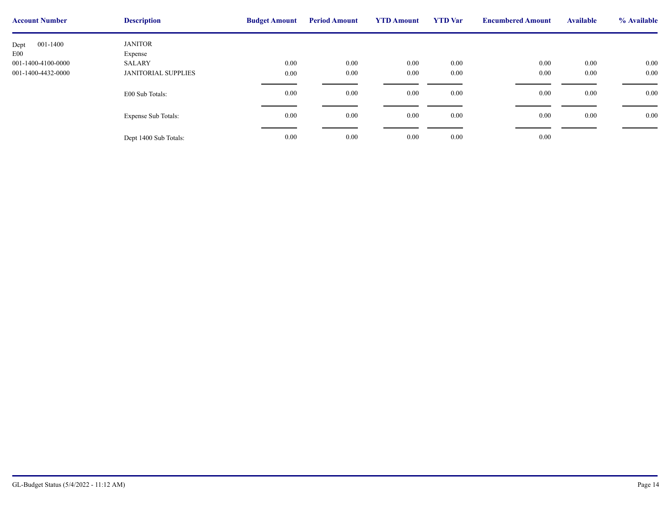| <b>Account Number</b> | <b>Description</b>         | <b>Budget Amount</b> | <b>Period Amount</b> | <b>YTD Amount</b> | <b>YTD</b> Var | <b>Encumbere</b> |
|-----------------------|----------------------------|----------------------|----------------------|-------------------|----------------|------------------|
| 001-1400<br>Dept      | <b>JANITOR</b>             |                      |                      |                   |                |                  |
| E <sub>00</sub>       | Expense                    |                      |                      |                   |                |                  |
| 001-1400-4100-0000    | SALARY                     | 0.00                 | 0.00                 | $0.00\,$          | $0.00\,$       |                  |
| 001-1400-4432-0000    | <b>JANITORIAL SUPPLIES</b> | 0.00                 | 0.00                 | $0.00\,$          | 0.00           |                  |
|                       |                            |                      |                      |                   |                |                  |
|                       | E00 Sub Totals:            | 0.00                 | 0.00                 | $0.00\,$          | $0.00\,$       |                  |
|                       |                            |                      |                      |                   |                |                  |
|                       | <b>Expense Sub Totals:</b> | 0.00                 | 0.00                 | $0.00\,$          | 0.00           |                  |
|                       |                            |                      |                      |                   |                |                  |
|                       |                            |                      |                      |                   |                |                  |
|                       | Dept 1400 Sub Totals:      | 0.00                 | 0.00                 | $0.00\,$          | $0.00\,$       |                  |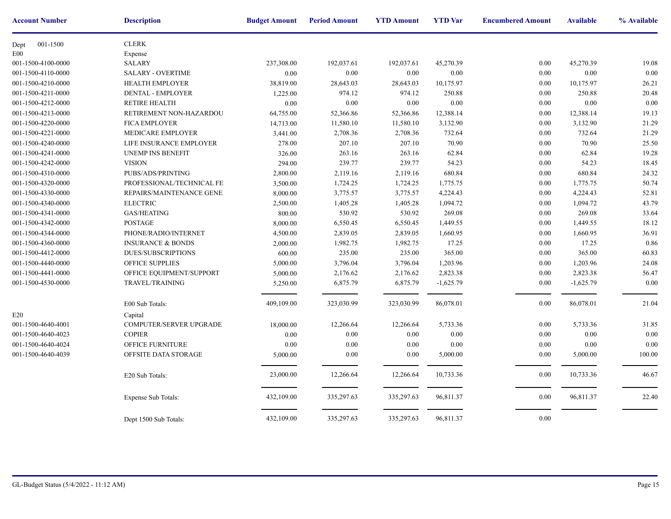| <b>Account Number</b> | <b>Description</b>           | <b>Budget Amount</b> | <b>Period Amount</b> | <b>YTD Amount</b> | <b>YTD</b> Var | <b>Encumbere</b> |
|-----------------------|------------------------------|----------------------|----------------------|-------------------|----------------|------------------|
| 001-1500<br>Dept      | <b>CLERK</b>                 |                      |                      |                   |                |                  |
| E00                   | Expense                      |                      |                      |                   |                |                  |
| 001-1500-4100-0000    | <b>SALARY</b>                | 237,308.00           | 192,037.61           | 192,037.61        | 45,270.39      |                  |
| 001-1500-4110-0000    | <b>SALARY - OVERTIME</b>     | $0.00\,$             | 0.00                 | 0.00              | 0.00           |                  |
| 001-1500-4210-0000    | <b>HEALTH EMPLOYER</b>       | 38,819.00            | 28,643.03            | 28,643.03         | 10,175.97      |                  |
| 001-1500-4211-0000    | <b>DENTAL - EMPLOYER</b>     | 1,225.00             | 974.12               | 974.12            | 250.88         |                  |
| 001-1500-4212-0000    | <b>RETIRE HEALTH</b>         | 0.00                 | 0.00                 | 0.00              | 0.00           |                  |
| 001-1500-4213-0000    | RETIREMENT NON-HAZARDOU      | 64,755.00            | 52,366.86            | 52,366.86         | 12,388.14      |                  |
| 001-1500-4220-0000    | <b>FICA EMPLOYER</b>         | 14,713.00            | 11,580.10            | 11,580.10         | 3,132.90       |                  |
| 001-1500-4221-0000    | MEDICARE EMPLOYER            | 3,441.00             | 2,708.36             | 2,708.36          | 732.64         |                  |
| 001-1500-4240-0000    | LIFE INSURANCE EMPLOYER      | 278.00               | 207.10               | 207.10            | 70.90          |                  |
| 001-1500-4241-0000    | <b>UNEMP INS BENEFIT</b>     | 326.00               | 263.16               | 263.16            | 62.84          |                  |
| 001-1500-4242-0000    | <b>VISION</b>                | 294.00               | 239.77               | 239.77            | 54.23          |                  |
| 001-1500-4310-0000    | PUBS/ADS/PRINTING            | 2,800.00             | 2,119.16             | 2,119.16          | 680.84         |                  |
| 001-1500-4320-0000    | PROFESSIONAL/TECHNICAL FE    | 3,500.00             | 1,724.25             | 1,724.25          | 1,775.75       |                  |
| 001-1500-4330-0000    | REPAIRS/MAINTENANCE GENE     | 8,000.00             | 3,775.57             | 3,775.57          | 4,224.43       |                  |
| 001-1500-4340-0000    | <b>ELECTRIC</b>              | 2,500.00             | 1,405.28             | 1,405.28          | 1,094.72       |                  |
| 001-1500-4341-0000    | <b>GAS/HEATING</b>           | 800.00               | 530.92               | 530.92            | 269.08         |                  |
| 001-1500-4342-0000    | <b>POSTAGE</b>               | 8,000.00             | 6,550.45             | 6,550.45          | 1,449.55       |                  |
| 001-1500-4344-0000    | PHONE/RADIO/INTERNET         | 4,500.00             | 2,839.05             | 2,839.05          | 1,660.95       |                  |
| 001-1500-4360-0000    | <b>INSURANCE &amp; BONDS</b> | 2,000.00             | 1,982.75             | 1,982.75          | 17.25          |                  |
| 001-1500-4412-0000    | <b>DUES/SUBSCRIPTIONS</b>    | 600.00               | 235.00               | 235.00            | 365.00         |                  |
| 001-1500-4440-0000    | OFFICE SUPPLIES              | 5,000.00             | 3,796.04             | 3,796.04          | 1,203.96       |                  |
| 001-1500-4441-0000    | OFFICE EQUIPMENT/SUPPORT     | 5,000.00             | 2,176.62             | 2,176.62          | 2,823.38       |                  |
| 001-1500-4530-0000    | TRAVEL/TRAINING              | 5,250.00             | 6,875.79             | 6,875.79          | $-1,625.79$    |                  |
|                       | E00 Sub Totals:              | 409,109.00           | 323,030.99           | 323,030.99        | 86,078.01      |                  |
| E20                   | Capital                      |                      |                      |                   |                |                  |
| 001-1500-4640-4001    | COMPUTER/SERVER UPGRADE      | 18,000.00            | 12,266.64            | 12,266.64         | 5,733.36       |                  |
| 001-1500-4640-4023    | <b>COPIER</b>                | 0.00                 | 0.00                 | 0.00              | 0.00           |                  |
| 001-1500-4640-4024    | OFFICE FURNITURE             | 0.00                 | 0.00                 | 0.00              | 0.00           |                  |
| 001-1500-4640-4039    | OFFSITE DATA STORAGE         | 5,000.00             | $0.00\,$             | 0.00              | 5,000.00       |                  |
|                       |                              |                      |                      |                   |                |                  |
|                       | E20 Sub Totals:              | 23,000.00            | 12,266.64            | 12,266.64         | 10,733.36      |                  |
|                       | Expense Sub Totals:          | 432,109.00           | 335,297.63           | 335,297.63        | 96,811.37      |                  |
|                       | Dept 1500 Sub Totals:        | 432,109.00           | 335,297.63           | 335,297.63        | 96,811.37      |                  |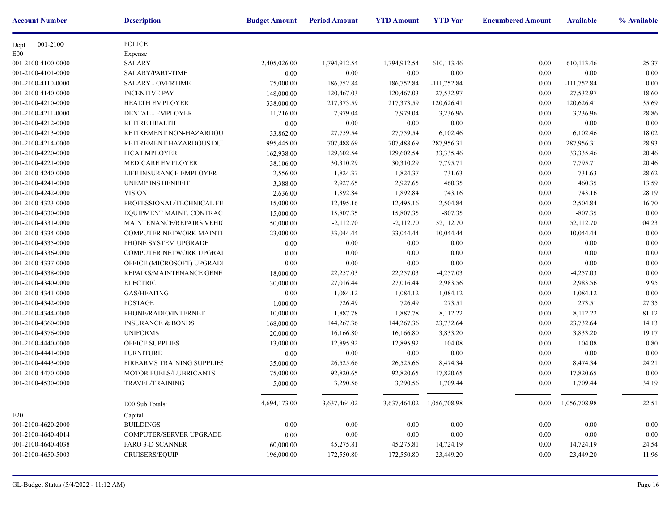| <b>Account Number</b> | <b>Description</b>           | <b>Budget Amount</b> | <b>Period Amount</b> | <b>YTD Amount</b> | <b>YTD</b> Var            | <b>Encumbere</b> |
|-----------------------|------------------------------|----------------------|----------------------|-------------------|---------------------------|------------------|
| 001-2100<br>Dept      | POLICE                       |                      |                      |                   |                           |                  |
| E00                   | Expense                      |                      |                      |                   |                           |                  |
| 001-2100-4100-0000    | <b>SALARY</b>                | 2,405,026.00         | 1,794,912.54         | 1,794,912.54      | 610,113.46                |                  |
| 001-2100-4101-0000    | SALARY/PART-TIME             | 0.00                 | 0.00                 | 0.00              | 0.00                      |                  |
| 001-2100-4110-0000    | <b>SALARY - OVERTIME</b>     | 75,000.00            | 186,752.84           | 186,752.84        | $-111,752.84$             |                  |
| 001-2100-4140-0000    | <b>INCENTIVE PAY</b>         | 148,000.00           | 120,467.03           | 120,467.03        | 27,532.97                 |                  |
| 001-2100-4210-0000    | <b>HEALTH EMPLOYER</b>       | 338,000.00           | 217,373.59           | 217,373.59        | 120,626.41                |                  |
| 001-2100-4211-0000    | <b>DENTAL - EMPLOYER</b>     | 11,216.00            | 7,979.04             | 7,979.04          | 3,236.96                  |                  |
| 001-2100-4212-0000    | <b>RETIRE HEALTH</b>         | 0.00                 | 0.00                 | 0.00              | 0.00                      |                  |
| 001-2100-4213-0000    | RETIREMENT NON-HAZARDOU      | 33,862.00            | 27,759.54            | 27,759.54         | 6,102.46                  |                  |
| 001-2100-4214-0000    | RETIREMENT HAZARDOUS DUT     | 995,445.00           | 707,488.69           | 707,488.69        | 287,956.31                |                  |
| 001-2100-4220-0000    | <b>FICA EMPLOYER</b>         | 162,938.00           | 129,602.54           | 129,602.54        | 33, 335. 46               |                  |
| 001-2100-4221-0000    | MEDICARE EMPLOYER            | 38,106.00            | 30,310.29            | 30,310.29         | 7,795.71                  |                  |
| 001-2100-4240-0000    | LIFE INSURANCE EMPLOYER      | 2,556.00             | 1,824.37             | 1,824.37          | 731.63                    |                  |
| 001-2100-4241-0000    | <b>UNEMP INS BENEFIT</b>     | 3,388.00             | 2,927.65             | 2,927.65          | 460.35                    |                  |
| 001-2100-4242-0000    | <b>VISION</b>                | 2,636.00             | 1,892.84             | 1,892.84          | 743.16                    |                  |
| 001-2100-4323-0000    | PROFESSIONAL/TECHNICAL FE    | 15,000.00            | 12,495.16            | 12,495.16         | 2,504.84                  |                  |
| 001-2100-4330-0000    | EQUIPMENT MAINT. CONTRAC'    | 15,000.00            | 15,807.35            | 15,807.35         | $-807.35$                 |                  |
| 001-2100-4331-0000    | MAINTENANCE/REPAIRS VEHIC    | 50,000.00            | $-2,112.70$          | $-2,112.70$       | 52,112.70                 |                  |
| 001-2100-4334-0000    | COMPUTER NETWORK MAINTE      | 23,000.00            | 33,044.44            | 33,044.44         | $-10,044.44$              |                  |
| 001-2100-4335-0000    | PHONE SYSTEM UPGRADE         | 0.00                 | 0.00                 | 0.00              | 0.00                      |                  |
| 001-2100-4336-0000    | COMPUTER NETWORK UPGRAI      | 0.00                 | 0.00                 | 0.00              | 0.00                      |                  |
| 001-2100-4337-0000    | OFFICE (MICROSOFT) UPGRADI   | 0.00                 | 0.00                 | 0.00              | 0.00                      |                  |
| 001-2100-4338-0000    | REPAIRS/MAINTENANCE GENE!    | 18,000.00            | 22,257.03            | 22,257.03         | $-4,257.03$               |                  |
| 001-2100-4340-0000    | <b>ELECTRIC</b>              | 30,000.00            | 27,016.44            | 27,016.44         | 2,983.56                  |                  |
| 001-2100-4341-0000    | <b>GAS/HEATING</b>           | 0.00                 | 1,084.12             | 1,084.12          | $-1,084.12$               |                  |
| 001-2100-4342-0000    | <b>POSTAGE</b>               | 1,000.00             | 726.49               | 726.49            | 273.51                    |                  |
| 001-2100-4344-0000    | PHONE/RADIO/INTERNET         | 10,000.00            | 1,887.78             | 1,887.78          | 8,112.22                  |                  |
| 001-2100-4360-0000    | <b>INSURANCE &amp; BONDS</b> | 168,000.00           | 144,267.36           | 144,267.36        | 23,732.64                 |                  |
| 001-2100-4376-0000    | <b>UNIFORMS</b>              | 20,000.00            | 16,166.80            | 16,166.80         | 3,833.20                  |                  |
| 001-2100-4440-0000    | OFFICE SUPPLIES              | 13,000.00            | 12,895.92            | 12,895.92         | 104.08                    |                  |
| 001-2100-4441-0000    | <b>FURNITURE</b>             | 0.00                 | 0.00                 | 0.00              | 0.00                      |                  |
| 001-2100-4443-0000    | FIREARMS TRAINING SUPPLIES   | 35,000.00            | 26,525.66            | 26,525.66         | 8,474.34                  |                  |
| 001-2100-4470-0000    | MOTOR FUELS/LUBRICANTS       | 75,000.00            | 92,820.65            | 92,820.65         | $-17,820.65$              |                  |
| 001-2100-4530-0000    | TRAVEL/TRAINING              | 5,000.00             | 3,290.56             | 3,290.56          | 1,709.44                  |                  |
|                       |                              |                      |                      |                   |                           |                  |
|                       | E00 Sub Totals:              | 4,694,173.00         | 3,637,464.02         |                   | 3,637,464.02 1,056,708.98 |                  |
| E20                   | Capital                      |                      |                      |                   |                           |                  |
| 001-2100-4620-2000    | <b>BUILDINGS</b>             | 0.00                 | 0.00                 | 0.00              | 0.00                      |                  |
| 001-2100-4640-4014    | COMPUTER/SERVER UPGRADE      | 0.00                 | 0.00                 | $0.00\,$          | 0.00                      |                  |
| 001-2100-4640-4038    | <b>FARO 3-D SCANNER</b>      | 60,000.00            | 45,275.81            | 45,275.81         | 14,724.19                 |                  |
| 001-2100-4650-5003    | CRUISERS/EQUIP               | 196,000.00           | 172,550.80           | 172,550.80        | 23,449.20                 |                  |
|                       |                              |                      |                      |                   |                           |                  |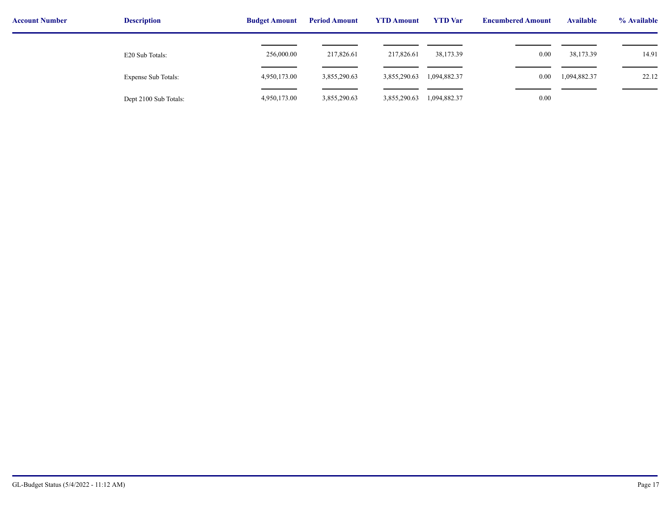| <b>Account Number</b> | <b>Description</b>    | <b>Budget Amount</b> | <b>Period Amount</b> | <b>YTD Amount</b> | <b>YTD</b> Var | <b>Encumbered Amount</b> | <b>Available</b> | % Available |
|-----------------------|-----------------------|----------------------|----------------------|-------------------|----------------|--------------------------|------------------|-------------|
|                       | E20 Sub Totals:       | 256,000.00           | 217,826.61           | 217,826.61        | 38,173.39      | 0.00                     | 38,173.39        | 14.91       |
|                       | Expense Sub Totals:   | 4,950,173.00         | 3,855,290.63         | 3,855,290.63      | 1,094,882.37   | 0.00                     | 1,094,882.37     | 22.12       |
|                       | Dept 2100 Sub Totals: | 4,950,173.00         | 3,855,290.63         | 3,855,290.63      | 1,094,882.37   | 0.00                     |                  |             |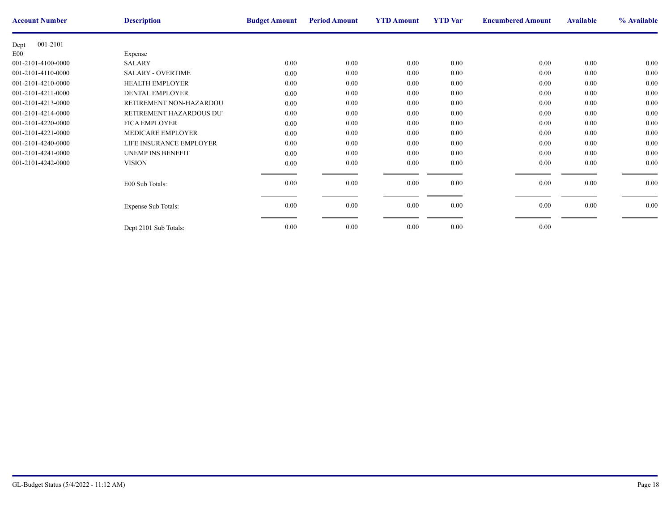| <b>Account Number</b> | <b>Description</b>         | <b>Budget Amount</b> | <b>Period Amount</b> | <b>YTD Amount</b> | <b>YTD</b> Var | <b>Encumbere</b> |
|-----------------------|----------------------------|----------------------|----------------------|-------------------|----------------|------------------|
| 001-2101<br>Dept      |                            |                      |                      |                   |                |                  |
| E00                   | Expense                    |                      |                      |                   |                |                  |
| 001-2101-4100-0000    | <b>SALARY</b>              | $0.00\,$             | $0.00\,$             | $0.00\,$          | 0.00           |                  |
| 001-2101-4110-0000    | <b>SALARY - OVERTIME</b>   | $0.00\,$             | $0.00\,$             | 0.00              | 0.00           |                  |
| 001-2101-4210-0000    | <b>HEALTH EMPLOYER</b>     | $0.00\,$             | 0.00                 | 0.00              | 0.00           |                  |
| 001-2101-4211-0000    | DENTAL EMPLOYER            | $0.00\,$             | $0.00\,$             | $0.00\,$          | 0.00           |                  |
| 001-2101-4213-0000    | RETIREMENT NON-HAZARDOU    | 0.00                 | 0.00                 | 0.00              | 0.00           |                  |
| 001-2101-4214-0000    | RETIREMENT HAZARDOUS DU'   | $0.00\,$             | 0.00                 | 0.00              | $0.00\,$       |                  |
| 001-2101-4220-0000    | <b>FICA EMPLOYER</b>       | $0.00\,$             | $0.00\,$             | $0.00\,$          | 0.00           |                  |
| 001-2101-4221-0000    | <b>MEDICARE EMPLOYER</b>   | 0.00                 | 0.00                 | 0.00              | 0.00           |                  |
| 001-2101-4240-0000    | LIFE INSURANCE EMPLOYER    | $0.00\,$             | $0.00\,$             | $0.00\,$          | 0.00           |                  |
| 001-2101-4241-0000    | <b>UNEMP INS BENEFIT</b>   | 0.00                 | $0.00\,$             | 0.00              | 0.00           |                  |
| 001-2101-4242-0000    | <b>VISION</b>              | $0.00\,$             | $0.00\,$             | $0.00\,$          | 0.00           |                  |
|                       |                            |                      |                      |                   |                |                  |
|                       | E00 Sub Totals:            | 0.00                 | $0.00\,$             | 0.00              | 0.00           |                  |
|                       |                            |                      |                      |                   |                |                  |
|                       | <b>Expense Sub Totals:</b> | 0.00                 | $0.00\,$             | $0.00\,$          | 0.00           |                  |
|                       |                            |                      |                      |                   |                |                  |
|                       | Dept 2101 Sub Totals:      | 0.00                 | $0.00\,$             | 0.00              | 0.00           |                  |
|                       |                            |                      |                      |                   |                |                  |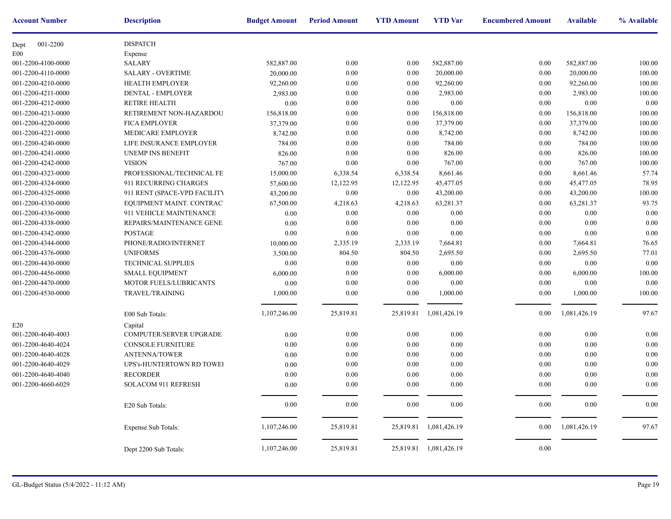| <b>Account Number</b> | <b>Description</b>           | <b>Budget Amount</b> | <b>Period Amount</b> | <b>YTD Amount</b> | <b>YTD</b> Var         | <b>Encumbere</b> |
|-----------------------|------------------------------|----------------------|----------------------|-------------------|------------------------|------------------|
| 001-2200<br>Dept      | <b>DISPATCH</b>              |                      |                      |                   |                        |                  |
| E00                   | Expense                      |                      |                      |                   |                        |                  |
| 001-2200-4100-0000    | <b>SALARY</b>                | 582,887.00           | 0.00                 | 0.00              | 582,887.00             |                  |
| 001-2200-4110-0000    | <b>SALARY - OVERTIME</b>     | 20,000.00            | 0.00                 | 0.00              | 20,000.00              |                  |
| 001-2200-4210-0000    | <b>HEALTH EMPLOYER</b>       | 92,260.00            | 0.00                 | 0.00              | 92,260.00              |                  |
| 001-2200-4211-0000    | <b>DENTAL - EMPLOYER</b>     | 2,983.00             | 0.00                 | 0.00              | 2,983.00               |                  |
| 001-2200-4212-0000    | <b>RETIRE HEALTH</b>         | $0.00\,$             | 0.00                 | 0.00              | 0.00                   |                  |
| 001-2200-4213-0000    | RETIREMENT NON-HAZARDOU      | 156,818.00           | 0.00                 | 0.00              | 156,818.00             |                  |
| 001-2200-4220-0000    | <b>FICA EMPLOYER</b>         | 37,379.00            | 0.00                 | 0.00              | 37,379.00              |                  |
| 001-2200-4221-0000    | MEDICARE EMPLOYER            | 8,742.00             | 0.00                 | 0.00              | 8,742.00               |                  |
| 001-2200-4240-0000    | LIFE INSURANCE EMPLOYER      | 784.00               | 0.00                 | 0.00              | 784.00                 |                  |
| 001-2200-4241-0000    | <b>UNEMP INS BENEFIT</b>     | 826.00               | 0.00                 | 0.00              | 826.00                 |                  |
| 001-2200-4242-0000    | <b>VISION</b>                | 767.00               | 0.00                 | 0.00              | 767.00                 |                  |
| 001-2200-4323-0000    | PROFESSIONAL/TECHNICAL FE    | 15,000.00            | 6,338.54             | 6,338.54          | 8,661.46               |                  |
| 001-2200-4324-0000    | 911 RECURRING CHARGES        | 57,600.00            | 12,122.95            | 12,122.95         | 45,477.05              |                  |
| 001-2200-4325-0000    | 911 RENT (SPACE-VPD FACILITY | 43,200.00            | $0.00\,$             | 0.00              | 43,200.00              |                  |
| 001-2200-4330-0000    | EQUIPMENT MAINT. CONTRAC'    | 67,500.00            | 4,218.63             | 4,218.63          | 63,281.37              |                  |
| 001-2200-4336-0000    | 911 VEHICLE MAINTENANCE      | 0.00                 | 0.00                 | 0.00              | $0.00\,$               |                  |
| 001-2200-4338-0000    | REPAIRS/MAINTENANCE GENE     | 0.00                 | 0.00                 | 0.00              | 0.00                   |                  |
| 001-2200-4342-0000    | <b>POSTAGE</b>               | 0.00                 | $0.00\,$             | 0.00              | 0.00                   |                  |
| 001-2200-4344-0000    | PHONE/RADIO/INTERNET         | 10,000.00            | 2,335.19             | 2,335.19          | 7,664.81               |                  |
| 001-2200-4376-0000    | <b>UNIFORMS</b>              | 3,500.00             | 804.50               | 804.50            | 2,695.50               |                  |
| 001-2200-4430-0000    | <b>TECHNICAL SUPPLIES</b>    | 0.00                 | 0.00                 | 0.00              | 0.00                   |                  |
| 001-2200-4456-0000    | <b>SMALL EQUIPMENT</b>       | 6,000.00             | 0.00                 | 0.00              | 6,000.00               |                  |
|                       |                              |                      | 0.00                 | 0.00              | 0.00                   |                  |
| 001-2200-4470-0000    | MOTOR FUELS/LUBRICANTS       | 0.00                 |                      |                   |                        |                  |
| 001-2200-4530-0000    | TRAVEL/TRAINING              | 1,000.00             | 0.00                 | 0.00              | 1,000.00               |                  |
|                       | E00 Sub Totals:              | 1,107,246.00         | 25,819.81            |                   | 25,819.81 1,081,426.19 |                  |
| E20                   | Capital                      |                      |                      |                   |                        |                  |
| 001-2200-4640-4003    | COMPUTER/SERVER UPGRADE      | 0.00                 | 0.00                 | 0.00              | 0.00                   |                  |
| 001-2200-4640-4024    | <b>CONSOLE FURNITURE</b>     | 0.00                 | 0.00                 | 0.00              | 0.00                   |                  |
| 001-2200-4640-4028    | <b>ANTENNA/TOWER</b>         | 0.00                 | 0.00                 | 0.00              | 0.00                   |                  |
| 001-2200-4640-4029    | UPS's-HUNTERTOWN RD TOWEI    | 0.00                 | 0.00                 | 0.00              | 0.00                   |                  |
| 001-2200-4640-4040    | <b>RECORDER</b>              | 0.00                 | 0.00                 | 0.00              | 0.00                   |                  |
| 001-2200-4660-6029    | SOLACOM 911 REFRESH          | 0.00                 | 0.00                 | 0.00              | 0.00                   |                  |
|                       | E20 Sub Totals:              | 0.00                 | $0.00\,$             | 0.00              | 0.00                   |                  |
|                       | Expense Sub Totals:          | 1,107,246.00         | 25,819.81            |                   | 25,819.81 1,081,426.19 |                  |
|                       | Dept 2200 Sub Totals:        | 1,107,246.00         | 25,819.81            |                   | 25,819.81 1,081,426.19 |                  |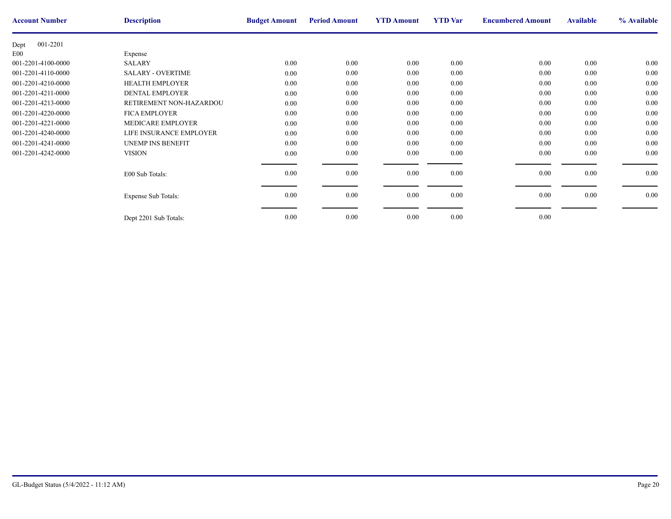| <b>Account Number</b> | <b>Description</b>       | <b>Budget Amount</b> | <b>Period Amount</b> | <b>YTD Amount</b> | <b>YTD</b> Var | <b>Encumbere</b> |
|-----------------------|--------------------------|----------------------|----------------------|-------------------|----------------|------------------|
| 001-2201<br>Dept      |                          |                      |                      |                   |                |                  |
| E00                   | Expense                  |                      |                      |                   |                |                  |
| 001-2201-4100-0000    | <b>SALARY</b>            | 0.00                 | 0.00                 | 0.00              | 0.00           |                  |
| 001-2201-4110-0000    | <b>SALARY - OVERTIME</b> | 0.00                 | 0.00                 | 0.00              | 0.00           |                  |
| 001-2201-4210-0000    | <b>HEALTH EMPLOYER</b>   | 0.00                 | 0.00                 | 0.00              | 0.00           |                  |
| 001-2201-4211-0000    | <b>DENTAL EMPLOYER</b>   | 0.00                 | 0.00                 | 0.00              | 0.00           |                  |
| 001-2201-4213-0000    | RETIREMENT NON-HAZARDOU  | $0.00\,$             | 0.00                 | 0.00              | 0.00           |                  |
| 001-2201-4220-0000    | <b>FICA EMPLOYER</b>     | 0.00                 | 0.00                 | 0.00              | 0.00           |                  |
| 001-2201-4221-0000    | MEDICARE EMPLOYER        | 0.00                 | 0.00                 | 0.00              | 0.00           |                  |
| 001-2201-4240-0000    | LIFE INSURANCE EMPLOYER  | 0.00                 | 0.00                 | 0.00              | 0.00           |                  |
| 001-2201-4241-0000    | <b>UNEMP INS BENEFIT</b> | 0.00                 | 0.00                 | 0.00              | 0.00           |                  |
| 001-2201-4242-0000    | <b>VISION</b>            | 0.00                 | 0.00                 | 0.00              | 0.00           |                  |
|                       |                          |                      |                      |                   |                |                  |
|                       | E00 Sub Totals:          | 0.00                 | 0.00                 | 0.00              | 0.00           |                  |
|                       |                          |                      |                      |                   |                |                  |
|                       | Expense Sub Totals:      | 0.00                 | $0.00\,$             | 0.00              | 0.00           |                  |
|                       |                          |                      |                      |                   |                |                  |
|                       | Dept 2201 Sub Totals:    | 0.00                 | 0.00                 | 0.00              | 0.00           |                  |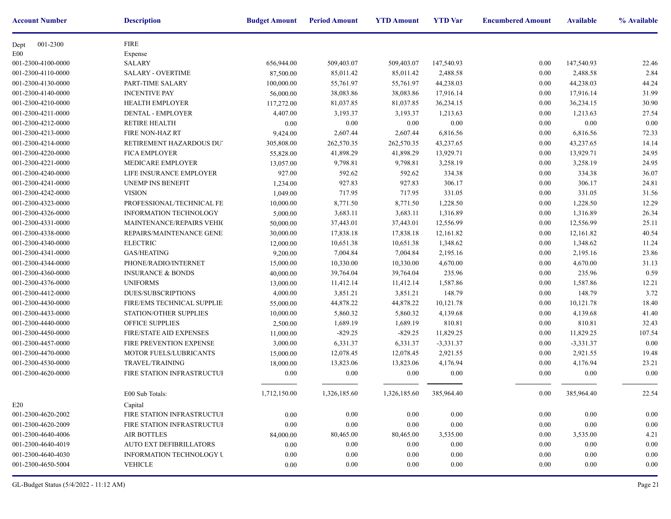| <b>Account Number</b> | <b>Description</b>               | <b>Budget Amount</b> | <b>Period Amount</b> | <b>YTD Amount</b> | <b>YTD</b> Var | <b>Encumbere</b> |
|-----------------------|----------------------------------|----------------------|----------------------|-------------------|----------------|------------------|
| 001-2300<br>Dept      | <b>FIRE</b>                      |                      |                      |                   |                |                  |
| E00                   | Expense                          |                      |                      |                   |                |                  |
| 001-2300-4100-0000    | <b>SALARY</b>                    | 656,944.00           | 509,403.07           | 509,403.07        | 147,540.93     |                  |
| 001-2300-4110-0000    | <b>SALARY - OVERTIME</b>         | 87,500.00            | 85,011.42            | 85,011.42         | 2,488.58       |                  |
| 001-2300-4130-0000    | PART-TIME SALARY                 | 100,000.00           | 55,761.97            | 55,761.97         | 44,238.03      |                  |
| 001-2300-4140-0000    | <b>INCENTIVE PAY</b>             | 56,000.00            | 38,083.86            | 38,083.86         | 17,916.14      |                  |
| 001-2300-4210-0000    | <b>HEALTH EMPLOYER</b>           | 117,272.00           | 81,037.85            | 81,037.85         | 36,234.15      |                  |
| 001-2300-4211-0000    | <b>DENTAL - EMPLOYER</b>         | 4,407.00             | 3,193.37             | 3,193.37          | 1,213.63       |                  |
| 001-2300-4212-0000    | <b>RETIRE HEALTH</b>             | $0.00\,$             | 0.00                 | 0.00              | 0.00           |                  |
| 001-2300-4213-0000    | FIRE NON-HAZ RT                  | 9,424.00             | 2,607.44             | 2,607.44          | 6,816.56       |                  |
| 001-2300-4214-0000    | RETIREMENT HAZARDOUS DU'         | 305,808.00           | 262,570.35           | 262,570.35        | 43,237.65      |                  |
| 001-2300-4220-0000    | <b>FICA EMPLOYER</b>             | 55,828.00            | 41,898.29            | 41,898.29         | 13,929.71      |                  |
| 001-2300-4221-0000    | MEDICARE EMPLOYER                | 13,057.00            | 9,798.81             | 9,798.81          | 3,258.19       |                  |
| 001-2300-4240-0000    | LIFE INSURANCE EMPLOYER          | 927.00               | 592.62               | 592.62            | 334.38         |                  |
| 001-2300-4241-0000    | <b>UNEMP INS BENEFIT</b>         | 1,234.00             | 927.83               | 927.83            | 306.17         |                  |
| 001-2300-4242-0000    | <b>VISION</b>                    | 1,049.00             | 717.95               | 717.95            | 331.05         |                  |
| 001-2300-4323-0000    | PROFESSIONAL/TECHNICAL FE        | 10,000.00            | 8,771.50             | 8,771.50          | 1,228.50       |                  |
| 001-2300-4326-0000    | <b>INFORMATION TECHNOLOGY</b>    | 5,000.00             | 3,683.11             | 3,683.11          | 1,316.89       |                  |
| 001-2300-4331-0000    | <b>MAINTENANCE/REPAIRS VEHIC</b> | 50,000.00            | 37,443.01            | 37,443.01         | 12,556.99      |                  |
| 001-2300-4338-0000    | REPAIRS/MAINTENANCE GENE!        | 30,000.00            | 17,838.18            | 17,838.18         | 12,161.82      |                  |
| 001-2300-4340-0000    | <b>ELECTRIC</b>                  | 12,000.00            | 10,651.38            | 10,651.38         | 1,348.62       |                  |
| 001-2300-4341-0000    | <b>GAS/HEATING</b>               | 9,200.00             | 7,004.84             | 7,004.84          | 2,195.16       |                  |
| 001-2300-4344-0000    | PHONE/RADIO/INTERNET             | 15,000.00            | 10,330.00            | 10,330.00         | 4,670.00       |                  |
| 001-2300-4360-0000    | <b>INSURANCE &amp; BONDS</b>     | 40,000.00            | 39,764.04            | 39,764.04         | 235.96         |                  |
| 001-2300-4376-0000    | <b>UNIFORMS</b>                  | 13,000.00            | 11,412.14            | 11,412.14         | 1,587.86       |                  |
| 001-2300-4412-0000    | <b>DUES/SUBSCRIPTIONS</b>        | 4,000.00             | 3,851.21             | 3,851.21          | 148.79         |                  |
| 001-2300-4430-0000    | FIRE/EMS TECHNICAL SUPPLIE:      | 55,000.00            | 44,878.22            | 44,878.22         | 10,121.78      |                  |
| 001-2300-4433-0000    | STATION/OTHER SUPPLIES           | 10,000.00            | 5,860.32             | 5,860.32          | 4,139.68       |                  |
| 001-2300-4440-0000    | OFFICE SUPPLIES                  | 2,500.00             | 1,689.19             | 1,689.19          | 810.81         |                  |
| 001-2300-4450-0000    | FIRE/STATE AID EXPENSES          | 11,000.00            | $-829.25$            | $-829.25$         | 11,829.25      |                  |
| 001-2300-4457-0000    | FIRE PREVENTION EXPENSE          | 3,000.00             | 6,331.37             | 6,331.37          | $-3,331.37$    |                  |
| 001-2300-4470-0000    | MOTOR FUELS/LUBRICANTS           | 15,000.00            | 12,078.45            | 12,078.45         | 2,921.55       |                  |
| 001-2300-4530-0000    | <b>TRAVEL/TRAINING</b>           | 18,000.00            | 13,823.06            | 13,823.06         | 4,176.94       |                  |
| 001-2300-4620-0000    | FIRE STATION INFRASTRUCTUF       | 0.00                 | $0.00\,$             | 0.00              | 0.00           |                  |
|                       | E00 Sub Totals:                  | 1,712,150.00         | 1,326,185.60         | 1,326,185.60      | 385,964.40     |                  |
| E20                   | Capital                          |                      |                      |                   |                |                  |
| 001-2300-4620-2002    | FIRE STATION INFRASTRUCTUF       | 0.00                 | 0.00                 | 0.00              | 0.00           |                  |
| 001-2300-4620-2009    | FIRE STATION INFRASTRUCTUF       | $0.00\,$             | 0.00                 | 0.00              | 0.00           |                  |
| 001-2300-4640-4006    | <b>AIR BOTTLES</b>               | 84,000.00            | 80,465.00            | 80,465.00         | 3,535.00       |                  |
| 001-2300-4640-4019    | <b>AUTO EXT DEFIBRILLATORS</b>   | 0.00                 | $0.00\,$             | 0.00              | 0.00           |                  |
| 001-2300-4640-4030    | <b>INFORMATION TECHNOLOGY U</b>  | 0.00                 | 0.00                 | 0.00              | 0.00           |                  |
| 001-2300-4650-5004    | <b>VEHICLE</b>                   | 0.00                 | $0.00\,$             | 0.00              | 0.00           |                  |
|                       |                                  |                      |                      |                   |                |                  |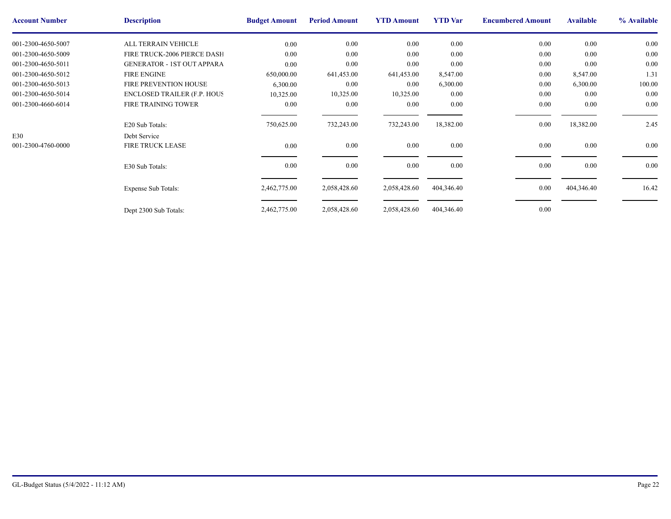| <b>Account Number</b> | <b>Description</b>                 | <b>Budget Amount</b> | <b>Period Amount</b> | <b>YTD Amount</b> | <b>YTD</b> Var | <b>Encumbere</b> |
|-----------------------|------------------------------------|----------------------|----------------------|-------------------|----------------|------------------|
| 001-2300-4650-5007    | ALL TERRAIN VEHICLE                | 0.00                 | 0.00                 | 0.00              | 0.00           |                  |
| 001-2300-4650-5009    | FIRE TRUCK-2006 PIERCE DASH        | 0.00                 | 0.00                 | 0.00              | 0.00           |                  |
| 001-2300-4650-5011    | <b>GENERATOR - 1ST OUT APPARA</b>  | $0.00\,$             | 0.00                 | 0.00              | $0.00\,$       |                  |
| 001-2300-4650-5012    | <b>FIRE ENGINE</b>                 | 650,000.00           | 641,453.00           | 641,453.00        | 8,547.00       |                  |
| 001-2300-4650-5013    | FIRE PREVENTION HOUSE              | 6,300.00             | 0.00                 | 0.00              | 6,300.00       |                  |
| 001-2300-4650-5014    | <b>ENCLOSED TRAILER (F.P. HOUS</b> | 10,325.00            | 10,325.00            | 10,325.00         | 0.00           |                  |
| 001-2300-4660-6014    | <b>FIRE TRAINING TOWER</b>         | $0.00\,$             | 0.00                 | 0.00              | 0.00           |                  |
|                       |                                    |                      |                      |                   |                |                  |
|                       | E20 Sub Totals:                    | 750,625.00           | 732,243.00           | 732,243.00        | 18,382.00      |                  |
| E30                   | Debt Service                       |                      |                      |                   |                |                  |
| 001-2300-4760-0000    | <b>FIRE TRUCK LEASE</b>            | 0.00                 | 0.00                 | 0.00              | 0.00           |                  |
|                       |                                    |                      |                      |                   |                |                  |
|                       | E30 Sub Totals:                    | $0.00\,$             | $0.00\,$             | 0.00              | $0.00\,$       |                  |
|                       |                                    |                      |                      |                   |                |                  |
|                       | <b>Expense Sub Totals:</b>         | 2,462,775.00         | 2,058,428.60         | 2,058,428.60      | 404,346.40     |                  |
|                       |                                    |                      |                      |                   |                |                  |
|                       |                                    | 2,462,775.00         | 2,058,428.60         | 2,058,428.60      | 404,346.40     |                  |
|                       | Dept 2300 Sub Totals:              |                      |                      |                   |                |                  |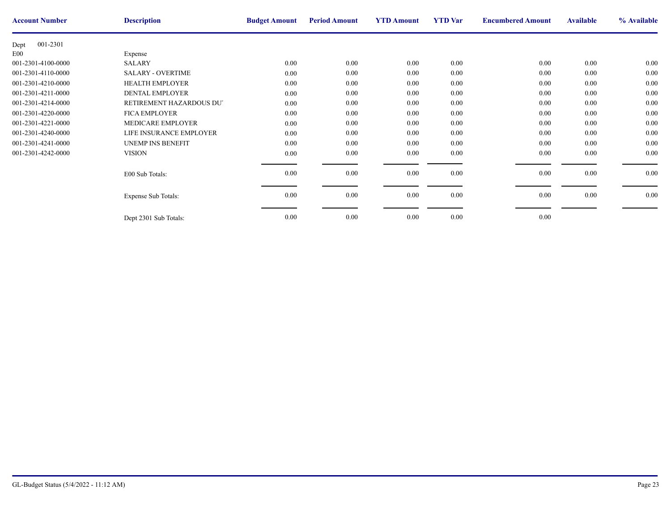| <b>Account Number</b> | <b>Description</b>       | <b>Budget Amount</b> | <b>Period Amount</b> | <b>YTD Amount</b> | <b>YTD</b> Var | <b>Encumbere</b> |
|-----------------------|--------------------------|----------------------|----------------------|-------------------|----------------|------------------|
| 001-2301<br>Dept      |                          |                      |                      |                   |                |                  |
| E00                   | Expense                  |                      |                      |                   |                |                  |
| 001-2301-4100-0000    | <b>SALARY</b>            | 0.00                 | 0.00                 | 0.00              | 0.00           |                  |
| 001-2301-4110-0000    | <b>SALARY - OVERTIME</b> | 0.00                 | 0.00                 | 0.00              | 0.00           |                  |
| 001-2301-4210-0000    | <b>HEALTH EMPLOYER</b>   | 0.00                 | 0.00                 | 0.00              | 0.00           |                  |
| 001-2301-4211-0000    | <b>DENTAL EMPLOYER</b>   | 0.00                 | 0.00                 | 0.00              | 0.00           |                  |
| 001-2301-4214-0000    | RETIREMENT HAZARDOUS DUT | $0.00\,$             | 0.00                 | 0.00              | 0.00           |                  |
| 001-2301-4220-0000    | <b>FICA EMPLOYER</b>     | 0.00                 | 0.00                 | 0.00              | 0.00           |                  |
| 001-2301-4221-0000    | MEDICARE EMPLOYER        | 0.00                 | 0.00                 | 0.00              | 0.00           |                  |
| 001-2301-4240-0000    | LIFE INSURANCE EMPLOYER  | 0.00                 | 0.00                 | 0.00              | 0.00           |                  |
| 001-2301-4241-0000    | <b>UNEMP INS BENEFIT</b> | 0.00                 | 0.00                 | 0.00              | 0.00           |                  |
| 001-2301-4242-0000    | <b>VISION</b>            | 0.00                 | 0.00                 | 0.00              | 0.00           |                  |
|                       |                          |                      |                      |                   |                |                  |
|                       | E00 Sub Totals:          | 0.00                 | 0.00                 | 0.00              | 0.00           |                  |
|                       |                          |                      |                      |                   |                |                  |
|                       | Expense Sub Totals:      | 0.00                 | $0.00\,$             | 0.00              | 0.00           |                  |
|                       |                          |                      |                      |                   |                |                  |
|                       | Dept 2301 Sub Totals:    | 0.00                 | 0.00                 | 0.00              | 0.00           |                  |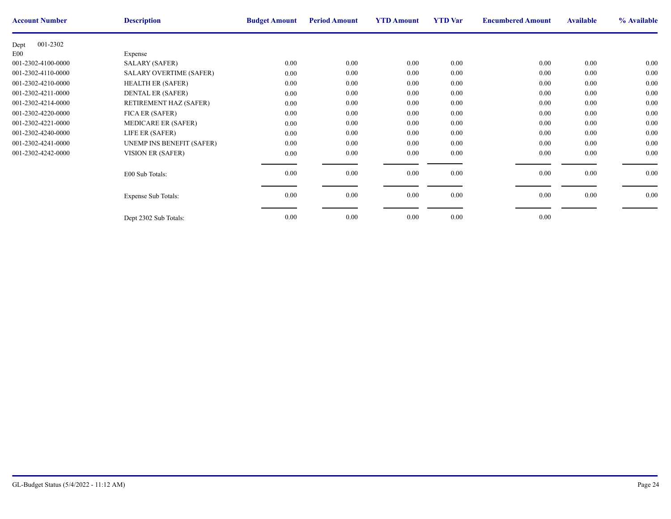| <b>Account Number</b> | <b>Description</b>             | <b>Budget Amount</b> | <b>Period Amount</b> | <b>YTD Amount</b> | <b>YTD</b> Var | <b>Encumbere</b> |
|-----------------------|--------------------------------|----------------------|----------------------|-------------------|----------------|------------------|
| 001-2302<br>Dept      |                                |                      |                      |                   |                |                  |
| E00                   | Expense                        |                      |                      |                   |                |                  |
| 001-2302-4100-0000    | <b>SALARY (SAFER)</b>          | $0.00\,$             | $0.00\,$             | $0.00\,$          | 0.00           |                  |
| 001-2302-4110-0000    | <b>SALARY OVERTIME (SAFER)</b> | $0.00\,$             | 0.00                 | 0.00              | 0.00           |                  |
| 001-2302-4210-0000    | <b>HEALTH ER (SAFER)</b>       | 0.00                 | $0.00\,$             | $0.00\,$          | 0.00           |                  |
| 001-2302-4211-0000    | <b>DENTAL ER (SAFER)</b>       | 0.00                 | 0.00                 | 0.00              | 0.00           |                  |
| 001-2302-4214-0000    | RETIREMENT HAZ (SAFER)         | $0.00\,$             | 0.00                 | 0.00              | 0.00           |                  |
| 001-2302-4220-0000    | FICA ER (SAFER)                | $0.00\,$             | $0.00\,$             | 0.00              | 0.00           |                  |
| 001-2302-4221-0000    | <b>MEDICARE ER (SAFER)</b>     | $0.00\,$             | $0.00\,$             | 0.00              | 0.00           |                  |
| 001-2302-4240-0000    | LIFE ER (SAFER)                | 0.00                 | 0.00                 | 0.00              | 0.00           |                  |
| 001-2302-4241-0000    | UNEMP INS BENEFIT (SAFER)      | 0.00                 | 0.00                 | 0.00              | 0.00           |                  |
| 001-2302-4242-0000    | VISION ER (SAFER)              | $0.00\,$             | $0.00\,$             | $0.00\,$          | 0.00           |                  |
|                       |                                |                      |                      |                   |                |                  |
|                       | E00 Sub Totals:                | 0.00                 | $0.00\,$             | 0.00              | 0.00           |                  |
|                       |                                |                      |                      |                   |                |                  |
|                       | <b>Expense Sub Totals:</b>     | 0.00                 | $0.00\,$             | $0.00\,$          | 0.00           |                  |
|                       |                                |                      |                      |                   |                |                  |
|                       | Dept 2302 Sub Totals:          | 0.00                 | 0.00                 | 0.00              | 0.00           |                  |
|                       |                                |                      |                      |                   |                |                  |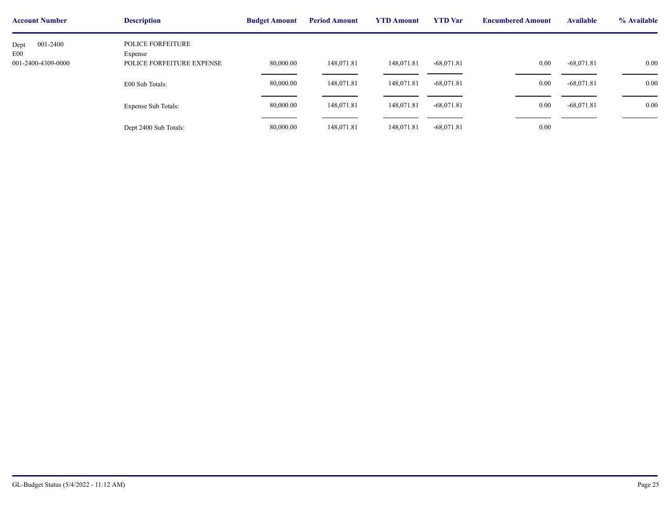| <b>Account Number</b>                         | <b>Description</b>                                               | <b>Budget Amount</b> | <b>Period Amount</b> | <b>YTD Amount</b> | <b>YTD</b> Var | <b>Encumbere</b> |
|-----------------------------------------------|------------------------------------------------------------------|----------------------|----------------------|-------------------|----------------|------------------|
| 001-2400<br>Dept<br>E00<br>001-2400-4309-0000 | <b>POLICE FORFEITURE</b><br>Expense<br>POLICE FORFEITURE EXPENSE | 80,000.00            | 148,071.81           | 148,071.81        | $-68,071.81$   |                  |
|                                               | E00 Sub Totals:                                                  | 80,000.00            | 148,071.81           | 148,071.81        | $-68,071.81$   |                  |
|                                               | Expense Sub Totals:                                              | 80,000.00            | 148,071.81           | 148,071.81        | $-68,071.81$   |                  |
|                                               | Dept 2400 Sub Totals:                                            | 80,000.00            | 148,071.81           | 148,071.81        | $-68,071.81$   |                  |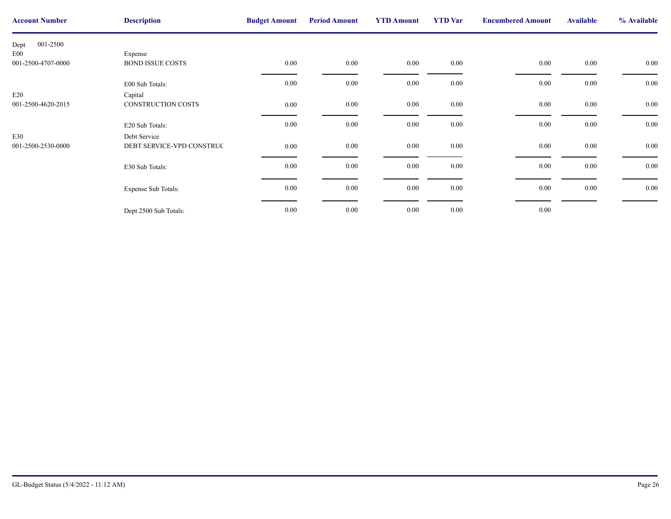| <b>Account Number</b> | <b>Description</b>        | <b>Budget Amount</b> | <b>Period Amount</b> | <b>YTD Amount</b> | <b>YTD</b> Var | <b>Encumbere</b> |
|-----------------------|---------------------------|----------------------|----------------------|-------------------|----------------|------------------|
| 001-2500<br>Dept      |                           |                      |                      |                   |                |                  |
| E <sub>00</sub>       | Expense                   |                      |                      |                   |                |                  |
| 001-2500-4707-0000    | <b>BOND ISSUE COSTS</b>   | $0.00\,$             | $0.00\,$             | $0.00\,$          | $0.00\,$       |                  |
|                       | E00 Sub Totals:           | 0.00                 | $0.00\,$             | 0.00              | 0.00           |                  |
| E20                   | Capital                   |                      |                      |                   |                |                  |
| 001-2500-4620-2015    | CONSTRUCTION COSTS        | 0.00                 | $0.00\,$             | 0.00              | $0.00\,$       |                  |
|                       | E20 Sub Totals:           | 0.00                 | $0.00\,$             | 0.00              | $0.00\,$       |                  |
| E30                   | Debt Service              |                      |                      |                   |                |                  |
| 001-2500-2530-0000    | DEBT SERVICE-VPD CONSTRUC | 0.00                 | $0.00\,$             | 0.00              | $0.00\,$       |                  |
|                       | E30 Sub Totals:           | $0.00\,$             | $0.00\,$             | $0.00\,$          | $0.00\,$       |                  |
|                       | Expense Sub Totals:       | 0.00                 | $0.00\,$             | 0.00              | $0.00\,$       |                  |
|                       | Dept 2500 Sub Totals:     | 0.00                 | $0.00\,$             | $0.00\,$          | 0.00           |                  |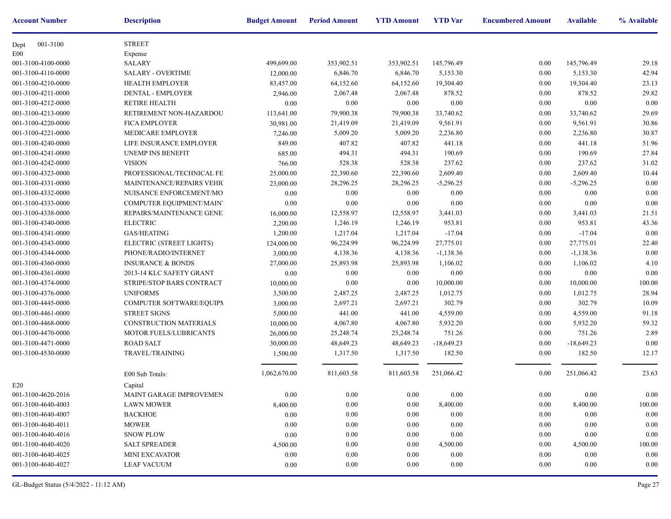| <b>Account Number</b> | <b>Description</b>           | <b>Budget Amount</b> | <b>Period Amount</b> | <b>YTD Amount</b> | <b>YTD</b> Var | <b>Encumbere</b> |
|-----------------------|------------------------------|----------------------|----------------------|-------------------|----------------|------------------|
| 001-3100<br>Dept      | <b>STREET</b>                |                      |                      |                   |                |                  |
| E00                   | Expense                      |                      |                      |                   |                |                  |
| 001-3100-4100-0000    | <b>SALARY</b>                | 499,699.00           | 353,902.51           | 353,902.51        | 145,796.49     |                  |
| 001-3100-4110-0000    | <b>SALARY - OVERTIME</b>     | 12,000.00            | 6,846.70             | 6,846.70          | 5,153.30       |                  |
| 001-3100-4210-0000    | <b>HEALTH EMPLOYER</b>       | 83,457.00            | 64,152.60            | 64,152.60         | 19,304.40      |                  |
| 001-3100-4211-0000    | DENTAL - EMPLOYER            | 2,946.00             | 2,067.48             | 2,067.48          | 878.52         |                  |
| 001-3100-4212-0000    | <b>RETIRE HEALTH</b>         | 0.00                 | 0.00                 | 0.00              | 0.00           |                  |
| 001-3100-4213-0000    | RETIREMENT NON-HAZARDOU      | 113,641.00           | 79,900.38            | 79,900.38         | 33,740.62      |                  |
| 001-3100-4220-0000    | <b>FICA EMPLOYER</b>         | 30,981.00            | 21,419.09            | 21,419.09         | 9,561.91       |                  |
| 001-3100-4221-0000    | MEDICARE EMPLOYER            | 7,246.00             | 5,009.20             | 5,009.20          | 2,236.80       |                  |
| 001-3100-4240-0000    | LIFE INSURANCE EMPLOYER      | 849.00               | 407.82               | 407.82            | 441.18         |                  |
| 001-3100-4241-0000    | UNEMP INS BENEFIT            | 685.00               | 494.31               | 494.31            | 190.69         |                  |
| 001-3100-4242-0000    | <b>VISION</b>                | 766.00               | 528.38               | 528.38            | 237.62         |                  |
| 001-3100-4323-0000    | PROFESSIONAL/TECHNICAL FE    | 25,000.00            | 22,390.60            | 22,390.60         | 2,609.40       |                  |
| 001-3100-4331-0000    | MAINTENANCE/REPAIRS VEHIC    | 23,000.00            | 28,296.25            | 28,296.25         | $-5,296.25$    |                  |
| 001-3100-4332-0000    | NUISANCE ENFORCEMENT/MO      | 0.00                 | 0.00                 | 0.00              | 0.00           |                  |
| 001-3100-4333-0000    | COMPUTER EQUIPMENT/MAINT     | 0.00                 | 0.00                 | 0.00              | 0.00           |                  |
| 001-3100-4338-0000    | REPAIRS/MAINTENANCE GENE!    | 16,000.00            | 12,558.97            | 12,558.97         | 3,441.03       |                  |
| 001-3100-4340-0000    | <b>ELECTRIC</b>              | 2,200.00             | 1,246.19             | 1,246.19          | 953.81         |                  |
| 001-3100-4341-0000    | GAS/HEATING                  | 1,200.00             | 1,217.04             | 1,217.04          | $-17.04$       |                  |
| 001-3100-4343-0000    | ELECTRIC (STREET LIGHTS)     | 124,000.00           | 96,224.99            | 96,224.99         | 27,775.01      |                  |
| 001-3100-4344-0000    | PHONE/RADIO/INTERNET         | 3,000.00             | 4,138.36             | 4,138.36          | $-1,138.36$    |                  |
| 001-3100-4360-0000    | <b>INSURANCE &amp; BONDS</b> | 27,000.00            | 25,893.98            | 25,893.98         | 1,106.02       |                  |
| 001-3100-4361-0000    | 2013-14 KLC SAFETY GRANT     | 0.00                 | 0.00                 | 0.00              | 0.00           |                  |
| 001-3100-4374-0000    | STRIPE/STOP BARS CONTRACT    | 10,000.00            | 0.00                 | 0.00              | 10,000.00      |                  |
| 001-3100-4376-0000    | <b>UNIFORMS</b>              | 3,500.00             | 2,487.25             | 2,487.25          | 1,012.75       |                  |
| 001-3100-4445-0000    | COMPUTER SOFTWARE/EQUIPM     | 3,000.00             | 2,697.21             | 2,697.21          | 302.79         |                  |
| 001-3100-4461-0000    | <b>STREET SIGNS</b>          | 5,000.00             | 441.00               | 441.00            | 4,559.00       |                  |
| 001-3100-4468-0000    | CONSTRUCTION MATERIALS       | 10,000.00            | 4,067.80             | 4,067.80          | 5,932.20       |                  |
| 001-3100-4470-0000    | MOTOR FUELS/LUBRICANTS       | 26,000.00            | 25,248.74            | 25,248.74         | 751.26         |                  |
| 001-3100-4471-0000    | <b>ROAD SALT</b>             | 30,000.00            | 48,649.23            | 48,649.23         | $-18,649.23$   |                  |
| 001-3100-4530-0000    | TRAVEL/TRAINING              | 1,500.00             | 1,317.50             | 1,317.50          | 182.50         |                  |
|                       | E00 Sub Totals:              | 1,062,670.00         | 811,603.58           | 811,603.58        | 251,066.42     |                  |
| E20                   | Capital                      |                      |                      |                   |                |                  |
| 001-3100-4620-2016    | MAINT GARAGE IMPROVEMEN      | $0.00\,$             | $0.00\,$             | $0.00\,$          | $0.00\,$       |                  |
| 001-3100-4640-4003    | <b>LAWN MOWER</b>            | 8,400.00             | 0.00                 | 0.00              | 8,400.00       |                  |
| 001-3100-4640-4007    | <b>BACKHOE</b>               | $0.00\,$             | 0.00                 | 0.00              | 0.00           |                  |
| 001-3100-4640-4011    | <b>MOWER</b>                 | 0.00                 | 0.00                 | 0.00              | 0.00           |                  |
| 001-3100-4640-4016    | <b>SNOW PLOW</b>             | 0.00                 | 0.00                 | 0.00              | 0.00           |                  |
| 001-3100-4640-4020    | <b>SALT SPREADER</b>         | 4,500.00             | 0.00                 | 0.00              | 4,500.00       |                  |
| 001-3100-4640-4025    | <b>MINI EXCAVATOR</b>        | 0.00                 | 0.00                 | 0.00              | 0.00           |                  |
| 001-3100-4640-4027    | <b>LEAF VACUUM</b>           | 0.00                 | 0.00                 | 0.00              | 0.00           |                  |
|                       |                              |                      |                      |                   |                |                  |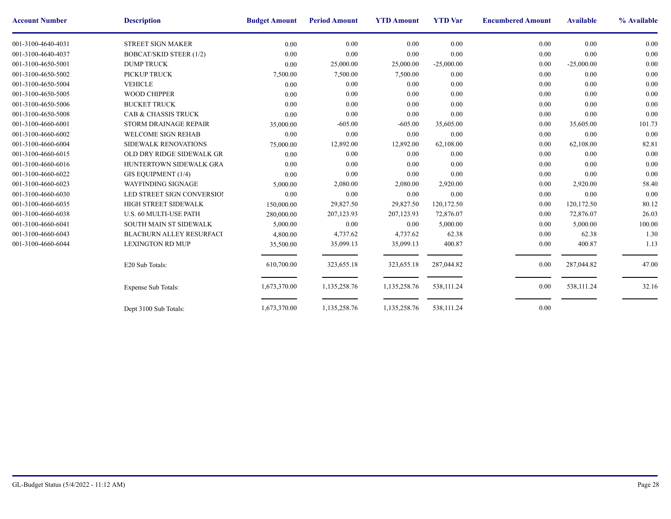| <b>Account Number</b> | <b>Description</b>              | <b>Budget Amount</b> | <b>Period Amount</b> | <b>YTD Amount</b> | <b>YTD</b> Var | <b>Encumbere</b> |
|-----------------------|---------------------------------|----------------------|----------------------|-------------------|----------------|------------------|
| 001-3100-4640-4031    | <b>STREET SIGN MAKER</b>        | 0.00                 | 0.00                 | 0.00              | 0.00           |                  |
| 001-3100-4640-4037    | <b>BOBCAT/SKID STEER (1/2)</b>  | 0.00                 | 0.00                 | 0.00              | 0.00           |                  |
| 001-3100-4650-5001    | <b>DUMP TRUCK</b>               | 0.00                 | 25,000.00            | 25,000.00         | $-25,000.00$   |                  |
| 001-3100-4650-5002    | PICKUP TRUCK                    | 7,500.00             | 7,500.00             | 7,500.00          | 0.00           |                  |
| 001-3100-4650-5004    | <b>VEHICLE</b>                  | 0.00                 | 0.00                 | 0.00              | 0.00           |                  |
| 001-3100-4650-5005    | <b>WOOD CHIPPER</b>             | 0.00                 | 0.00                 | 0.00              | 0.00           |                  |
| 001-3100-4650-5006    | <b>BUCKET TRUCK</b>             | 0.00                 | 0.00                 | 0.00              | 0.00           |                  |
| 001-3100-4650-5008    | <b>CAB &amp; CHASSIS TRUCK</b>  | 0.00                 | 0.00                 | 0.00              | 0.00           |                  |
| 001-3100-4660-6001    | STORM DRAINAGE REPAIR           | 35,000.00            | $-605.00$            | $-605.00$         | 35,605.00      |                  |
| 001-3100-4660-6002    | <b>WELCOME SIGN REHAB</b>       | 0.00                 | 0.00                 | 0.00              | 0.00           |                  |
| 001-3100-4660-6004    | SIDEWALK RENOVATIONS            | 75,000.00            | 12,892.00            | 12,892.00         | 62,108.00      |                  |
| 001-3100-4660-6015    | OLD DRY RIDGE SIDEWALK GR       | 0.00                 | 0.00                 | 0.00              | 0.00           |                  |
| 001-3100-4660-6016    | HUNTERTOWN SIDEWALK GRA         | 0.00                 | 0.00                 | 0.00              | 0.00           |                  |
| 001-3100-4660-6022    | GIS EQUIPMENT (1/4)             | 0.00                 | 0.00                 | 0.00              | 0.00           |                  |
| 001-3100-4660-6023    | <b>WAYFINDING SIGNAGE</b>       | 5,000.00             | 2,080.00             | 2,080.00          | 2,920.00       |                  |
| 001-3100-4660-6030    | LED STREET SIGN CONVERSIOI      | 0.00                 | 0.00                 | 0.00              | 0.00           |                  |
| 001-3100-4660-6035    | HIGH STREET SIDEWALK            | 150,000.00           | 29,827.50            | 29,827.50         | 120,172.50     |                  |
| 001-3100-4660-6038    | U.S. 60 MULTI-USE PATH          | 280,000.00           | 207,123.93           | 207,123.93        | 72,876.07      |                  |
| 001-3100-4660-6041    | SOUTH MAIN ST SIDEWALK          | 5,000.00             | 0.00                 | 0.00              | 5,000.00       |                  |
| 001-3100-4660-6043    | <b>BLACBURN ALLEY RESURFACI</b> | 4,800.00             | 4,737.62             | 4,737.62          | 62.38          |                  |
| 001-3100-4660-6044    | <b>LEXINGTON RD MUP</b>         | 35,500.00            | 35,099.13            | 35,099.13         | 400.87         |                  |
|                       | E20 Sub Totals:                 | 610,700.00           | 323,655.18           | 323,655.18        | 287,044.82     |                  |
|                       | <b>Expense Sub Totals:</b>      | 1,673,370.00         | 1,135,258.76         | 1,135,258.76      | 538,111.24     |                  |
|                       | Dept 3100 Sub Totals:           | 1,673,370.00         | 1,135,258.76         | 1,135,258.76      | 538,111.24     |                  |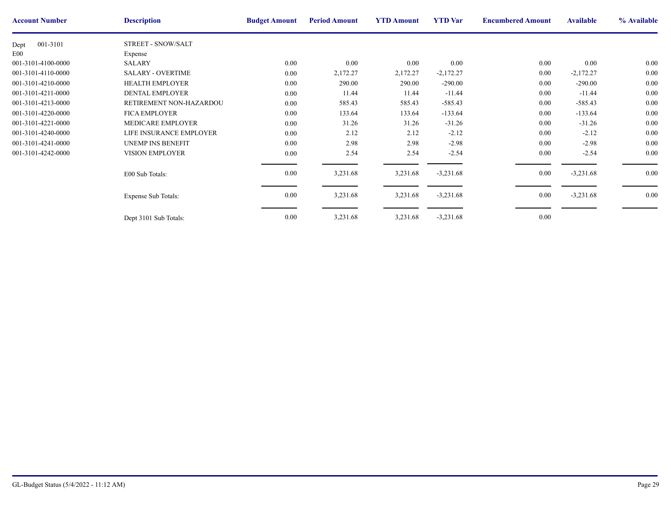| <b>Account Number</b> | <b>Description</b>         | <b>Budget Amount</b> | <b>Period Amount</b> | <b>YTD Amount</b> | <b>YTD</b> Var | <b>Encumbere</b> |
|-----------------------|----------------------------|----------------------|----------------------|-------------------|----------------|------------------|
| 001-3101<br>Dept      | STREET - SNOW/SALT         |                      |                      |                   |                |                  |
| E <sub>00</sub>       | Expense                    |                      |                      |                   |                |                  |
| 001-3101-4100-0000    | <b>SALARY</b>              | 0.00                 | 0.00                 | 0.00              | 0.00           |                  |
| 001-3101-4110-0000    | <b>SALARY - OVERTIME</b>   | 0.00                 | 2,172.27             | 2,172.27          | $-2,172.27$    |                  |
| 001-3101-4210-0000    | <b>HEALTH EMPLOYER</b>     | 0.00                 | 290.00               | 290.00            | $-290.00$      |                  |
| 001-3101-4211-0000    | <b>DENTAL EMPLOYER</b>     | 0.00                 | 11.44                | 11.44             | $-11.44$       |                  |
| 001-3101-4213-0000    | RETIREMENT NON-HAZARDOU    | 0.00                 | 585.43               | 585.43            | $-585.43$      |                  |
| 001-3101-4220-0000    | <b>FICA EMPLOYER</b>       | 0.00                 | 133.64               | 133.64            | $-133.64$      |                  |
| 001-3101-4221-0000    | MEDICARE EMPLOYER          | 0.00                 | 31.26                | 31.26             | $-31.26$       |                  |
| 001-3101-4240-0000    | LIFE INSURANCE EMPLOYER    | 0.00                 | 2.12                 | 2.12              | $-2.12$        |                  |
| 001-3101-4241-0000    | <b>UNEMP INS BENEFIT</b>   | 0.00                 | 2.98                 | 2.98              | $-2.98$        |                  |
| 001-3101-4242-0000    | <b>VISION EMPLOYER</b>     | $0.00\,$             | 2.54                 | 2.54              | $-2.54$        |                  |
|                       | E00 Sub Totals:            | 0.00                 | 3,231.68             | 3,231.68          | $-3,231.68$    |                  |
|                       | <b>Expense Sub Totals:</b> | 0.00                 | 3,231.68             | 3,231.68          | $-3,231.68$    |                  |
|                       | Dept 3101 Sub Totals:      | 0.00                 | 3,231.68             | 3,231.68          | $-3,231.68$    |                  |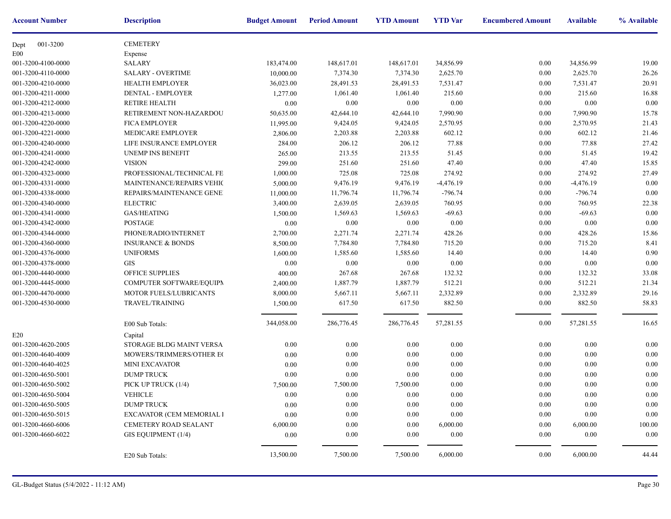| <b>Account Number</b> | <b>Description</b>           | <b>Budget Amount</b> | <b>Period Amount</b> | <b>YTD Amount</b> | <b>YTD</b> Var | <b>Encumbere</b> |
|-----------------------|------------------------------|----------------------|----------------------|-------------------|----------------|------------------|
| 001-3200<br>Dept      | <b>CEMETERY</b>              |                      |                      |                   |                |                  |
| E <sub>00</sub>       | Expense                      |                      |                      |                   |                |                  |
| 001-3200-4100-0000    | <b>SALARY</b>                | 183,474.00           | 148,617.01           | 148,617.01        | 34,856.99      |                  |
| 001-3200-4110-0000    | <b>SALARY - OVERTIME</b>     | 10,000.00            | 7,374.30             | 7,374.30          | 2,625.70       |                  |
| 001-3200-4210-0000    | HEALTH EMPLOYER              | 36,023.00            | 28,491.53            | 28,491.53         | 7,531.47       |                  |
| 001-3200-4211-0000    | <b>DENTAL - EMPLOYER</b>     | 1,277.00             | 1,061.40             | 1,061.40          | 215.60         |                  |
| 001-3200-4212-0000    | <b>RETIRE HEALTH</b>         | 0.00                 | 0.00                 | 0.00              | 0.00           |                  |
| 001-3200-4213-0000    | RETIREMENT NON-HAZARDOU      | 50,635.00            | 42,644.10            | 42,644.10         | 7,990.90       |                  |
| 001-3200-4220-0000    | <b>FICA EMPLOYER</b>         | 11,995.00            | 9,424.05             | 9,424.05          | 2,570.95       |                  |
| 001-3200-4221-0000    | MEDICARE EMPLOYER            | 2,806.00             | 2,203.88             | 2,203.88          | 602.12         |                  |
| 001-3200-4240-0000    | LIFE INSURANCE EMPLOYER      | 284.00               | 206.12               | 206.12            | 77.88          |                  |
| 001-3200-4241-0000    | <b>UNEMP INS BENEFIT</b>     | 265.00               | 213.55               | 213.55            | 51.45          |                  |
| 001-3200-4242-0000    | <b>VISION</b>                | 299.00               | 251.60               | 251.60            | 47.40          |                  |
| 001-3200-4323-0000    | PROFESSIONAL/TECHNICAL FE    | 1,000.00             | 725.08               | 725.08            | 274.92         |                  |
| 001-3200-4331-0000    | MAINTENANCE/REPAIRS VEHIC    | 5,000.00             | 9,476.19             | 9,476.19          | $-4,476.19$    |                  |
| 001-3200-4338-0000    | REPAIRS/MAINTENANCE GENE!    | 11,000.00            | 11,796.74            | 11,796.74         | $-796.74$      |                  |
| 001-3200-4340-0000    | <b>ELECTRIC</b>              | 3,400.00             | 2,639.05             | 2,639.05          | 760.95         |                  |
| 001-3200-4341-0000    | <b>GAS/HEATING</b>           | 1,500.00             | 1,569.63             | 1,569.63          | $-69.63$       |                  |
| 001-3200-4342-0000    | <b>POSTAGE</b>               | $0.00\,$             | 0.00                 | $0.00\,$          | 0.00           |                  |
| 001-3200-4344-0000    | PHONE/RADIO/INTERNET         | 2,700.00             | 2,271.74             | 2,271.74          | 428.26         |                  |
| 001-3200-4360-0000    | <b>INSURANCE &amp; BONDS</b> | 8,500.00             | 7,784.80             | 7,784.80          | 715.20         |                  |
| 001-3200-4376-0000    | <b>UNIFORMS</b>              | 1,600.00             | 1,585.60             | 1,585.60          | 14.40          |                  |
| 001-3200-4378-0000    | <b>GIS</b>                   | 0.00                 | 0.00                 | 0.00              | 0.00           |                  |
| 001-3200-4440-0000    | OFFICE SUPPLIES              | 400.00               | 267.68               | 267.68            | 132.32         |                  |
| 001-3200-4445-0000    | COMPUTER SOFTWARE/EQUIPM     | 2,400.00             | 1,887.79             | 1,887.79          | 512.21         |                  |
| 001-3200-4470-0000    | MOTOR FUELS/LUBRICANTS       | 8,000.00             | 5,667.11             | 5,667.11          | 2,332.89       |                  |
| 001-3200-4530-0000    | TRAVEL/TRAINING              | 1,500.00             | 617.50               | 617.50            | 882.50         |                  |
|                       | E00 Sub Totals:              | 344,058.00           | 286,776.45           | 286,776.45        | 57,281.55      |                  |
| E20                   | Capital                      |                      |                      |                   |                |                  |
| 001-3200-4620-2005    | STORAGE BLDG MAINT VERSA     | 0.00                 | 0.00                 | 0.00              | 0.00           |                  |
| 001-3200-4640-4009    | MOWERS/TRIMMERS/OTHER EC     | 0.00                 | 0.00                 | 0.00              | 0.00           |                  |
| 001-3200-4640-4025    | <b>MINI EXCAVATOR</b>        | 0.00                 | 0.00                 | 0.00              | 0.00           |                  |
| 001-3200-4650-5001    | <b>DUMP TRUCK</b>            | 0.00                 | $0.00\,$             | 0.00              | 0.00           |                  |
| 001-3200-4650-5002    | PICK UP TRUCK (1/4)          | 7,500.00             | 7,500.00             | 7,500.00          | 0.00           |                  |
| 001-3200-4650-5004    | <b>VEHICLE</b>               | 0.00                 | $0.00\,$             | $0.00\,$          | $0.00\,$       |                  |
| 001-3200-4650-5005    | <b>DUMP TRUCK</b>            | 0.00                 | 0.00                 | 0.00              | 0.00           |                  |
| 001-3200-4650-5015    | EXCAVATOR (CEM MEMORIAL I    | 0.00                 | 0.00                 | $0.00\,$          | 0.00           |                  |
| 001-3200-4660-6006    | CEMETERY ROAD SEALANT        | 6,000.00             | 0.00                 | 0.00              | 6,000.00       |                  |
| 001-3200-4660-6022    | GIS EQUIPMENT (1/4)          | 0.00                 | 0.00                 | 0.00              | 0.00           |                  |
|                       |                              |                      |                      |                   |                |                  |
|                       | E20 Sub Totals:              | 13,500.00            | 7,500.00             | 7,500.00          | 6,000.00       |                  |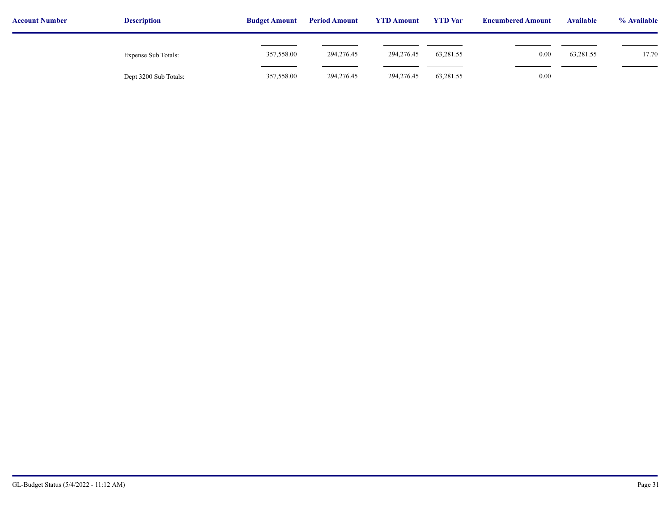| <b>Account Number</b> | <b>Description</b>    | <b>Budget Amount</b> | <b>Period Amount</b> | <b>YTD Amount</b> | <b>YTD</b> Var | <b>Encumbered Amount</b> | <b>Available</b> | % Available |  |
|-----------------------|-----------------------|----------------------|----------------------|-------------------|----------------|--------------------------|------------------|-------------|--|
|                       | Expense Sub Totals:   | 357,558.00           | 294,276.45           | 294,276.45        | 63,281.55      | 0.00                     | 63,281.55        | 17.70       |  |
|                       | Dept 3200 Sub Totals: | 357,558.00           | 294,276.45           | 294,276.45        | 63,281.55      | $0.00\,$                 |                  |             |  |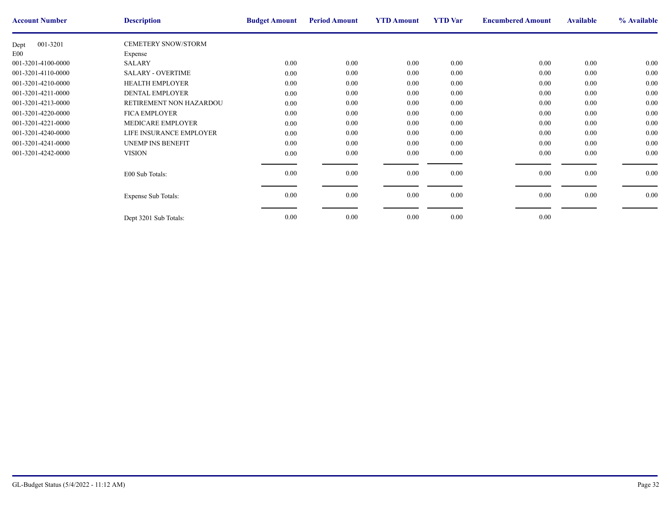| <b>Account Number</b> | <b>Description</b>         | <b>Budget Amount</b> | <b>Period Amount</b> | <b>YTD Amount</b> | <b>YTD</b> Var | <b>Encumbere</b> |
|-----------------------|----------------------------|----------------------|----------------------|-------------------|----------------|------------------|
| 001-3201<br>Dept      | <b>CEMETERY SNOW/STORM</b> |                      |                      |                   |                |                  |
| E <sub>00</sub>       | Expense                    |                      |                      |                   |                |                  |
| 001-3201-4100-0000    | <b>SALARY</b>              | $0.00\,$             | 0.00                 | 0.00              | 0.00           |                  |
| 001-3201-4110-0000    | <b>SALARY - OVERTIME</b>   | $0.00\,$             | $0.00\,$             | 0.00              | 0.00           |                  |
| 001-3201-4210-0000    | <b>HEALTH EMPLOYER</b>     | $0.00\,$             | 0.00                 | 0.00              | 0.00           |                  |
| 001-3201-4211-0000    | <b>DENTAL EMPLOYER</b>     | $0.00\,$             | $0.00\,$             | 0.00              | 0.00           |                  |
| 001-3201-4213-0000    | RETIREMENT NON HAZARDOU    | $0.00\,$             | 0.00                 | $0.00\,$          | 0.00           |                  |
| 001-3201-4220-0000    | <b>FICA EMPLOYER</b>       | $0.00\,$             | 0.00                 | 0.00              | 0.00           |                  |
| 001-3201-4221-0000    | MEDICARE EMPLOYER          | $0.00\,$             | 0.00                 | 0.00              | 0.00           |                  |
| 001-3201-4240-0000    | LIFE INSURANCE EMPLOYER    | $0.00\,$             | $0.00\,$             | 0.00              | 0.00           |                  |
| 001-3201-4241-0000    | <b>UNEMP INS BENEFIT</b>   | $0.00\,$             | 0.00                 | 0.00              | 0.00           |                  |
| 001-3201-4242-0000    | <b>VISION</b>              | $0.00\,$             | 0.00                 | $0.00\,$          | 0.00           |                  |
|                       |                            |                      |                      |                   |                |                  |
|                       | E00 Sub Totals:            | $0.00\,$             | 0.00                 | 0.00              | 0.00           |                  |
|                       |                            |                      |                      |                   |                |                  |
|                       | <b>Expense Sub Totals:</b> | $0.00\,$             | $0.00\,$             | $0.00\,$          | 0.00           |                  |
|                       |                            |                      |                      |                   |                |                  |
|                       | Dept 3201 Sub Totals:      | $0.00\,$             | 0.00                 | 0.00              | 0.00           |                  |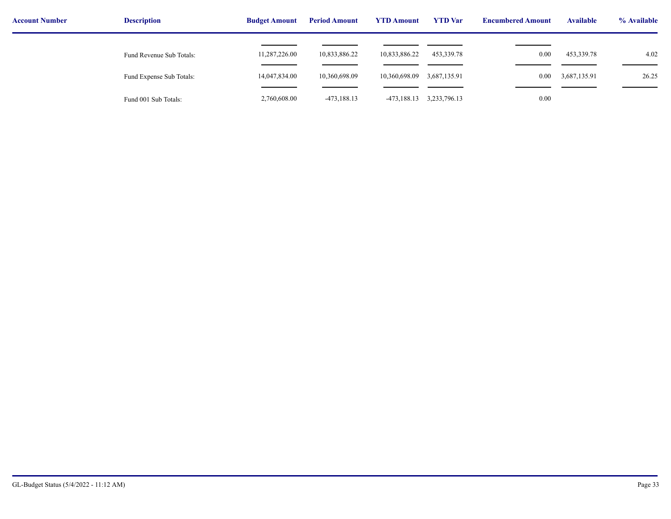| <b>Account Number</b> | <b>Description</b>       | <b>Budget Amount</b> | <b>YTD Amount</b><br><b>Period Amount</b> |               | <b>YTD</b> Var | <b>Encumbered Amount</b> | <b>Available</b> | % Available |
|-----------------------|--------------------------|----------------------|-------------------------------------------|---------------|----------------|--------------------------|------------------|-------------|
|                       | Fund Revenue Sub Totals: | 11,287,226.00        | 10,833,886.22                             | 10,833,886.22 | 453,339.78     | 0.00                     | 453,339.78       | 4.02        |
|                       | Fund Expense Sub Totals: | 14,047,834.00        | 10,360,698.09                             | 10,360,698.09 | 3,687,135.91   | $0.00\,$                 | 3,687,135.91     | 26.25       |
|                       | Fund 001 Sub Totals:     | 2,760,608.00         | $-473,188.13$                             | -473,188.13   | 3,233,796.13   | 0.00                     |                  |             |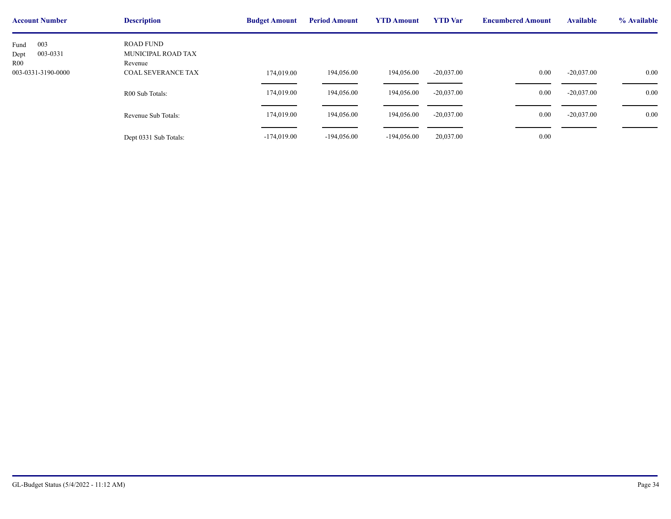| <b>Account Number</b>                                        | <b>Description</b>                                                             | <b>Budget Amount</b>     | <b>Period Amount</b> | <b>YTD Amount</b> | <b>YTD</b> Var | <b>Encumbere</b> |
|--------------------------------------------------------------|--------------------------------------------------------------------------------|--------------------------|----------------------|-------------------|----------------|------------------|
| 003<br>Fund<br>003-0331<br>Dept<br>R00<br>003-0331-3190-0000 | <b>ROAD FUND</b><br>MUNICIPAL ROAD TAX<br>Revenue<br><b>COAL SEVERANCE TAX</b> |                          | 194,056.00           | 194,056.00        | $-20,037.00$   |                  |
|                                                              | R00 Sub Totals:                                                                | 174,019.00<br>174,019.00 | 194,056.00           | 194,056.00        | $-20,037.00$   |                  |
|                                                              | Revenue Sub Totals:                                                            | 174,019.00               | 194,056.00           | 194,056.00        | $-20,037.00$   |                  |
|                                                              | Dept 0331 Sub Totals:                                                          | $-174,019.00$            | $-194,056.00$        | $-194,056.00$     | 20,037.00      |                  |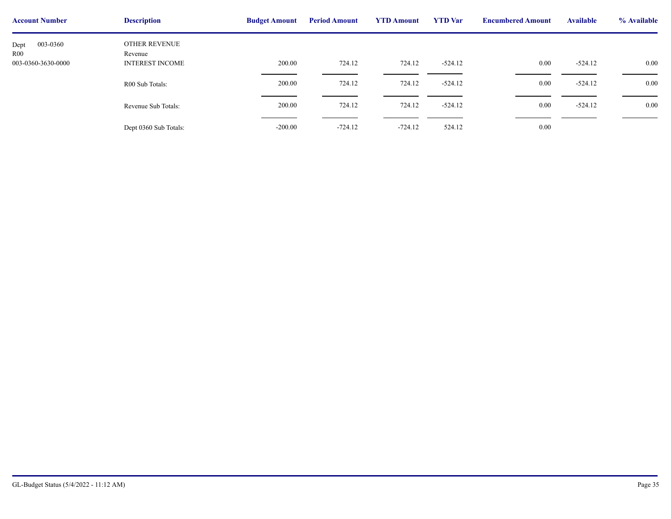| <b>Account Number</b>   | <b>Description</b>       | <b>Budget Amount</b> | <b>Period Amount</b> | <b>YTD Amount</b> | <b>YTD</b> Var | <b>Encumbere</b> |
|-------------------------|--------------------------|----------------------|----------------------|-------------------|----------------|------------------|
| 003-0360<br>Dept<br>R00 | OTHER REVENUE<br>Revenue |                      |                      |                   |                |                  |
| 003-0360-3630-0000      | <b>INTEREST INCOME</b>   | 200.00               | 724.12               | 724.12            | $-524.12$      |                  |
|                         | R00 Sub Totals:          | 200.00               | 724.12               | 724.12            | $-524.12$      |                  |
|                         | Revenue Sub Totals:      | 200.00               | 724.12               | 724.12            | $-524.12$      |                  |
|                         | Dept 0360 Sub Totals:    | $-200.00$            | $-724.12$            | $-724.12$         | 524.12         |                  |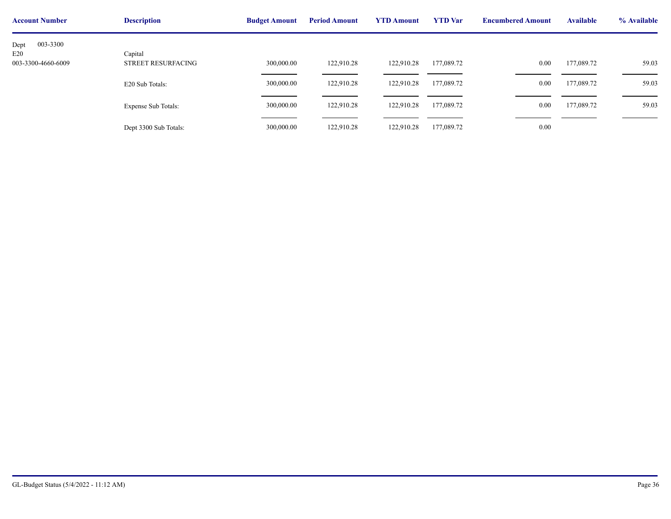| <b>Account Number</b>     | <b>Description</b>            | <b>Budget Amount</b> | <b>Period Amount</b> | <b>YTD Amount</b> | <b>YTD</b> Var | <b>Encumbere</b> |
|---------------------------|-------------------------------|----------------------|----------------------|-------------------|----------------|------------------|
| 003-3300<br>Dept          |                               |                      |                      |                   |                |                  |
| E20<br>003-3300-4660-6009 | Capital<br>STREET RESURFACING | 300,000.00           | 122,910.28           | 122,910.28        | 177,089.72     |                  |
|                           | E20 Sub Totals:               | 300,000.00           | 122,910.28           | 122,910.28        | 177,089.72     |                  |
|                           | <b>Expense Sub Totals:</b>    | 300,000.00           | 122,910.28           | 122,910.28        | 177,089.72     |                  |
|                           | Dept 3300 Sub Totals:         | 300,000.00           | 122,910.28           | 122,910.28        | 177,089.72     |                  |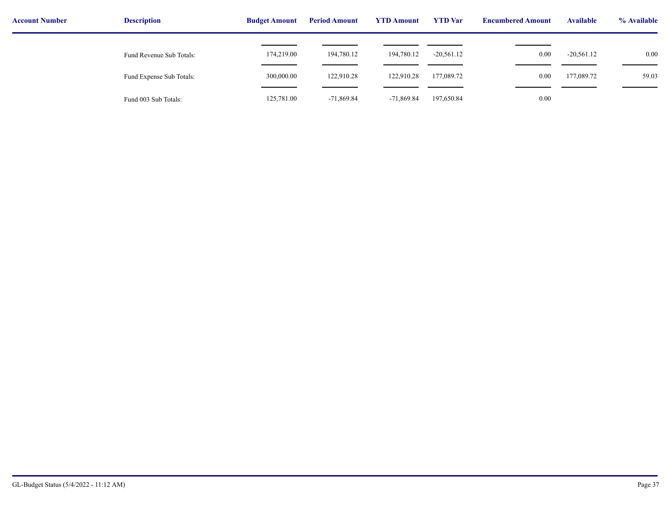| <b>Account Number</b> | <b>Description</b>       | <b>Budget Amount</b> | <b>Period Amount</b> | <b>YTD Amount</b> | <b>YTD</b> Var | <b>Encumbered Amount</b> | <b>Available</b> | % Available |
|-----------------------|--------------------------|----------------------|----------------------|-------------------|----------------|--------------------------|------------------|-------------|
|                       | Fund Revenue Sub Totals: | 174,219.00           | 194,780.12           | 194,780.12        | $-20,561.12$   | 0.00                     | $-20,561.12$     | 0.00        |
|                       | Fund Expense Sub Totals: | 300,000.00           | 122,910.28           | 122,910.28        | 177,089.72     | 0.00                     | 177,089.72       | 59.03       |
|                       | Fund 003 Sub Totals:     | 125,781.00           | $-71,869.84$         | $-71,869.84$      | 197,650.84     | 0.00                     |                  |             |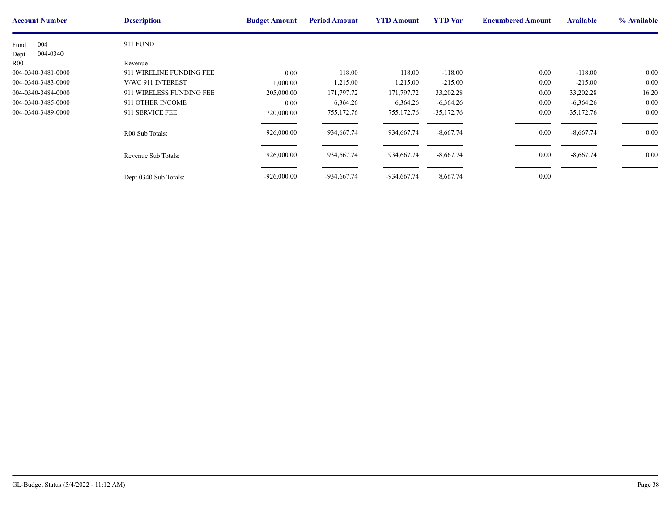| <b>Account Number</b> | <b>Description</b>       | <b>Budget Amount</b> | <b>Period Amount</b> | <b>YTD Amount</b> | <b>YTD</b> Var | <b>Encumbere</b> |
|-----------------------|--------------------------|----------------------|----------------------|-------------------|----------------|------------------|
| 004<br>Fund           | <b>911 FUND</b>          |                      |                      |                   |                |                  |
| 004-0340<br>Dept      |                          |                      |                      |                   |                |                  |
| R00                   | Revenue                  |                      |                      |                   |                |                  |
| 004-0340-3481-0000    | 911 WIRELINE FUNDING FEE | $0.00\,$             | 118.00               | 118.00            | $-118.00$      |                  |
| 004-0340-3483-0000    | V/WC 911 INTEREST        | 000.00               | 1,215.00             | 1,215.00          | $-215.00$      |                  |
| 004-0340-3484-0000    | 911 WIRELESS FUNDING FEE | 205,000.00           | 171,797.72           | 171,797.72        | 33,202.28      |                  |
| 004-0340-3485-0000    | 911 OTHER INCOME         | $0.00\,$             | 6,364.26             | 6,364.26          | $-6,364.26$    |                  |
| 004-0340-3489-0000    | 911 SERVICE FEE          | 720,000.00           | 755,172.76           | 755,172.76        | $-35,172.76$   |                  |
|                       | R00 Sub Totals:          | 926,000.00           | 934,667.74           | 934,667.74        | $-8,667.74$    |                  |
|                       | Revenue Sub Totals:      | 926,000.00           | 934,667.74           | 934,667.74        | $-8,667.74$    |                  |
|                       | Dept 0340 Sub Totals:    | $-926,000.00$        | -934,667.74          | -934,667.74       | 8,667.74       |                  |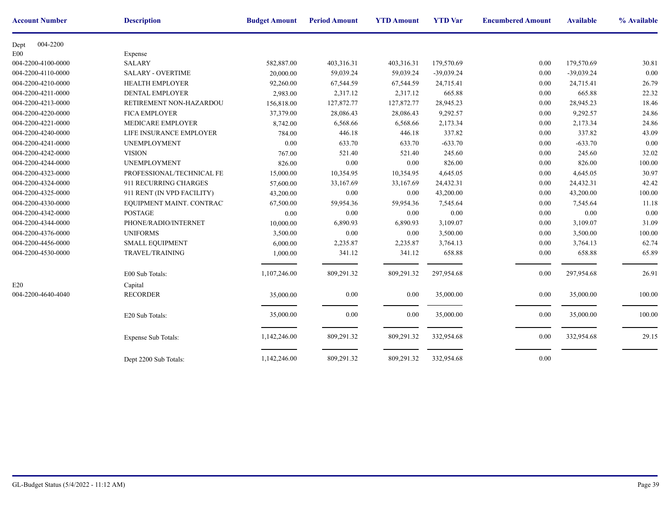| <b>Account Number</b> | <b>Description</b>         | <b>Budget Amount</b> | <b>Period Amount</b> | <b>YTD Amount</b> | <b>YTD</b> Var | <b>Encumbere</b> |
|-----------------------|----------------------------|----------------------|----------------------|-------------------|----------------|------------------|
| 004-2200<br>Dept      |                            |                      |                      |                   |                |                  |
| E00                   | Expense                    |                      |                      |                   |                |                  |
| 004-2200-4100-0000    | <b>SALARY</b>              | 582,887.00           | 403,316.31           | 403,316.31        | 179,570.69     |                  |
| 004-2200-4110-0000    | <b>SALARY - OVERTIME</b>   | 20,000.00            | 59,039.24            | 59,039.24         | $-39,039.24$   |                  |
| 004-2200-4210-0000    | <b>HEALTH EMPLOYER</b>     | 92,260.00            | 67,544.59            | 67,544.59         | 24,715.41      |                  |
| 004-2200-4211-0000    | <b>DENTAL EMPLOYER</b>     | 2,983.00             | 2,317.12             | 2,317.12          | 665.88         |                  |
| 004-2200-4213-0000    | RETIREMENT NON-HAZARDOU    | 156,818.00           | 127,872.77           | 127,872.77        | 28,945.23      |                  |
| 004-2200-4220-0000    | <b>FICA EMPLOYER</b>       | 37,379.00            | 28,086.43            | 28,086.43         | 9,292.57       |                  |
| 004-2200-4221-0000    | MEDICARE EMPLOYER          | 8,742.00             | 6,568.66             | 6,568.66          | 2,173.34       |                  |
| 004-2200-4240-0000    | LIFE INSURANCE EMPLOYER    | 784.00               | 446.18               | 446.18            | 337.82         |                  |
| 004-2200-4241-0000    | <b>UNEMPLOYMENT</b>        | 0.00                 | 633.70               | 633.70            | $-633.70$      |                  |
| 004-2200-4242-0000    | <b>VISION</b>              | 767.00               | 521.40               | 521.40            | 245.60         |                  |
| 004-2200-4244-0000    | <b>UNEMPLOYMENT</b>        | 826.00               | $0.00\,$             | 0.00              | 826.00         |                  |
| 004-2200-4323-0000    | PROFESSIONAL/TECHNICAL FE  | 15,000.00            | 10,354.95            | 10,354.95         | 4,645.05       |                  |
| 004-2200-4324-0000    | 911 RECURRING CHARGES      | 57,600.00            | 33,167.69            | 33,167.69         | 24,432.31      |                  |
| 004-2200-4325-0000    | 911 RENT (IN VPD FACILITY) | 43,200.00            | 0.00                 | 0.00              | 43,200.00      |                  |
| 004-2200-4330-0000    | EQUIPMENT MAINT. CONTRAC   | 67,500.00            | 59,954.36            | 59,954.36         | 7,545.64       |                  |
| 004-2200-4342-0000    | <b>POSTAGE</b>             | 0.00                 | $0.00\,$             | 0.00              | 0.00           |                  |
| 004-2200-4344-0000    | PHONE/RADIO/INTERNET       | 10,000.00            | 6,890.93             | 6,890.93          | 3,109.07       |                  |
| 004-2200-4376-0000    | <b>UNIFORMS</b>            | 3,500.00             | $0.00\,$             | $0.00\,$          | 3,500.00       |                  |
| 004-2200-4456-0000    | <b>SMALL EQUIPMENT</b>     | 6,000.00             | 2,235.87             | 2,235.87          | 3,764.13       |                  |
| 004-2200-4530-0000    | <b>TRAVEL/TRAINING</b>     | 1,000.00             | 341.12               | 341.12            | 658.88         |                  |
|                       |                            |                      |                      |                   |                |                  |
|                       | E00 Sub Totals:            | 1,107,246.00         | 809,291.32           | 809,291.32        | 297,954.68     |                  |
| E20                   | Capital                    |                      |                      |                   |                |                  |
| 004-2200-4640-4040    | <b>RECORDER</b>            | 35,000.00            | 0.00                 | 0.00              | 35,000.00      |                  |
|                       |                            |                      |                      |                   |                |                  |
|                       | E20 Sub Totals:            | 35,000.00            | 0.00                 | 0.00              | 35,000.00      |                  |
|                       |                            |                      |                      |                   |                |                  |
|                       | <b>Expense Sub Totals:</b> | 1,142,246.00         | 809,291.32           | 809,291.32        | 332,954.68     |                  |
|                       |                            |                      |                      |                   |                |                  |
|                       | Dept 2200 Sub Totals:      | 1,142,246.00         | 809,291.32           | 809,291.32        | 332,954.68     |                  |
|                       |                            |                      |                      |                   |                |                  |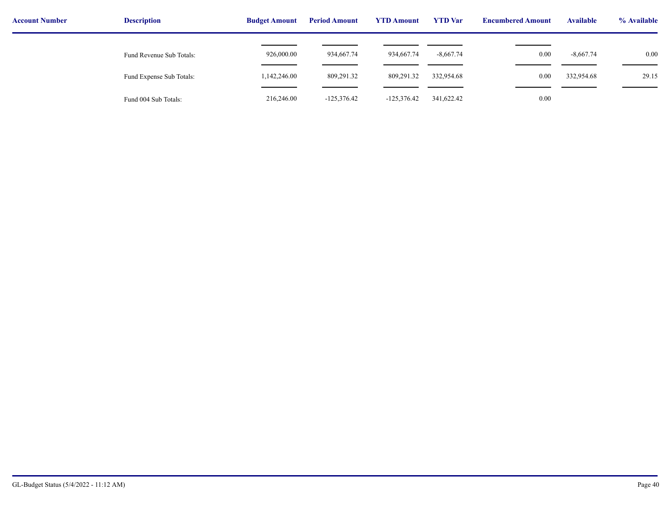| <b>Account Number</b> | <b>Description</b>       | <b>Budget Amount</b> | <b>Period Amount</b> | <b>YTD Amount</b> | <b>YTD</b> Var | <b>Encumbered Amount</b> | <b>Available</b> | % Available |
|-----------------------|--------------------------|----------------------|----------------------|-------------------|----------------|--------------------------|------------------|-------------|
|                       | Fund Revenue Sub Totals: | 926,000.00           | 934,667.74           | 934,667.74        | $-8,667.74$    | 0.00                     | $-8,667.74$      | 0.00        |
|                       | Fund Expense Sub Totals: | 1,142,246.00         | 809,291.32           | 809,291.32        | 332,954.68     | 0.00                     | 332,954.68       | 29.15       |
|                       | Fund 004 Sub Totals:     | 216,246.00           | $-125,376.42$        | $-125,376.42$     | 341,622.42     | 0.00                     |                  |             |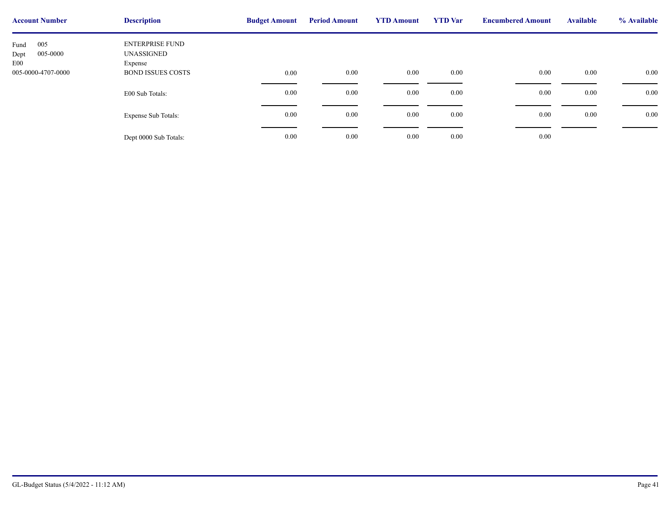| <b>Account Number</b>                  | <b>Description</b>                       | <b>Budget Amount</b> | <b>Period Amount</b> | <b>YTD Amount</b> | <b>YTD</b> Var | <b>Encumbere</b> |
|----------------------------------------|------------------------------------------|----------------------|----------------------|-------------------|----------------|------------------|
| 005<br>Fund<br>005-0000<br>Dept<br>E00 | ENTERPRISE FUND<br>UNASSIGNED<br>Expense |                      |                      |                   |                |                  |
| 005-0000-4707-0000                     | <b>BOND ISSUES COSTS</b>                 | $0.00\,$             | 0.00                 | 0.00              | $0.00\,$       |                  |
|                                        | E00 Sub Totals:                          | $0.00\,$             | 0.00                 | 0.00              | $0.00\,$       |                  |
|                                        | <b>Expense Sub Totals:</b>               | 0.00                 | 0.00                 | 0.00              | $0.00\,$       |                  |
|                                        | Dept 0000 Sub Totals:                    | 0.00                 | 0.00                 | 0.00              | $0.00\,$       |                  |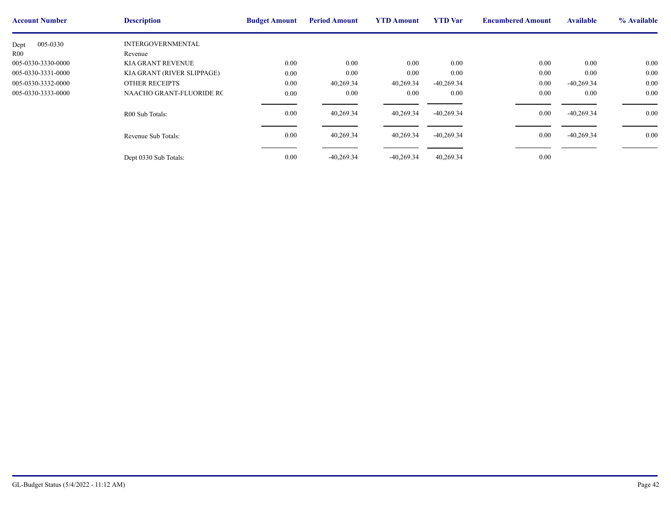| <b>Account Number</b> | <b>Description</b>         | <b>Budget Amount</b> | <b>Period Amount</b> | <b>YTD Amount</b> | <b>YTD</b> Var | <b>Encumbere</b> |
|-----------------------|----------------------------|----------------------|----------------------|-------------------|----------------|------------------|
| 005-0330<br>Dept      | <b>INTERGOVERNMENTAL</b>   |                      |                      |                   |                |                  |
| R <sub>00</sub>       | Revenue                    |                      |                      |                   |                |                  |
| 005-0330-3330-0000    | <b>KIA GRANT REVENUE</b>   | 0.00                 | 0.00                 | 0.00              | 0.00           |                  |
| 005-0330-3331-0000    | KIA GRANT (RIVER SLIPPAGE) | 0.00                 | $0.00\,$             | 0.00              | 0.00           |                  |
| 005-0330-3332-0000    | <b>OTHER RECEIPTS</b>      | 0.00                 | 40,269.34            | 40,269.34         | $-40,269.34$   |                  |
| 005-0330-3333-0000    | NAACHO GRANT-FLUORIDE RC   | 0.00                 | $0.00\,$             | 0.00              | 0.00           |                  |
|                       | R00 Sub Totals:            | 0.00                 | 40,269.34            | 40,269.34         | $-40,269.34$   |                  |
|                       | Revenue Sub Totals:        | 0.00                 | 40,269.34            | 40,269.34         | $-40,269.34$   |                  |
|                       | Dept 0330 Sub Totals:      | 0.00                 | $-40,269.34$         | $-40,269.34$      | 40,269.34      |                  |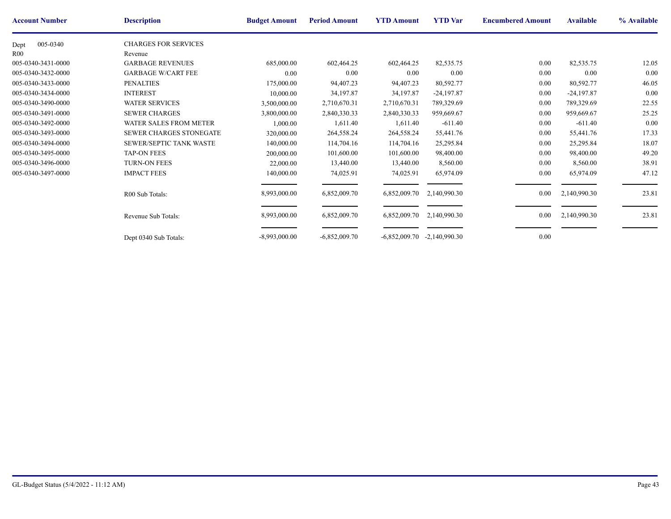| <b>Account Number</b> | <b>Description</b>             | <b>Budget Amount</b> | <b>Period Amount</b> | <b>YTD Amount</b> | <b>YTD</b> Var  | <b>Encumbere</b> |
|-----------------------|--------------------------------|----------------------|----------------------|-------------------|-----------------|------------------|
| 005-0340<br>Dept      | <b>CHARGES FOR SERVICES</b>    |                      |                      |                   |                 |                  |
| R00                   | Revenue                        |                      |                      |                   |                 |                  |
| 005-0340-3431-0000    | <b>GARBAGE REVENUES</b>        | 685,000.00           | 602,464.25           | 602,464.25        | 82,535.75       |                  |
| 005-0340-3432-0000    | <b>GARBAGE W/CART FEE</b>      | 0.00                 | 0.00                 | 0.00              | 0.00            |                  |
| 005-0340-3433-0000    | <b>PENALTIES</b>               | 175,000.00           | 94,407.23            | 94,407.23         | 80,592.77       |                  |
| 005-0340-3434-0000    | <b>INTEREST</b>                | 10,000.00            | 34,197.87            | 34,197.87         | $-24,197.87$    |                  |
| 005-0340-3490-0000    | <b>WATER SERVICES</b>          | 3,500,000.00         | 2,710,670.31         | 2,710,670.31      | 789,329.69      |                  |
| 005-0340-3491-0000    | <b>SEWER CHARGES</b>           | 3,800,000.00         | 2,840,330.33         | 2,840,330.33      | 959,669.67      |                  |
| 005-0340-3492-0000    | <b>WATER SALES FROM METER</b>  | 1,000.00             | 1,611.40             | 1,611.40          | $-611.40$       |                  |
| 005-0340-3493-0000    | <b>SEWER CHARGES STONEGATE</b> | 320,000.00           | 264,558.24           | 264,558.24        | 55,441.76       |                  |
| 005-0340-3494-0000    | SEWER/SEPTIC TANK WASTE        | 140,000.00           | 114,704.16           | 114,704.16        | 25,295.84       |                  |
| 005-0340-3495-0000    | <b>TAP-ON FEES</b>             | 200,000.00           | 101,600.00           | 101,600.00        | 98,400.00       |                  |
| 005-0340-3496-0000    | <b>TURN-ON FEES</b>            | 22,000.00            | 13,440.00            | 13,440.00         | 8,560.00        |                  |
| 005-0340-3497-0000    | <b>IMPACT FEES</b>             | 140,000.00           | 74,025.91            | 74,025.91         | 65,974.09       |                  |
|                       |                                |                      |                      |                   |                 |                  |
|                       | R00 Sub Totals:                | 8,993,000.00         | 6,852,009.70         | 6,852,009.70      | 2,140,990.30    |                  |
|                       |                                |                      |                      |                   |                 |                  |
|                       | Revenue Sub Totals:            | 8,993,000.00         | 6,852,009.70         | 6,852,009.70      | 2,140,990.30    |                  |
|                       |                                |                      |                      |                   |                 |                  |
|                       | Dept 0340 Sub Totals:          | $-8,993,000.00$      | $-6,852,009.70$      | $-6,852,009.70$   | $-2,140,990.30$ |                  |
|                       |                                |                      |                      |                   |                 |                  |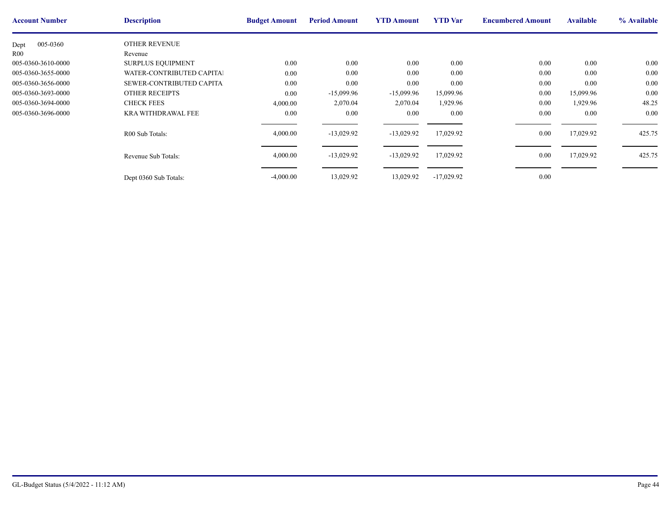| <b>Account Number</b> | <b>Description</b>        | <b>Budget Amount</b> | <b>Period Amount</b> | <b>YTD Amount</b> | <b>YTD</b> Var | <b>Encumbere</b> |
|-----------------------|---------------------------|----------------------|----------------------|-------------------|----------------|------------------|
| 005-0360<br>Dept      | <b>OTHER REVENUE</b>      |                      |                      |                   |                |                  |
| R00                   | Revenue                   |                      |                      |                   |                |                  |
| 005-0360-3610-0000    | <b>SURPLUS EQUIPMENT</b>  | $0.00\,$             | 0.00                 | $0.00\,$          | 0.00           |                  |
| 005-0360-3655-0000    | WATER-CONTRIBUTED CAPITAL | $0.00\,$             | 0.00                 | 0.00              | 0.00           |                  |
| 005-0360-3656-0000    | SEWER-CONTRIBUTED CAPITAL | $0.00\,$             | 0.00                 | 0.00              | 0.00           |                  |
| 005-0360-3693-0000    | <b>OTHER RECEIPTS</b>     | $0.00\,$             | $-15,099.96$         | $-15,099.96$      | 15,099.96      |                  |
| 005-0360-3694-0000    | <b>CHECK FEES</b>         | 4,000.00             | 2,070.04             | 2,070.04          | 1,929.96       |                  |
| 005-0360-3696-0000    | <b>KRA WITHDRAWAL FEE</b> | $0.00\,$             | 0.00                 | $0.00\,$          | 0.00           |                  |
|                       | R00 Sub Totals:           | 4,000.00             | $-13,029.92$         | $-13,029.92$      | 17,029.92      |                  |
|                       | Revenue Sub Totals:       | 4,000.00             | $-13,029.92$         | $-13,029.92$      | 17,029.92      |                  |
|                       | Dept 0360 Sub Totals:     | $-4,000.00$          | 13,029.92            | 13,029.92         | $-17,029.92$   |                  |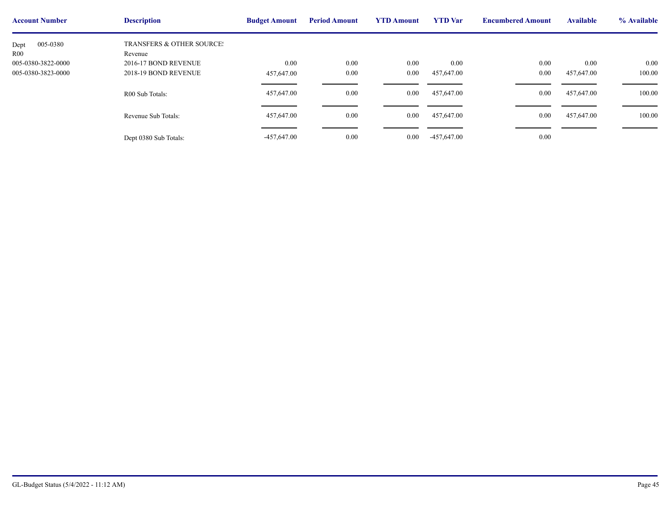| <b>Account Number</b> | <b>Description</b>                   | <b>Budget Amount</b> | <b>Period Amount</b> | <b>YTD Amount</b> | <b>YTD</b> Var | <b>Encumbere</b> |
|-----------------------|--------------------------------------|----------------------|----------------------|-------------------|----------------|------------------|
| 005-0380<br>Dept      | <b>TRANSFERS &amp; OTHER SOURCE:</b> |                      |                      |                   |                |                  |
| R <sub>00</sub>       | Revenue                              |                      |                      |                   |                |                  |
| 005-0380-3822-0000    | 2016-17 BOND REVENUE                 | 0.00                 | 0.00                 | $0.00\,$          | 0.00           |                  |
| 005-0380-3823-0000    | 2018-19 BOND REVENUE                 | 457,647.00           | 0.00                 | $0.00\,$          | 457,647.00     |                  |
|                       | R00 Sub Totals:                      | 457,647.00           | 0.00                 | $0.00\,$          | 457,647.00     |                  |
|                       | Revenue Sub Totals:                  | 457,647.00           | 0.00                 | $0.00\,$          | 457,647.00     |                  |
|                       | Dept 0380 Sub Totals:                | $-457,647.00$        | 0.00                 | $0.00\,$          | $-457,647.00$  |                  |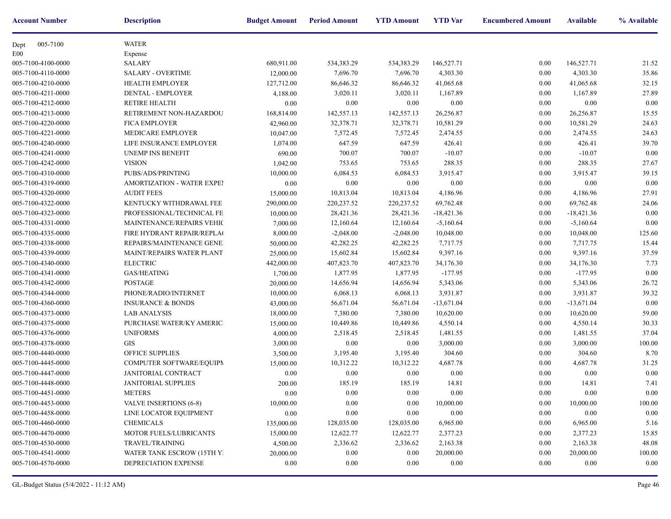| <b>Account Number</b> | <b>Description</b>                | <b>Budget Amount</b> | <b>Period Amount</b> | <b>YTD Amount</b> | <b>YTD</b> Var | <b>Encumbere</b> |
|-----------------------|-----------------------------------|----------------------|----------------------|-------------------|----------------|------------------|
| 005-7100<br>Dept      | <b>WATER</b>                      |                      |                      |                   |                |                  |
| E <sub>00</sub>       | Expense                           |                      |                      |                   |                |                  |
| 005-7100-4100-0000    | <b>SALARY</b>                     | 680,911.00           | 534,383.29           | 534, 383. 29      | 146,527.71     |                  |
| 005-7100-4110-0000    | <b>SALARY - OVERTIME</b>          | 12,000.00            | 7,696.70             | 7,696.70          | 4,303.30       |                  |
| 005-7100-4210-0000    | <b>HEALTH EMPLOYER</b>            | 127,712.00           | 86,646.32            | 86,646.32         | 41,065.68      |                  |
| 005-7100-4211-0000    | DENTAL - EMPLOYER                 | 4,188.00             | 3,020.11             | 3,020.11          | 1,167.89       |                  |
| 005-7100-4212-0000    | <b>RETIRE HEALTH</b>              | 0.00                 | 0.00                 | 0.00              | 0.00           |                  |
| 005-7100-4213-0000    | RETIREMENT NON-HAZARDOU           | 168,814.00           | 142,557.13           | 142,557.13        | 26,256.87      |                  |
| 005-7100-4220-0000    | <b>FICA EMPLOYER</b>              | 42,960.00            | 32,378.71            | 32,378.71         | 10,581.29      |                  |
| 005-7100-4221-0000    | MEDICARE EMPLOYER                 | 10,047.00            | 7,572.45             | 7,572.45          | 2,474.55       |                  |
| 005-7100-4240-0000    | LIFE INSURANCE EMPLOYER           | 1,074.00             | 647.59               | 647.59            | 426.41         |                  |
| 005-7100-4241-0000    | UNEMP INS BENEFIT                 | 690.00               | 700.07               | 700.07            | $-10.07$       |                  |
| 005-7100-4242-0000    | <b>VISION</b>                     | 1,042.00             | 753.65               | 753.65            | 288.35         |                  |
| 005-7100-4310-0000    | PUBS/ADS/PRINTING                 | 10,000.00            | 6,084.53             | 6,084.53          | 3,915.47       |                  |
| 005-7100-4319-0000    | <b>AMORTIZATION - WATER EXPEI</b> | 0.00                 | 0.00                 | 0.00              | 0.00           |                  |
| 005-7100-4320-0000    | <b>AUDIT FEES</b>                 | 15,000.00            | 10,813.04            | 10,813.04         | 4,186.96       |                  |
| 005-7100-4322-0000    | KENTUCKY WITHDRAWAL FEE           | 290,000.00           | 220, 237.52          | 220, 237.52       | 69,762.48      |                  |
| 005-7100-4323-0000    | PROFESSIONAL/TECHNICAL FE         | 10,000.00            | 28,421.36            | 28,421.36         | $-18,421.36$   |                  |
| 005-7100-4331-0000    | <b>MAINTENANCE/REPAIRS VEHIC</b>  | 7,000.00             | 12,160.64            | 12,160.64         | $-5,160.64$    |                  |
| 005-7100-4335-0000    | FIRE HYDRANT REPAIR/REPLAC        | 8,000.00             | $-2,048.00$          | $-2,048.00$       | 10,048.00      |                  |
| 005-7100-4338-0000    | REPAIRS/MAINTENANCE GENE!         | 50,000.00            | 42,282.25            | 42,282.25         | 7,717.75       |                  |
| 005-7100-4339-0000    | <b>MAINT/REPAIRS WATER PLANT</b>  | 25,000.00            | 15,602.84            | 15,602.84         | 9,397.16       |                  |
| 005-7100-4340-0000    | <b>ELECTRIC</b>                   | 442,000.00           | 407,823.70           | 407,823.70        | 34,176.30      |                  |
| 005-7100-4341-0000    | GAS/HEATING                       | 1,700.00             | 1,877.95             | 1,877.95          | $-177.95$      |                  |
| 005-7100-4342-0000    | <b>POSTAGE</b>                    | 20,000.00            | 14,656.94            | 14,656.94         | 5,343.06       |                  |
| 005-7100-4344-0000    | PHONE/RADIO/INTERNET              | 10,000.00            | 6,068.13             | 6,068.13          | 3,931.87       |                  |
| 005-7100-4360-0000    | <b>INSURANCE &amp; BONDS</b>      | 43,000.00            | 56,671.04            | 56,671.04         | $-13,671.04$   |                  |
| 005-7100-4373-0000    | <b>LAB ANALYSIS</b>               | 18,000.00            | 7,380.00             | 7,380.00          | 10,620.00      |                  |
| 005-7100-4375-0000    | PURCHASE WATER/KY AMERIC.         | 15,000.00            | 10,449.86            | 10,449.86         | 4,550.14       |                  |
| 005-7100-4376-0000    | <b>UNIFORMS</b>                   | 4,000.00             | 2,518.45             | 2,518.45          | 1,481.55       |                  |
| 005-7100-4378-0000    | <b>GIS</b>                        | 3,000.00             | 0.00                 | 0.00              | 3,000.00       |                  |
| 005-7100-4440-0000    | <b>OFFICE SUPPLIES</b>            | 3,500.00             | 3,195.40             | 3,195.40          | 304.60         |                  |
| 005-7100-4445-0000    | COMPUTER SOFTWARE/EQUIPN          | 15,000.00            | 10,312.22            | 10,312.22         | 4,687.78       |                  |
| 005-7100-4447-0000    | JANITORIAL CONTRACT               | 0.00                 | 0.00                 | 0.00              | 0.00           |                  |
| 005-7100-4448-0000    | <b>JANITORIAL SUPPLIES</b>        | 200.00               | 185.19               | 185.19            | 14.81          |                  |
| 005-7100-4451-0000    | <b>METERS</b>                     | $0.00\,$             | $0.00\,$             | $0.00\,$          | 0.00           |                  |
| 005-7100-4453-0000    | <b>VALVE INSERTIONS (6-8)</b>     | 10,000.00            | $0.00\,$             | $0.00\,$          | 10,000.00      |                  |
| 005-7100-4458-0000    | LINE LOCATOR EQUIPMENT            | 0.00                 | 0.00                 | 0.00              | $0.00\,$       |                  |
| 005-7100-4460-0000    | <b>CHEMICALS</b>                  | 135,000.00           | 128,035.00           | 128,035.00        | 6,965.00       |                  |
| 005-7100-4470-0000    | MOTOR FUELS/LUBRICANTS            | 15,000.00            | 12,622.77            | 12,622.77         | 2,377.23       |                  |
| 005-7100-4530-0000    | TRAVEL/TRAINING                   | 4,500.00             | 2,336.62             | 2,336.62          | 2,163.38       |                  |
| 005-7100-4541-0000    | WATER TANK ESCROW (15TH Y)        | 20,000.00            | $0.00\,$             | 0.00              | 20,000.00      |                  |
| 005-7100-4570-0000    | DEPRECIATION EXPENSE              | 0.00                 | $0.00\,$             | 0.00              | 0.00           |                  |
|                       |                                   |                      |                      |                   |                |                  |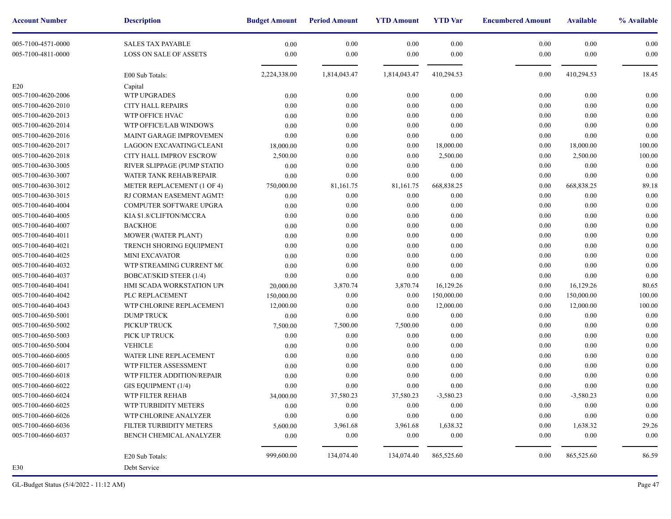| <b>Account Number</b> | <b>Description</b>          | <b>Budget Amount</b> | <b>Period Amount</b> | <b>YTD Amount</b> | <b>YTD</b> Var | <b>Encumbere</b> |
|-----------------------|-----------------------------|----------------------|----------------------|-------------------|----------------|------------------|
| 005-7100-4571-0000    | <b>SALES TAX PAYABLE</b>    | 0.00                 | 0.00                 | 0.00              | 0.00           |                  |
| 005-7100-4811-0000    | LOSS ON SALE OF ASSETS      | 0.00                 | 0.00                 | 0.00              | 0.00           |                  |
|                       | E00 Sub Totals:             | 2,224,338.00         | 1,814,043.47         | 1,814,043.47      | 410,294.53     |                  |
| E20                   | Capital                     |                      |                      |                   |                |                  |
| 005-7100-4620-2006    | <b>WTP UPGRADES</b>         | 0.00                 | 0.00                 | 0.00              | 0.00           |                  |
| 005-7100-4620-2010    | CITY HALL REPAIRS           | 0.00                 | 0.00                 | 0.00              | 0.00           |                  |
| 005-7100-4620-2013    | WTP OFFICE HVAC             | 0.00                 | 0.00                 | 0.00              | 0.00           |                  |
| 005-7100-4620-2014    | WTP OFFICE/LAB WINDOWS      | 0.00                 | 0.00                 | 0.00              | 0.00           |                  |
| 005-7100-4620-2016    | MAINT GARAGE IMPROVEMEN     | 0.00                 | 0.00                 | 0.00              | 0.00           |                  |
| 005-7100-4620-2017    | LAGOON EXCAVATING/CLEANI    | 18,000.00            | 0.00                 | 0.00              | 18,000.00      |                  |
| 005-7100-4620-2018    | CITY HALL IMPROV ESCROW     | 2,500.00             | 0.00                 | 0.00              | 2,500.00       |                  |
| 005-7100-4630-3005    | RIVER SLIPPAGE (PUMP STATIO | 0.00                 | 0.00                 | 0.00              | 0.00           |                  |
| 005-7100-4630-3007    | WATER TANK REHAB/REPAIR     | 0.00                 | 0.00                 | 0.00              | 0.00           |                  |
| 005-7100-4630-3012    | METER REPLACEMENT (1 OF 4)  | 750,000.00           | 81,161.75            | 81,161.75         | 668,838.25     |                  |
| 005-7100-4630-3015    | RJ CORMAN EASEMENT AGMTS    | 0.00                 | 0.00                 | 0.00              | 0.00           |                  |
| 005-7100-4640-4004    | COMPUTER SOFTWARE UPGRA     | 0.00                 | 0.00                 | 0.00              | 0.00           |                  |
| 005-7100-4640-4005    | KIA \$1.8/CLIFTON/MCCRA     | 0.00                 | 0.00                 | 0.00              | $0.00\,$       |                  |
| 005-7100-4640-4007    | <b>BACKHOE</b>              | 0.00                 | 0.00                 | 0.00              | 0.00           |                  |
| 005-7100-4640-4011    | MOWER (WATER PLANT)         | 0.00                 | 0.00                 | 0.00              | 0.00           |                  |
| 005-7100-4640-4021    | TRENCH SHORING EQUIPMENT    | 0.00                 | 0.00                 | 0.00              | 0.00           |                  |
| 005-7100-4640-4025    | <b>MINI EXCAVATOR</b>       | 0.00                 | 0.00                 | 0.00              | 0.00           |                  |
| 005-7100-4640-4032    | WTP STREAMING CURRENT MC    | 0.00                 | 0.00                 | 0.00              | 0.00           |                  |
| 005-7100-4640-4037    | BOBCAT/SKID STEER (1/4)     | 0.00                 | 0.00                 | 0.00              | 0.00           |                  |
| 005-7100-4640-4041    | HMI SCADA WORKSTATION UPO   | 20,000.00            | 3,870.74             | 3,870.74          | 16,129.26      |                  |
| 005-7100-4640-4042    | PLC REPLACEMENT             | 150,000.00           | 0.00                 | 0.00              | 150,000.00     |                  |
| 005-7100-4640-4043    | WTP CHLORINE REPLACEMENT    | 12,000.00            | 0.00                 | 0.00              | 12,000.00      |                  |
| 005-7100-4650-5001    | <b>DUMP TRUCK</b>           | 0.00                 | 0.00                 | 0.00              | 0.00           |                  |
| 005-7100-4650-5002    | PICKUP TRUCK                | 7,500.00             | 7,500.00             | 7,500.00          | 0.00           |                  |
| 005-7100-4650-5003    | PICK UP TRUCK               | 0.00                 | 0.00                 | 0.00              | 0.00           |                  |
| 005-7100-4650-5004    | <b>VEHICLE</b>              | 0.00                 | 0.00                 | 0.00              | 0.00           |                  |
| 005-7100-4660-6005    | WATER LINE REPLACEMENT      | 0.00                 | 0.00                 | 0.00              | 0.00           |                  |
| 005-7100-4660-6017    | WTP FILTER ASSESSMENT       | 0.00                 | 0.00                 | 0.00              | 0.00           |                  |
| 005-7100-4660-6018    | WTP FILTER ADDITION/REPAIR  | 0.00                 | 0.00                 | 0.00              | 0.00           |                  |
| 005-7100-4660-6022    | GIS EQUIPMENT (1/4)         | 0.00                 | 0.00                 | 0.00              | 0.00           |                  |
| 005-7100-4660-6024    | WTP FILTER REHAB            | 34,000.00            | 37,580.23            | 37,580.23         | $-3,580.23$    |                  |
| 005-7100-4660-6025    | WTP TURBIDITY METERS        | 0.00                 | 0.00                 | $0.00\,$          | 0.00           |                  |
| 005-7100-4660-6026    | WTP CHLORINE ANALYZER       | 0.00                 | 0.00                 | $0.00\,$          | 0.00           |                  |
| 005-7100-4660-6036    | FILTER TURBIDITY METERS     | 5,600.00             | 3,961.68             | 3,961.68          | 1,638.32       |                  |
| 005-7100-4660-6037    | BENCH CHEMICAL ANALYZER     | 0.00                 | 0.00                 | 0.00              | 0.00           |                  |
|                       | E20 Sub Totals:             | 999,600.00           | 134,074.40           | 134,074.40        | 865,525.60     |                  |
| E30                   | Debt Service                |                      |                      |                   |                |                  |
|                       |                             |                      |                      |                   |                |                  |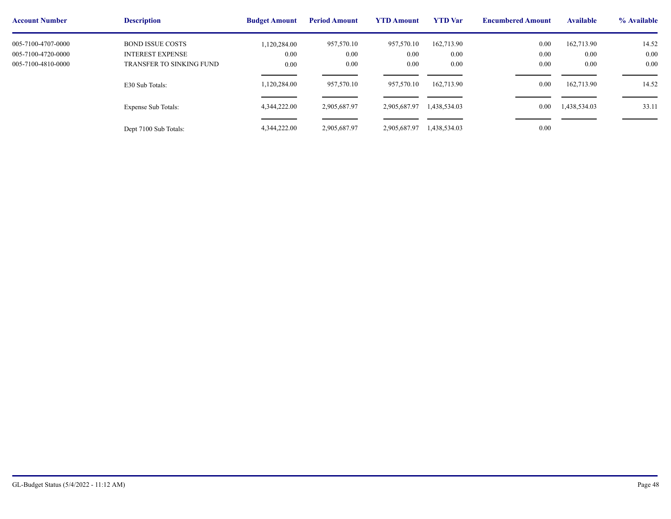| <b>Account Number</b> | <b>Description</b>       | <b>Budget Amount</b> | <b>Period Amount</b> | <b>YTD Amount</b> | <b>YTD</b> Var | <b>Encumbere</b> |
|-----------------------|--------------------------|----------------------|----------------------|-------------------|----------------|------------------|
| 005-7100-4707-0000    | <b>BOND ISSUE COSTS</b>  | 1,120,284.00         | 957,570.10           | 957,570.10        | 162,713.90     |                  |
| 005-7100-4720-0000    | <b>INTEREST EXPENSE</b>  | $0.00\,$             | 0.00                 | 0.00              | 0.00           |                  |
| 005-7100-4810-0000    | TRANSFER TO SINKING FUND | $0.00\,$             | 0.00                 | 0.00              | 0.00           |                  |
|                       | E30 Sub Totals:          | 1,120,284.00         | 957,570.10           | 957,570.10        | 162,713.90     |                  |
|                       | Expense Sub Totals:      | 4,344,222.00         | 2,905,687.97         | 2,905,687.97      | 1,438,534.03   |                  |
|                       | Dept 7100 Sub Totals:    | 4,344,222.00         | 2,905,687.97         | 2,905,687.97      | 1,438,534.03   |                  |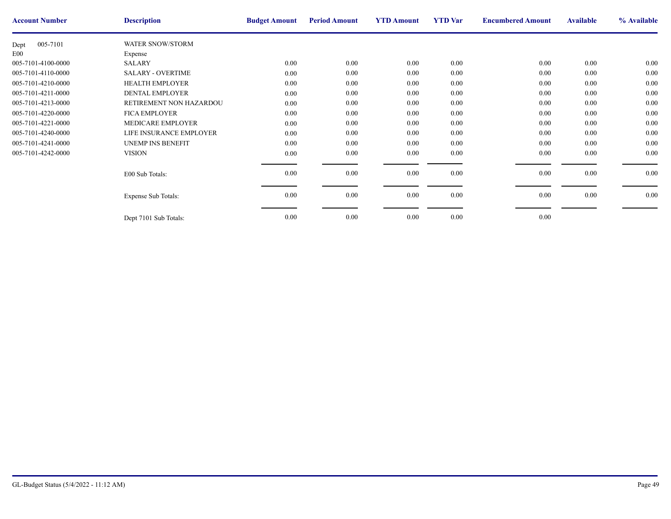| <b>Account Number</b> | <b>Description</b>         | <b>Budget Amount</b> | <b>Period Amount</b> | <b>YTD Amount</b> | <b>YTD</b> Var | <b>Encumbere</b> |
|-----------------------|----------------------------|----------------------|----------------------|-------------------|----------------|------------------|
| 005-7101<br>Dept      | <b>WATER SNOW/STORM</b>    |                      |                      |                   |                |                  |
| E <sub>00</sub>       | Expense                    |                      |                      |                   |                |                  |
| 005-7101-4100-0000    | <b>SALARY</b>              | 0.00                 | $0.00\,$             | $0.00\,$          | 0.00           |                  |
| 005-7101-4110-0000    | <b>SALARY - OVERTIME</b>   | 0.00                 | $0.00\,$             | 0.00              | 0.00           |                  |
| 005-7101-4210-0000    | <b>HEALTH EMPLOYER</b>     | 0.00                 | $0.00\,$             | 0.00              | 0.00           |                  |
| 005-7101-4211-0000    | <b>DENTAL EMPLOYER</b>     | 0.00                 | $0.00\,$             | 0.00              | 0.00           |                  |
| 005-7101-4213-0000    | RETIREMENT NON HAZARDOU    | $0.00\,$             | $0.00\,$             | $0.00\,$          | 0.00           |                  |
| 005-7101-4220-0000    | <b>FICA EMPLOYER</b>       | 0.00                 | 0.00                 | 0.00              | 0.00           |                  |
| 005-7101-4221-0000    | MEDICARE EMPLOYER          | 0.00                 | $0.00\,$             | 0.00              | 0.00           |                  |
| 005-7101-4240-0000    | LIFE INSURANCE EMPLOYER    | 0.00                 | 0.00                 | 0.00              | 0.00           |                  |
| 005-7101-4241-0000    | <b>UNEMP INS BENEFIT</b>   | 0.00                 | 0.00                 | 0.00              | 0.00           |                  |
| 005-7101-4242-0000    | <b>VISION</b>              | $0.00\,$             | $0.00\,$             | $0.00\,$          | 0.00           |                  |
|                       |                            |                      |                      |                   |                |                  |
|                       | E00 Sub Totals:            | 0.00                 | $0.00\,$             | $0.00\,$          | 0.00           |                  |
|                       |                            |                      |                      |                   |                |                  |
|                       | <b>Expense Sub Totals:</b> | 0.00                 | $0.00\,$             | $0.00\,$          | 0.00           |                  |
|                       |                            |                      |                      |                   |                |                  |
|                       | Dept 7101 Sub Totals:      | 0.00                 | $0.00\,$             | 0.00              | 0.00           |                  |
|                       |                            |                      |                      |                   |                |                  |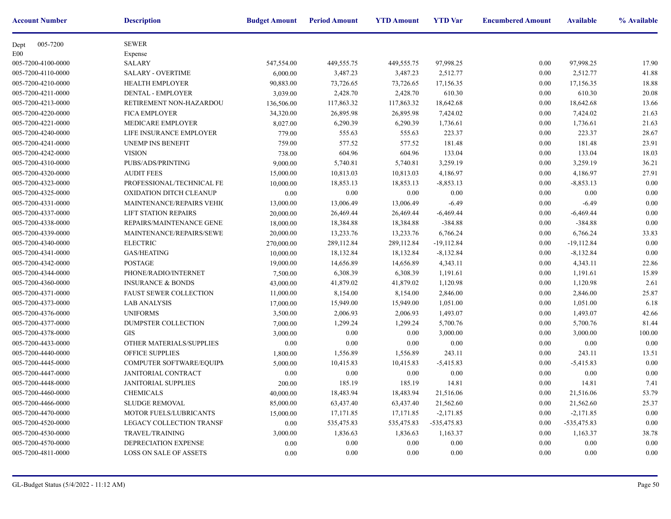| <b>Account Number</b> | <b>Description</b>            | <b>Budget Amount</b> | <b>Period Amount</b> | <b>YTD Amount</b> | <b>YTD</b> Var | <b>Encumbere</b> |
|-----------------------|-------------------------------|----------------------|----------------------|-------------------|----------------|------------------|
| 005-7200<br>Dept      | <b>SEWER</b>                  |                      |                      |                   |                |                  |
| E <sub>00</sub>       | Expense                       |                      |                      |                   |                |                  |
| 005-7200-4100-0000    | <b>SALARY</b>                 | 547,554.00           | 449,555.75           | 449,555.75        | 97,998.25      |                  |
| 005-7200-4110-0000    | <b>SALARY - OVERTIME</b>      | 6,000.00             | 3,487.23             | 3,487.23          | 2,512.77       |                  |
| 005-7200-4210-0000    | <b>HEALTH EMPLOYER</b>        | 90,883.00            | 73,726.65            | 73,726.65         | 17,156.35      |                  |
| 005-7200-4211-0000    | DENTAL - EMPLOYER             | 3,039.00             | 2,428.70             | 2,428.70          | 610.30         |                  |
| 005-7200-4213-0000    | RETIREMENT NON-HAZARDOU       | 136,506.00           | 117,863.32           | 117,863.32        | 18,642.68      |                  |
| 005-7200-4220-0000    | <b>FICA EMPLOYER</b>          | 34,320.00            | 26,895.98            | 26,895.98         | 7,424.02       |                  |
| 005-7200-4221-0000    | MEDICARE EMPLOYER             | 8,027.00             | 6,290.39             | 6,290.39          | 1,736.61       |                  |
| 005-7200-4240-0000    | LIFE INSURANCE EMPLOYER       | 779.00               | 555.63               | 555.63            | 223.37         |                  |
| 005-7200-4241-0000    | <b>UNEMP INS BENEFIT</b>      | 759.00               | 577.52               | 577.52            | 181.48         |                  |
| 005-7200-4242-0000    | <b>VISION</b>                 | 738.00               | 604.96               | 604.96            | 133.04         |                  |
| 005-7200-4310-0000    | PUBS/ADS/PRINTING             | 9,000.00             | 5,740.81             | 5,740.81          | 3,259.19       |                  |
| 005-7200-4320-0000    | <b>AUDIT FEES</b>             | 15,000.00            | 10,813.03            | 10,813.03         | 4,186.97       |                  |
| 005-7200-4323-0000    | PROFESSIONAL/TECHNICAL FE     | 10,000.00            | 18,853.13            | 18,853.13         | $-8,853.13$    |                  |
| 005-7200-4325-0000    | OXIDATION DITCH CLEANUP       | 0.00                 | 0.00                 | 0.00              | 0.00           |                  |
| 005-7200-4331-0000    | MAINTENANCE/REPAIRS VEHIC     | 13,000.00            | 13,006.49            | 13,006.49         | $-6.49$        |                  |
| 005-7200-4337-0000    | <b>LIFT STATION REPAIRS</b>   | 20,000.00            | 26,469.44            | 26,469.44         | $-6,469.44$    |                  |
| 005-7200-4338-0000    | REPAIRS/MAINTENANCE GENE      | 18,000.00            | 18,384.88            | 18,384.88         | $-384.88$      |                  |
| 005-7200-4339-0000    | MAINTENANCE/REPAIRS/SEWE      | 20,000.00            | 13,233.76            | 13,233.76         | 6,766.24       |                  |
| 005-7200-4340-0000    | <b>ELECTRIC</b>               | 270,000.00           | 289,112.84           | 289,112.84        | $-19,112.84$   |                  |
| 005-7200-4341-0000    | <b>GAS/HEATING</b>            | 10,000.00            | 18,132.84            | 18,132.84         | $-8,132.84$    |                  |
| 005-7200-4342-0000    | POSTAGE                       | 19,000.00            | 14,656.89            | 14,656.89         | 4,343.11       |                  |
| 005-7200-4344-0000    | PHONE/RADIO/INTERNET          | 7,500.00             | 6,308.39             | 6,308.39          | 1,191.61       |                  |
| 005-7200-4360-0000    | <b>INSURANCE &amp; BONDS</b>  | 43,000.00            | 41,879.02            | 41,879.02         | 1,120.98       |                  |
| 005-7200-4371-0000    | <b>FAUST SEWER COLLECTION</b> | 11,000.00            | 8,154.00             | 8,154.00          | 2,846.00       |                  |
| 005-7200-4373-0000    | <b>LAB ANALYSIS</b>           | 17,000.00            | 15,949.00            | 15,949.00         | 1,051.00       |                  |
| 005-7200-4376-0000    | <b>UNIFORMS</b>               | 3,500.00             | 2,006.93             | 2,006.93          | 1,493.07       |                  |
| 005-7200-4377-0000    | DUMPSTER COLLECTION           | 7,000.00             | 1,299.24             | 1,299.24          | 5,700.76       |                  |
| 005-7200-4378-0000    | <b>GIS</b>                    | 3,000.00             | 0.00                 | 0.00              | 3,000.00       |                  |
| 005-7200-4433-0000    | OTHER MATERIALS/SUPPLIES      | 0.00                 | 0.00                 | 0.00              | 0.00           |                  |
| 005-7200-4440-0000    | OFFICE SUPPLIES               | 1,800.00             | 1,556.89             | 1,556.89          | 243.11         |                  |
| 005-7200-4445-0000    | COMPUTER SOFTWARE/EQUIPN      | 5,000.00             | 10,415.83            | 10,415.83         | $-5,415.83$    |                  |
| 005-7200-4447-0000    | JANITORIAL CONTRACT           | 0.00                 | 0.00                 | 0.00              | 0.00           |                  |
| 005-7200-4448-0000    | <b>JANITORIAL SUPPLIES</b>    | 200.00               | 185.19               | 185.19            | 14.81          |                  |
| 005-7200-4460-0000    | CHEMICALS                     | 40,000.00            | 18,483.94            | 18,483.94         | 21,516.06      |                  |
| 005-7200-4466-0000    | <b>SLUDGE REMOVAL</b>         | 85,000.00            | 63,437.40            | 63,437.40         | 21,562.60      |                  |
| 005-7200-4470-0000    | MOTOR FUELS/LUBRICANTS        | 15,000.00            | 17,171.85            | 17,171.85         | $-2,171.85$    |                  |
| 005-7200-4520-0000    | LEGACY COLLECTION TRANSF      | 0.00                 | 535,475.83           | 535,475.83        | $-535,475.83$  |                  |
| 005-7200-4530-0000    | <b>TRAVEL/TRAINING</b>        | 3,000.00             | 1,836.63             | 1,836.63          | 1,163.37       |                  |
| 005-7200-4570-0000    | DEPRECIATION EXPENSE          | 0.00                 | $0.00\,$             | 0.00              | 0.00           |                  |
| 005-7200-4811-0000    | <b>LOSS ON SALE OF ASSETS</b> | 0.00                 | $0.00\,$             | 0.00              | 0.00           |                  |
|                       |                               |                      |                      |                   |                |                  |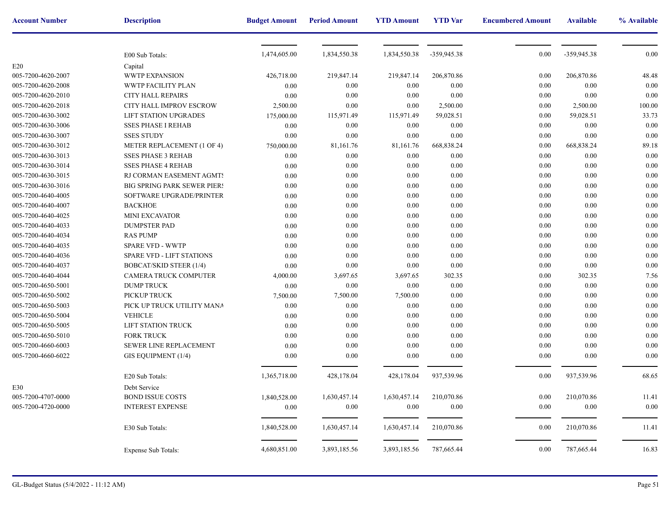| <b>Account Number</b> | <b>Description</b>                 | <b>Budget Amount</b> | <b>Period Amount</b> | <b>YTD Amount</b> | <b>YTD</b> Var | <b>Encumbere</b> |
|-----------------------|------------------------------------|----------------------|----------------------|-------------------|----------------|------------------|
|                       |                                    |                      |                      |                   |                |                  |
|                       | E00 Sub Totals:                    | 1,474,605.00         | 1,834,550.38         | 1,834,550.38      | -359,945.38    |                  |
| E20                   | Capital                            |                      |                      |                   |                |                  |
| 005-7200-4620-2007    | <b>WWTP EXPANSION</b>              | 426,718.00           | 219,847.14           | 219,847.14        | 206,870.86     |                  |
| 005-7200-4620-2008    | WWTP FACILITY PLAN                 | 0.00                 | 0.00                 | 0.00              | 0.00           |                  |
| 005-7200-4620-2010    | CITY HALL REPAIRS                  | 0.00                 | 0.00                 | 0.00              | 0.00           |                  |
| 005-7200-4620-2018    | CITY HALL IMPROV ESCROW            | 2,500.00             | 0.00                 | $0.00\,$          | 2,500.00       |                  |
| 005-7200-4630-3002    | <b>LIFT STATION UPGRADES</b>       | 175,000.00           | 115,971.49           | 115,971.49        | 59,028.51      |                  |
| 005-7200-4630-3006    | <b>SSES PHASE I REHAB</b>          | 0.00                 | 0.00                 | 0.00              | 0.00           |                  |
| 005-7200-4630-3007    | <b>SSES STUDY</b>                  | 0.00                 | 0.00                 | 0.00              | $0.00\,$       |                  |
| 005-7200-4630-3012    | METER REPLACEMENT (1 OF 4)         | 750,000.00           | 81,161.76            | 81,161.76         | 668,838.24     |                  |
| 005-7200-4630-3013    | <b>SSES PHASE 3 REHAB</b>          | 0.00                 | 0.00                 | 0.00              | 0.00           |                  |
| 005-7200-4630-3014    | <b>SSES PHASE 4 REHAB</b>          | 0.00                 | 0.00                 | 0.00              | 0.00           |                  |
| 005-7200-4630-3015    | RJ CORMAN EASEMENT AGMTS           | 0.00                 | 0.00                 | 0.00              | 0.00           |                  |
| 005-7200-4630-3016    | <b>BIG SPRING PARK SEWER PIERS</b> | 0.00                 | 0.00                 | 0.00              | 0.00           |                  |
| 005-7200-4640-4005    | SOFTWARE UPGRADE/PRINTER           | 0.00                 | 0.00                 | 0.00              | $0.00\,$       |                  |
| 005-7200-4640-4007    | <b>BACKHOE</b>                     | 0.00                 | 0.00                 | 0.00              | 0.00           |                  |
| 005-7200-4640-4025    | MINI EXCAVATOR                     | 0.00                 | 0.00                 | 0.00              | 0.00           |                  |
| 005-7200-4640-4033    | <b>DUMPSTER PAD</b>                | 0.00                 | 0.00                 | 0.00              | 0.00           |                  |
| 005-7200-4640-4034    | <b>RAS PUMP</b>                    | 0.00                 | 0.00                 | 0.00              | 0.00           |                  |
| 005-7200-4640-4035    | <b>SPARE VFD - WWTP</b>            | 0.00                 | 0.00                 | 0.00              | 0.00           |                  |
| 005-7200-4640-4036    | <b>SPARE VFD - LIFT STATIONS</b>   | 0.00                 | 0.00                 | 0.00              | $0.00\,$       |                  |
| 005-7200-4640-4037    | <b>BOBCAT/SKID STEER (1/4)</b>     | 0.00                 | 0.00                 | 0.00              | $0.00\,$       |                  |
| 005-7200-4640-4044    | CAMERA TRUCK COMPUTER              | 4,000.00             | 3,697.65             | 3,697.65          | 302.35         |                  |
| 005-7200-4650-5001    | <b>DUMP TRUCK</b>                  | 0.00                 | 0.00                 | 0.00              | $0.00\,$       |                  |
| 005-7200-4650-5002    | PICKUP TRUCK                       | 7,500.00             | 7,500.00             | 7,500.00          | $0.00\,$       |                  |
| 005-7200-4650-5003    | PICK UP TRUCK UTILITY MANA         | 0.00                 | 0.00                 | 0.00              | 0.00           |                  |
| 005-7200-4650-5004    | <b>VEHICLE</b>                     | 0.00                 | 0.00                 | 0.00              | 0.00           |                  |
| 005-7200-4650-5005    | LIFT STATION TRUCK                 | 0.00                 | 0.00                 | 0.00              | 0.00           |                  |
| 005-7200-4650-5010    | <b>FORK TRUCK</b>                  | 0.00                 | 0.00                 | 0.00              | $0.00\,$       |                  |
| 005-7200-4660-6003    | SEWER LINE REPLACEMENT             | 0.00                 | 0.00                 | 0.00              | 0.00           |                  |
| 005-7200-4660-6022    | GIS EQUIPMENT (1/4)                | 0.00                 | 0.00                 | 0.00              | 0.00           |                  |
|                       | E20 Sub Totals:                    | 1,365,718.00         | 428,178.04           | 428,178.04        | 937,539.96     |                  |
| E30                   | Debt Service                       |                      |                      |                   |                |                  |
| 005-7200-4707-0000    | <b>BOND ISSUE COSTS</b>            | 1,840,528.00         | 1,630,457.14         | 1,630,457.14      | 210,070.86     |                  |
| 005-7200-4720-0000    | <b>INTEREST EXPENSE</b>            | 0.00                 | 0.00                 | 0.00              | 0.00           |                  |
|                       | E30 Sub Totals:                    | 1,840,528.00         | 1,630,457.14         | 1,630,457.14      | 210,070.86     |                  |
|                       | <b>Expense Sub Totals:</b>         | 4,680,851.00         | 3,893,185.56         | 3,893,185.56      | 787,665.44     |                  |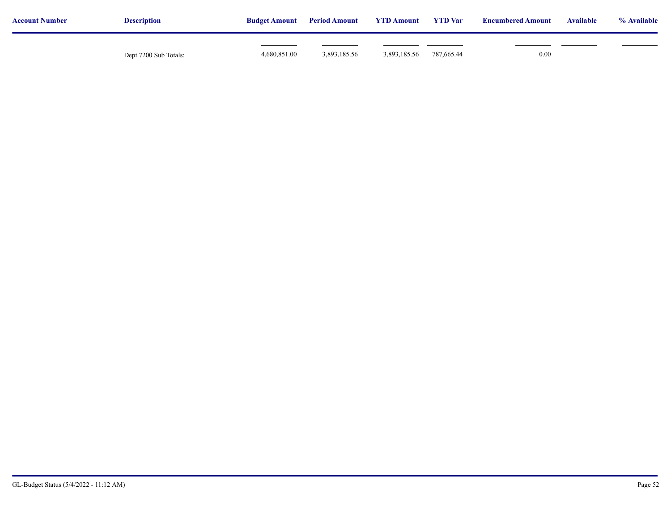| <b>Account Number</b> | <b>Description</b>    | <b>Budget Amount</b> | <b>Period Amount</b> | <b>YTD Amount</b> | <b>YTD</b> Var | <b>Encumbered Amount</b> | <b>Available</b> | % Available |
|-----------------------|-----------------------|----------------------|----------------------|-------------------|----------------|--------------------------|------------------|-------------|
|                       | Dept 7200 Sub Totals: | 4,680,851.00         | 3,893,185.56         | 3,893,185.56      | 787,665.44     | 0.00                     |                  |             |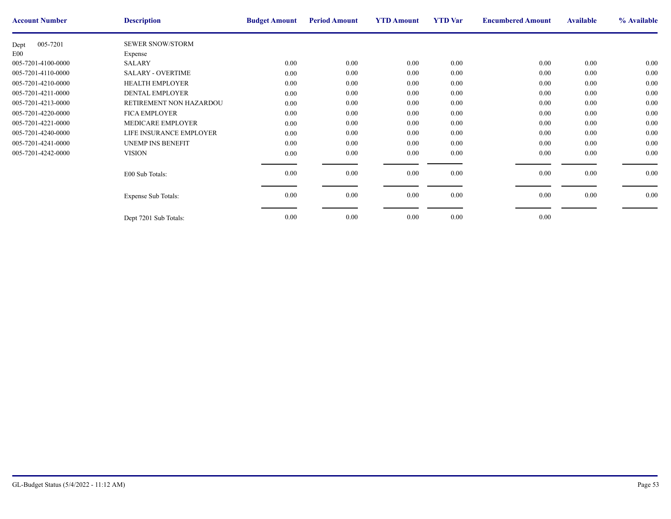| <b>Account Number</b> | <b>Description</b>         | <b>Budget Amount</b> | <b>Period Amount</b> | <b>YTD Amount</b> | <b>YTD</b> Var | <b>Encumbere</b> |
|-----------------------|----------------------------|----------------------|----------------------|-------------------|----------------|------------------|
| 005-7201<br>Dept      | <b>SEWER SNOW/STORM</b>    |                      |                      |                   |                |                  |
| E <sub>00</sub>       | Expense                    |                      |                      |                   |                |                  |
| 005-7201-4100-0000    | <b>SALARY</b>              | 0.00                 | $0.00\,$             | $0.00\,$          | 0.00           |                  |
| 005-7201-4110-0000    | <b>SALARY - OVERTIME</b>   | 0.00                 | $0.00\,$             | 0.00              | 0.00           |                  |
| 005-7201-4210-0000    | <b>HEALTH EMPLOYER</b>     | 0.00                 | $0.00\,$             | 0.00              | 0.00           |                  |
| 005-7201-4211-0000    | <b>DENTAL EMPLOYER</b>     | 0.00                 | $0.00\,$             | 0.00              | 0.00           |                  |
| 005-7201-4213-0000    | RETIREMENT NON HAZARDOU    | $0.00\,$             | $0.00\,$             | $0.00\,$          | 0.00           |                  |
| 005-7201-4220-0000    | <b>FICA EMPLOYER</b>       | 0.00                 | 0.00                 | 0.00              | 0.00           |                  |
| 005-7201-4221-0000    | MEDICARE EMPLOYER          | 0.00                 | $0.00\,$             | 0.00              | 0.00           |                  |
| 005-7201-4240-0000    | LIFE INSURANCE EMPLOYER    | 0.00                 | 0.00                 | 0.00              | 0.00           |                  |
| 005-7201-4241-0000    | <b>UNEMP INS BENEFIT</b>   | 0.00                 | 0.00                 | 0.00              | 0.00           |                  |
| 005-7201-4242-0000    | <b>VISION</b>              | $0.00\,$             | $0.00\,$             | $0.00\,$          | 0.00           |                  |
|                       |                            |                      |                      |                   |                |                  |
|                       | E00 Sub Totals:            | 0.00                 | $0.00\,$             | $0.00\,$          | 0.00           |                  |
|                       |                            |                      |                      |                   |                |                  |
|                       | <b>Expense Sub Totals:</b> | 0.00                 | $0.00\,$             | $0.00\,$          | 0.00           |                  |
|                       |                            |                      |                      |                   |                |                  |
|                       | Dept 7201 Sub Totals:      | 0.00                 | $0.00\,$             | 0.00              | 0.00           |                  |
|                       |                            |                      |                      |                   |                |                  |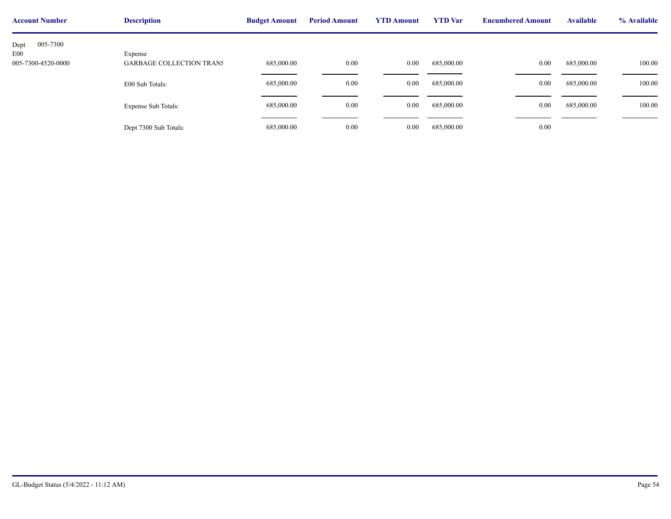| <b>Account Number</b>               | <b>Description</b>              | <b>Budget Amount</b> | <b>Period Amount</b> | <b>YTD Amount</b> | <b>YTD</b> Var | <b>Encumbere</b> |
|-------------------------------------|---------------------------------|----------------------|----------------------|-------------------|----------------|------------------|
| 005-7300<br>Dept<br>E <sub>00</sub> | Expense                         |                      |                      |                   |                |                  |
| 005-7300-4520-0000                  | <b>GARBAGE COLLECTION TRANS</b> | 685,000.00           | 0.00                 | $0.00\,$          | 685,000.00     |                  |
|                                     | E00 Sub Totals:                 | 685,000.00           | $0.00\,$             | 0.00              | 685,000.00     |                  |
|                                     | <b>Expense Sub Totals:</b>      | 685,000.00           | $0.00\,$             | $0.00\,$          | 685,000.00     |                  |
|                                     | Dept 7300 Sub Totals:           | 685,000.00           | $0.00\,$             | $0.00\,$          | 685,000.00     |                  |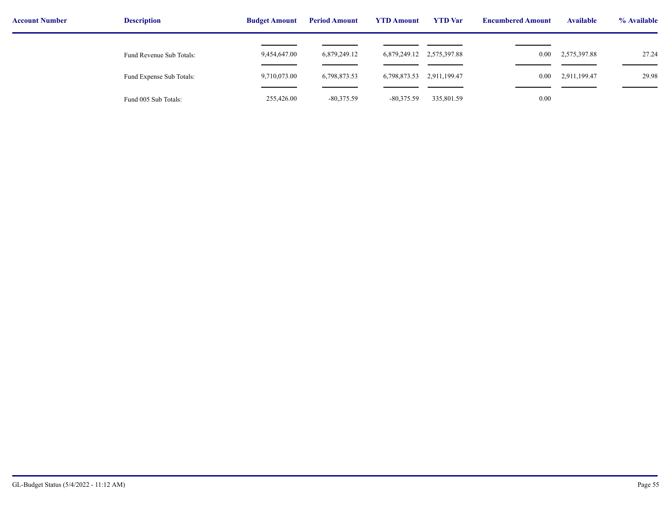| <b>Account Number</b> | <b>Description</b>       | <b>Budget Amount</b> | <b>Period Amount</b> | <b>YTD Amount</b>         | <b>YTD</b> Var | <b>Encumbered Amount</b> | <b>Available</b> | % Available |
|-----------------------|--------------------------|----------------------|----------------------|---------------------------|----------------|--------------------------|------------------|-------------|
|                       | Fund Revenue Sub Totals: | 9,454,647.00         | 6,879,249.12         | 6,879,249.12 2,575,397.88 |                | $0.00\,$                 | 2,575,397.88     | 27.24       |
|                       | Fund Expense Sub Totals: | 9,710,073.00         | 6,798,873.53         | 6,798,873.53              | 2,911,199.47   | $0.00\,$                 | 2,911,199.47     | 29.98       |
|                       | Fund 005 Sub Totals:     | 255,426.00           | $-80,375.59$         | $-80,375.59$              | 335,801.59     | 0.00                     |                  |             |